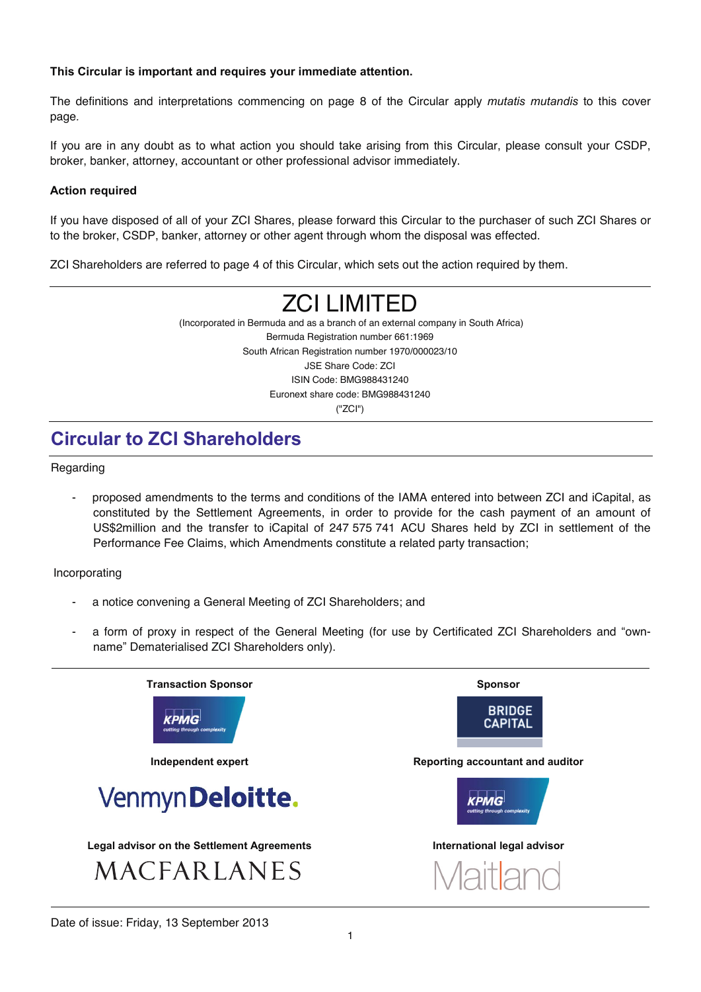#### **This Circular is important and requires your immediate attention.**

The definitions and interpretations commencing on page 8 of the Circular apply *mutatis mutandis* to this cover page*.* 

If you are in any doubt as to what action you should take arising from this Circular, please consult your CSDP, broker, banker, attorney, accountant or other professional advisor immediately.

### **Action required**

If you have disposed of all of your ZCI Shares, please forward this Circular to the purchaser of such ZCI Shares or to the broker, CSDP, banker, attorney or other agent through whom the disposal was effected.

ZCI Shareholders are referred to page 4 of this Circular, which sets out the action required by them.

# ZCI LIMITED

 (Incorporated in Bermuda and as a branch of an external company in South Africa) Bermuda Registration number 661:1969 South African Registration number 1970/000023/10 JSE Share Code: ZCI ISIN Code: BMG988431240 Euronext share code: BMG988431240 ("ZCI")

## **Circular to ZCI Shareholders**

Regarding

- proposed amendments to the terms and conditions of the IAMA entered into between ZCI and iCapital, as constituted by the Settlement Agreements, in order to provide for the cash payment of an amount of US\$2million and the transfer to iCapital of 247 575 741 ACU Shares held by ZCI in settlement of the Performance Fee Claims, which Amendments constitute a related party transaction;

Incorporating

- a notice convening a General Meeting of ZCI Shareholders; and
- a form of proxy in respect of the General Meeting (for use by Certificated ZCI Shareholders and "ownname" Dematerialised ZCI Shareholders only).

| <b>Transaction Sponsor</b>                        | <b>Sponsor</b>                   |
|---------------------------------------------------|----------------------------------|
| КРМG<br>cutting through complexity                | <b>BRIDGE</b><br><b>CAPITAL</b>  |
| Independent expert                                | Reporting accountant and auditor |
| Venmyn Deloitte.                                  | cutting through complexity       |
| <b>Legal advisor on the Settlement Agreements</b> | International legal advisor      |
| MACFARLANES                                       | Maitland                         |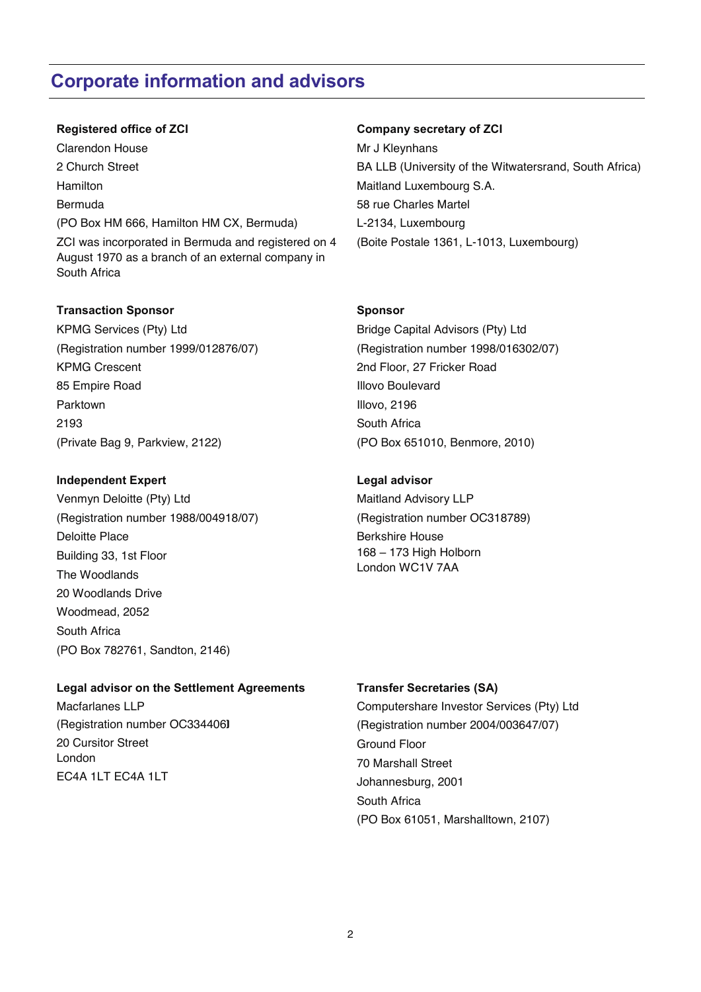## **Corporate information and advisors**

ı

Clarendon House 2 Church Street Hamilton Bermuda (PO Box HM 666, Hamilton HM CX, Bermuda) ZCI was incorporated in Bermuda and registered on 4 August 1970 as a branch of an external company in South Africa

#### **Transaction Sponsor Sponsor Sponsor Sponsor Sponsor Sponsor Sponsor Sponsor Sponsor Sponsor Sponsor Sponsor Sponsor Sponsor Sponsor Sponsor Sponsor Sponsor Sponsor Sponsor Sponsor Sponsor Sponsor Sponsor Sponsor Sponsor S**

KPMG Services (Pty) Ltd (Registration number 1999/012876/07) KPMG Crescent 85 Empire Road Parktown 2193 (Private Bag 9, Parkview, 2122)

#### **Independent Expert Communist Expert Communist Expert Communist Experience Communist Experience Communist Experience Communist Experience Communist Experience Communist Experience Communist Experience Communist Experience**

Venmyn Deloitte (Pty) Ltd (Registration number 1988/004918/07) Deloitte Place Building 33, 1st Floor The Woodlands 20 Woodlands Drive Woodmead, 2052 South Africa (PO Box 782761, Sandton, 2146)

#### **Legal advisor on the Settlement Agreements Transfer Secretaries (SA)**

Macfarlanes LLP (Registration number OC334406) 20 Cursitor Street London EC4A 1LT EC4A 1LT

#### **Registered office of ZCI Company secretary of ZCI**

Mr J Kleynhans BA LLB (University of the Witwatersrand, South Africa) Maitland Luxembourg S.A. 58 rue Charles Martel L-2134, Luxembourg (Boite Postale 1361, L-1013, Luxembourg)

Bridge Capital Advisors (Pty) Ltd (Registration number 1998/016302/07) 2nd Floor, 27 Fricker Road Illovo Boulevard Illovo, 2196 South Africa (PO Box 651010, Benmore, 2010)

Maitland Advisory LLP (Registration number OC318789) Berkshire House 168 – 173 High Holborn London WC1V 7AA

Computershare Investor Services (Pty) Ltd (Registration number 2004/003647/07) Ground Floor 70 Marshall Street Johannesburg, 2001 South Africa (PO Box 61051, Marshalltown, 2107)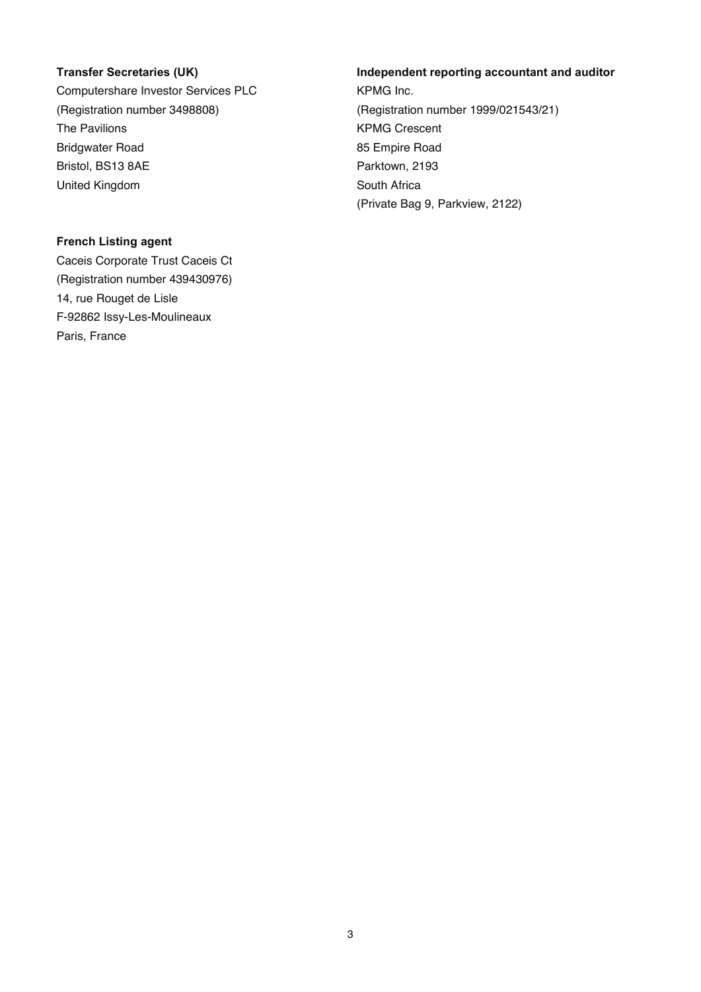Computershare Investor Services PLC (Registration number 3498808) The Pavilions Bridgwater Road Bristol, BS13 8AE United Kingdom

### **French Listing agent**

Caceis Corporate Trust Caceis Ct (Registration number 439430976) 14, rue Rouget de Lisle F-92862 Issy-Les-Moulineaux Paris, France

### **Transfer Secretaries (UK) Independent reporting accountant and auditor**

KPMG Inc. (Registration number 1999/021543/21) KPMG Crescent 85 Empire Road Parktown, 2193 South Africa (Private Bag 9, Parkview, 2122)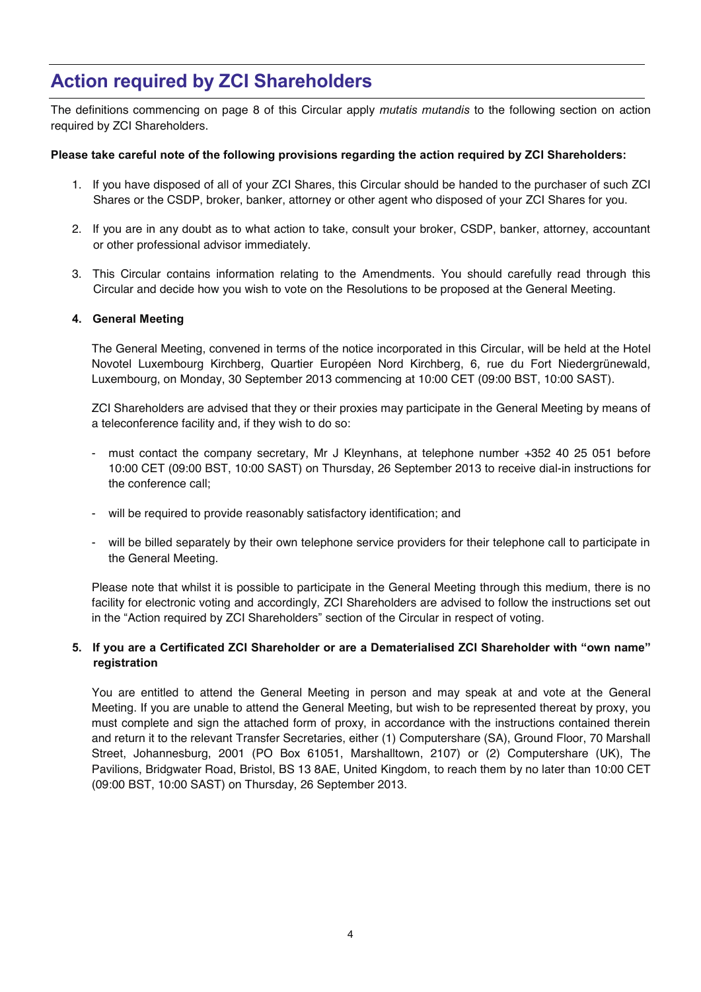## **Action required by ZCI Shareholders**

The definitions commencing on page 8 of this Circular apply *mutatis mutandis* to the following section on action required by ZCI Shareholders.

#### **Please take careful note of the following provisions regarding the action required by ZCI Shareholders:**

- 1. If you have disposed of all of your ZCI Shares, this Circular should be handed to the purchaser of such ZCI Shares or the CSDP, broker, banker, attorney or other agent who disposed of your ZCI Shares for you.
- 2. If you are in any doubt as to what action to take, consult your broker, CSDP, banker, attorney, accountant or other professional advisor immediately.
- 3. This Circular contains information relating to the Amendments. You should carefully read through this Circular and decide how you wish to vote on the Resolutions to be proposed at the General Meeting.

#### **4. General Meeting**

ı

The General Meeting, convened in terms of the notice incorporated in this Circular, will be held at the Hotel Novotel Luxembourg Kirchberg, Quartier Européen Nord Kirchberg, 6, rue du Fort Niedergrünewald, Luxembourg, on Monday, 30 September 2013 commencing at 10:00 CET (09:00 BST, 10:00 SAST).

ZCI Shareholders are advised that they or their proxies may participate in the General Meeting by means of a teleconference facility and, if they wish to do so:

- must contact the company secretary, Mr J Kleynhans, at telephone number +352 40 25 051 before 10:00 CET (09:00 BST, 10:00 SAST) on Thursday, 26 September 2013 to receive dial-in instructions for the conference call;
- will be required to provide reasonably satisfactory identification; and
- will be billed separately by their own telephone service providers for their telephone call to participate in the General Meeting.

Please note that whilst it is possible to participate in the General Meeting through this medium, there is no facility for electronic voting and accordingly, ZCI Shareholders are advised to follow the instructions set out in the "Action required by ZCI Shareholders" section of the Circular in respect of voting.

#### **5. If you are a Certificated ZCI Shareholder or are a Dematerialised ZCI Shareholder with "own name" registration**

You are entitled to attend the General Meeting in person and may speak at and vote at the General Meeting. If you are unable to attend the General Meeting, but wish to be represented thereat by proxy, you must complete and sign the attached form of proxy, in accordance with the instructions contained therein and return it to the relevant Transfer Secretaries, either (1) Computershare (SA), Ground Floor, 70 Marshall Street, Johannesburg, 2001 (PO Box 61051, Marshalltown, 2107) or (2) Computershare (UK), The Pavilions, Bridgwater Road, Bristol, BS 13 8AE, United Kingdom, to reach them by no later than 10:00 CET (09:00 BST, 10:00 SAST) on Thursday, 26 September 2013.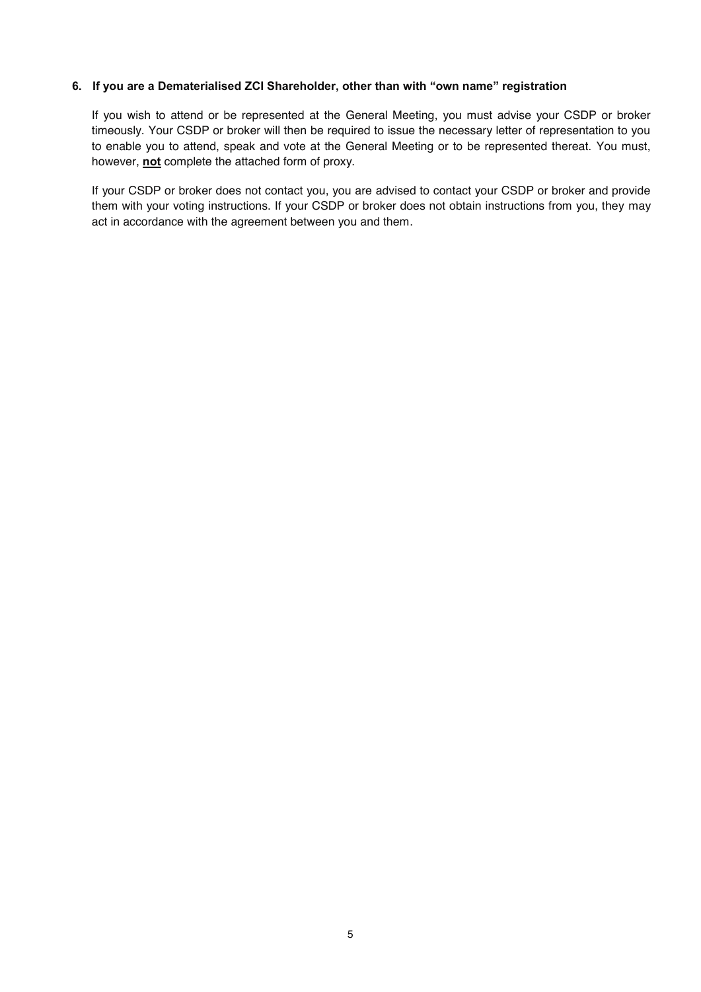#### **6. If you are a Dematerialised ZCI Shareholder, other than with "own name" registration**

If you wish to attend or be represented at the General Meeting, you must advise your CSDP or broker timeously. Your CSDP or broker will then be required to issue the necessary letter of representation to you to enable you to attend, speak and vote at the General Meeting or to be represented thereat. You must, however, **not** complete the attached form of proxy.

If your CSDP or broker does not contact you, you are advised to contact your CSDP or broker and provide them with your voting instructions. If your CSDP or broker does not obtain instructions from you, they may act in accordance with the agreement between you and them.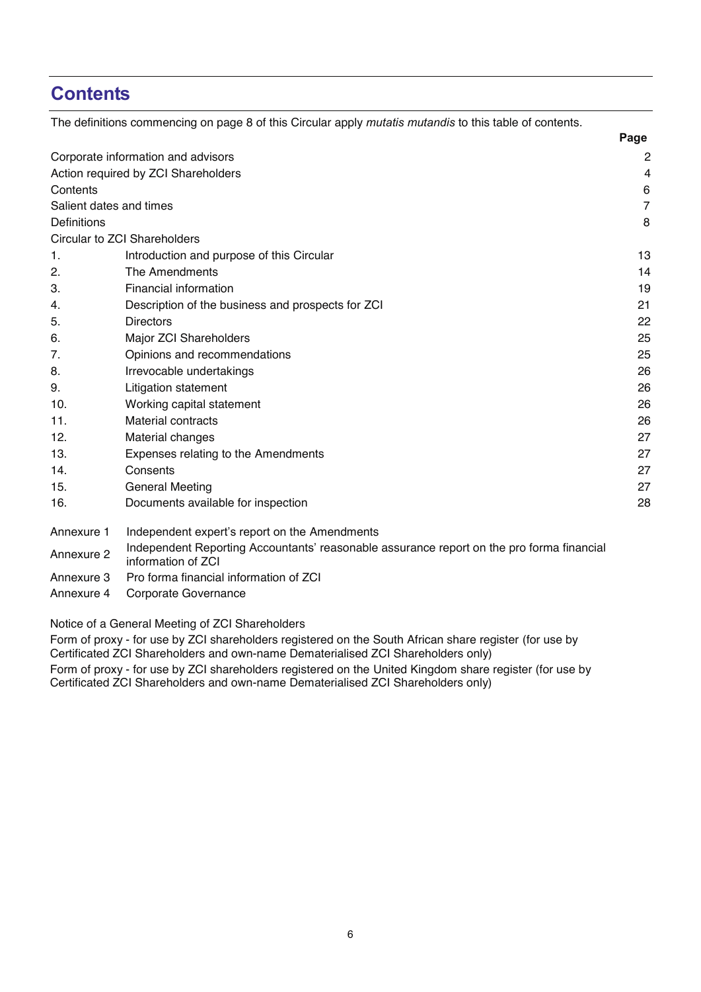## **Contents**

|                         | The definitions commencing on page 8 of this Circular apply mutatis mutandis to this table of contents.         |                |
|-------------------------|-----------------------------------------------------------------------------------------------------------------|----------------|
|                         |                                                                                                                 | Page           |
|                         | Corporate information and advisors                                                                              | 2              |
|                         | Action required by ZCI Shareholders                                                                             | $\overline{4}$ |
| Contents                |                                                                                                                 | 6              |
| Salient dates and times |                                                                                                                 | $\overline{7}$ |
| Definitions             |                                                                                                                 | 8              |
|                         | Circular to ZCI Shareholders                                                                                    |                |
| 1.                      | Introduction and purpose of this Circular                                                                       | 13             |
| 2.                      | The Amendments                                                                                                  | 14             |
| 3.                      | <b>Financial information</b>                                                                                    | 19             |
| 4.                      | Description of the business and prospects for ZCI                                                               | 21             |
| 5.                      | <b>Directors</b>                                                                                                | 22             |
| 6.                      | Major ZCI Shareholders                                                                                          | 25             |
| 7.                      | Opinions and recommendations                                                                                    | 25             |
| 8.                      | Irrevocable undertakings                                                                                        | 26             |
| 9.                      | <b>Litigation statement</b>                                                                                     | 26             |
| 10.                     | Working capital statement                                                                                       | 26             |
| 11.                     | <b>Material contracts</b>                                                                                       | 26             |
| 12.                     | Material changes                                                                                                | 27             |
| 13.                     | Expenses relating to the Amendments                                                                             | 27             |
| 14.                     | Consents                                                                                                        | 27             |
| 15.                     | <b>General Meeting</b>                                                                                          | 27             |
| 16.                     | Documents available for inspection                                                                              | 28             |
| Annexure 1              | Independent expert's report on the Amendments                                                                   |                |
| Annexure 2              | Independent Reporting Accountants' reasonable assurance report on the pro forma financial<br>information of ZCI |                |

Annexure 3 Pro forma financial information of ZCI

Annexure 4 Corporate Governance

Notice of a General Meeting of ZCI Shareholders

Form of proxy - for use by ZCI shareholders registered on the South African share register (for use by Certificated ZCI Shareholders and own-name Dematerialised ZCI Shareholders only) Form of proxy - for use by ZCI shareholders registered on the United Kingdom share register (for use by Certificated ZCI Shareholders and own-name Dematerialised ZCI Shareholders only)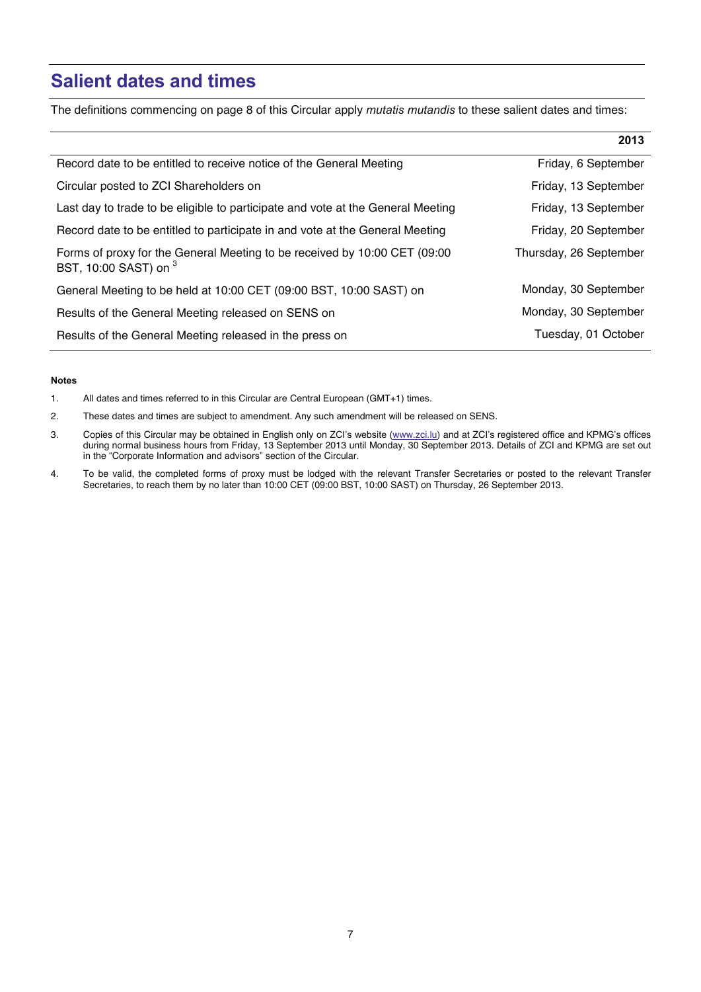## **Salient dates and times**

The definitions commencing on page 8 of this Circular apply *mutatis mutandis* to these salient dates and times:

|                                                                                                    | 2013                   |
|----------------------------------------------------------------------------------------------------|------------------------|
| Record date to be entitled to receive notice of the General Meeting                                | Friday, 6 September    |
| Circular posted to ZCI Shareholders on                                                             | Friday, 13 September   |
| Last day to trade to be eligible to participate and vote at the General Meeting                    | Friday, 13 September   |
| Record date to be entitled to participate in and vote at the General Meeting                       | Friday, 20 September   |
| Forms of proxy for the General Meeting to be received by 10:00 CET (09:00<br>BST, 10:00 SAST) on 3 | Thursday, 26 September |
| General Meeting to be held at 10:00 CET (09:00 BST, 10:00 SAST) on                                 | Monday, 30 September   |
| Results of the General Meeting released on SENS on                                                 | Monday, 30 September   |
| Results of the General Meeting released in the press on                                            | Tuesday, 01 October    |

#### **Notes**

ı

1. All dates and times referred to in this Circular are Central European (GMT+1) times.

2. These dates and times are subject to amendment. Any such amendment will be released on SENS.

3. Copies of this Circular may be obtained in English only on ZCI's website (<u>www.zci.lu</u>) and at ZCI's registered office and KPMG's offices during normal business hours from Friday, 13 September 2013 until Monday, 30 September 2013. Details of ZCI and KPMG are set out in the "Corporate Information and advisors" section of the Circular.

4. To be valid, the completed forms of proxy must be lodged with the relevant Transfer Secretaries or posted to the relevant Transfer Secretaries, to reach them by no later than 10:00 CET (09:00 BST, 10:00 SAST) on Thursday, 26 September 2013.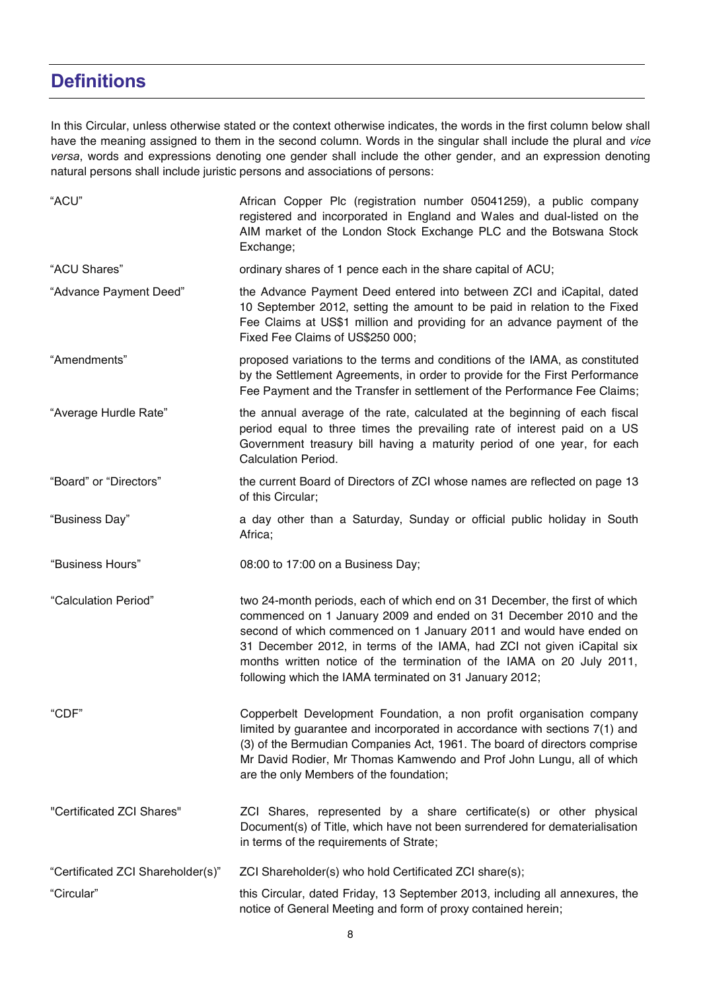## **Definitions**

ı

In this Circular, unless otherwise stated or the context otherwise indicates, the words in the first column below shall have the meaning assigned to them in the second column. Words in the singular shall include the plural and *vice versa*, words and expressions denoting one gender shall include the other gender, and an expression denoting natural persons shall include juristic persons and associations of persons:

| "ACU"                             | African Copper Plc (registration number 05041259), a public company<br>registered and incorporated in England and Wales and dual-listed on the<br>AIM market of the London Stock Exchange PLC and the Botswana Stock<br>Exchange;                                                                                                                                                                                                    |
|-----------------------------------|--------------------------------------------------------------------------------------------------------------------------------------------------------------------------------------------------------------------------------------------------------------------------------------------------------------------------------------------------------------------------------------------------------------------------------------|
| "ACU Shares"                      | ordinary shares of 1 pence each in the share capital of ACU;                                                                                                                                                                                                                                                                                                                                                                         |
| "Advance Payment Deed"            | the Advance Payment Deed entered into between ZCI and iCapital, dated<br>10 September 2012, setting the amount to be paid in relation to the Fixed<br>Fee Claims at US\$1 million and providing for an advance payment of the<br>Fixed Fee Claims of US\$250 000;                                                                                                                                                                    |
| "Amendments"                      | proposed variations to the terms and conditions of the IAMA, as constituted<br>by the Settlement Agreements, in order to provide for the First Performance<br>Fee Payment and the Transfer in settlement of the Performance Fee Claims;                                                                                                                                                                                              |
| "Average Hurdle Rate"             | the annual average of the rate, calculated at the beginning of each fiscal<br>period equal to three times the prevailing rate of interest paid on a US<br>Government treasury bill having a maturity period of one year, for each<br><b>Calculation Period.</b>                                                                                                                                                                      |
| "Board" or "Directors"            | the current Board of Directors of ZCI whose names are reflected on page 13<br>of this Circular;                                                                                                                                                                                                                                                                                                                                      |
| "Business Day"                    | a day other than a Saturday, Sunday or official public holiday in South<br>Africa;                                                                                                                                                                                                                                                                                                                                                   |
| "Business Hours"                  | 08:00 to 17:00 on a Business Day;                                                                                                                                                                                                                                                                                                                                                                                                    |
| "Calculation Period"              | two 24-month periods, each of which end on 31 December, the first of which<br>commenced on 1 January 2009 and ended on 31 December 2010 and the<br>second of which commenced on 1 January 2011 and would have ended on<br>31 December 2012, in terms of the IAMA, had ZCI not given iCapital six<br>months written notice of the termination of the IAMA on 20 July 2011,<br>following which the IAMA terminated on 31 January 2012; |
| "CDF"                             | Copperbelt Development Foundation, a non profit organisation company<br>limited by guarantee and incorporated in accordance with sections 7(1) and<br>(3) of the Bermudian Companies Act, 1961. The board of directors comprise<br>Mr David Rodier, Mr Thomas Kamwendo and Prof John Lungu, all of which<br>are the only Members of the foundation;                                                                                  |
| "Certificated ZCI Shares"         | ZCI Shares, represented by a share certificate(s) or other physical<br>Document(s) of Title, which have not been surrendered for dematerialisation<br>in terms of the requirements of Strate;                                                                                                                                                                                                                                        |
| "Certificated ZCI Shareholder(s)" | ZCI Shareholder(s) who hold Certificated ZCI share(s);                                                                                                                                                                                                                                                                                                                                                                               |
| "Circular"                        | this Circular, dated Friday, 13 September 2013, including all annexures, the<br>notice of General Meeting and form of proxy contained herein;                                                                                                                                                                                                                                                                                        |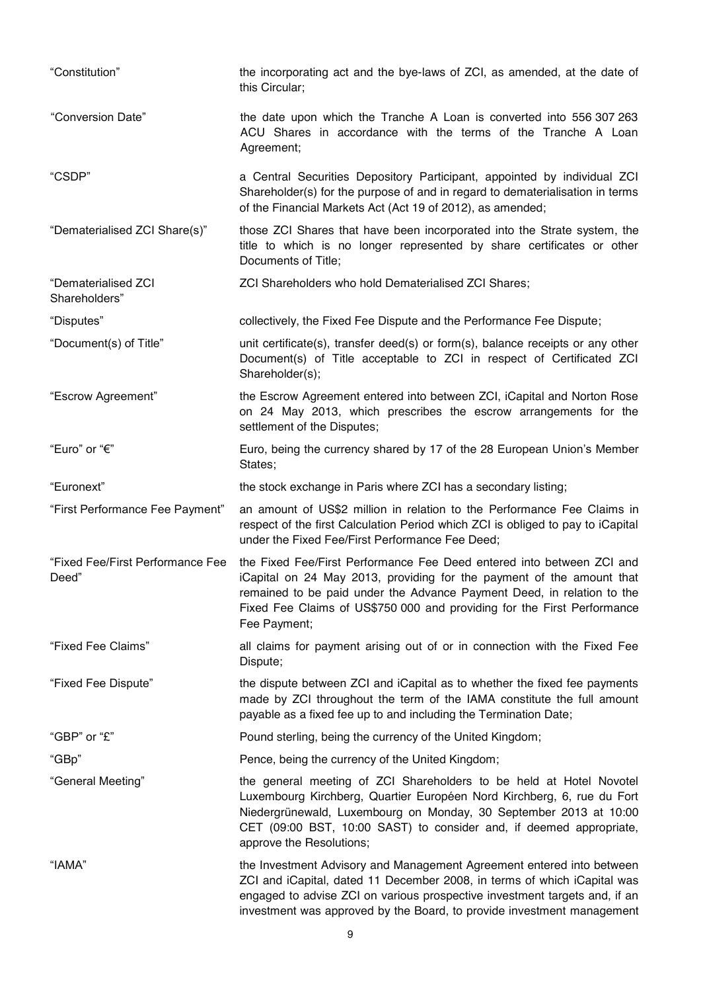| "Constitution"                            | the incorporating act and the bye-laws of ZCI, as amended, at the date of<br>this Circular;                                                                                                                                                                                                                           |
|-------------------------------------------|-----------------------------------------------------------------------------------------------------------------------------------------------------------------------------------------------------------------------------------------------------------------------------------------------------------------------|
| "Conversion Date"                         | the date upon which the Tranche A Loan is converted into 556 307 263<br>ACU Shares in accordance with the terms of the Tranche A Loan<br>Agreement;                                                                                                                                                                   |
| "CSDP"                                    | a Central Securities Depository Participant, appointed by individual ZCI<br>Shareholder(s) for the purpose of and in regard to dematerialisation in terms<br>of the Financial Markets Act (Act 19 of 2012), as amended;                                                                                               |
| "Dematerialised ZCI Share(s)"             | those ZCI Shares that have been incorporated into the Strate system, the<br>title to which is no longer represented by share certificates or other<br>Documents of Title;                                                                                                                                             |
| "Dematerialised ZCI<br>Shareholders"      | ZCI Shareholders who hold Dematerialised ZCI Shares;                                                                                                                                                                                                                                                                  |
| "Disputes"                                | collectively, the Fixed Fee Dispute and the Performance Fee Dispute;                                                                                                                                                                                                                                                  |
| "Document(s) of Title"                    | unit certificate(s), transfer deed(s) or form(s), balance receipts or any other<br>Document(s) of Title acceptable to ZCI in respect of Certificated ZCI<br>Shareholder(s);                                                                                                                                           |
| "Escrow Agreement"                        | the Escrow Agreement entered into between ZCI, iCapital and Norton Rose<br>on 24 May 2013, which prescribes the escrow arrangements for the<br>settlement of the Disputes;                                                                                                                                            |
| "Euro" or "€"                             | Euro, being the currency shared by 17 of the 28 European Union's Member<br>States;                                                                                                                                                                                                                                    |
| "Euronext"                                | the stock exchange in Paris where ZCI has a secondary listing;                                                                                                                                                                                                                                                        |
| "First Performance Fee Payment"           | an amount of US\$2 million in relation to the Performance Fee Claims in<br>respect of the first Calculation Period which ZCI is obliged to pay to iCapital<br>under the Fixed Fee/First Performance Fee Deed;                                                                                                         |
| "Fixed Fee/First Performance Fee<br>Deed" | the Fixed Fee/First Performance Fee Deed entered into between ZCI and<br>iCapital on 24 May 2013, providing for the payment of the amount that<br>remained to be paid under the Advance Payment Deed, in relation to the<br>Fixed Fee Claims of US\$750 000 and providing for the First Performance<br>Fee Payment;   |
| "Fixed Fee Claims"                        | all claims for payment arising out of or in connection with the Fixed Fee<br>Dispute;                                                                                                                                                                                                                                 |
| "Fixed Fee Dispute"                       | the dispute between ZCI and iCapital as to whether the fixed fee payments<br>made by ZCI throughout the term of the IAMA constitute the full amount<br>payable as a fixed fee up to and including the Termination Date;                                                                                               |
| "GBP" or "£"                              | Pound sterling, being the currency of the United Kingdom;                                                                                                                                                                                                                                                             |
| "GBp"                                     | Pence, being the currency of the United Kingdom;                                                                                                                                                                                                                                                                      |
| "General Meeting"                         | the general meeting of ZCI Shareholders to be held at Hotel Novotel<br>Luxembourg Kirchberg, Quartier Européen Nord Kirchberg, 6, rue du Fort<br>Niedergrünewald, Luxembourg on Monday, 30 September 2013 at 10:00<br>CET (09:00 BST, 10:00 SAST) to consider and, if deemed appropriate,<br>approve the Resolutions; |
| "IAMA"                                    | the Investment Advisory and Management Agreement entered into between<br>ZCI and iCapital, dated 11 December 2008, in terms of which iCapital was<br>engaged to advise ZCI on various prospective investment targets and, if an<br>investment was approved by the Board, to provide investment management             |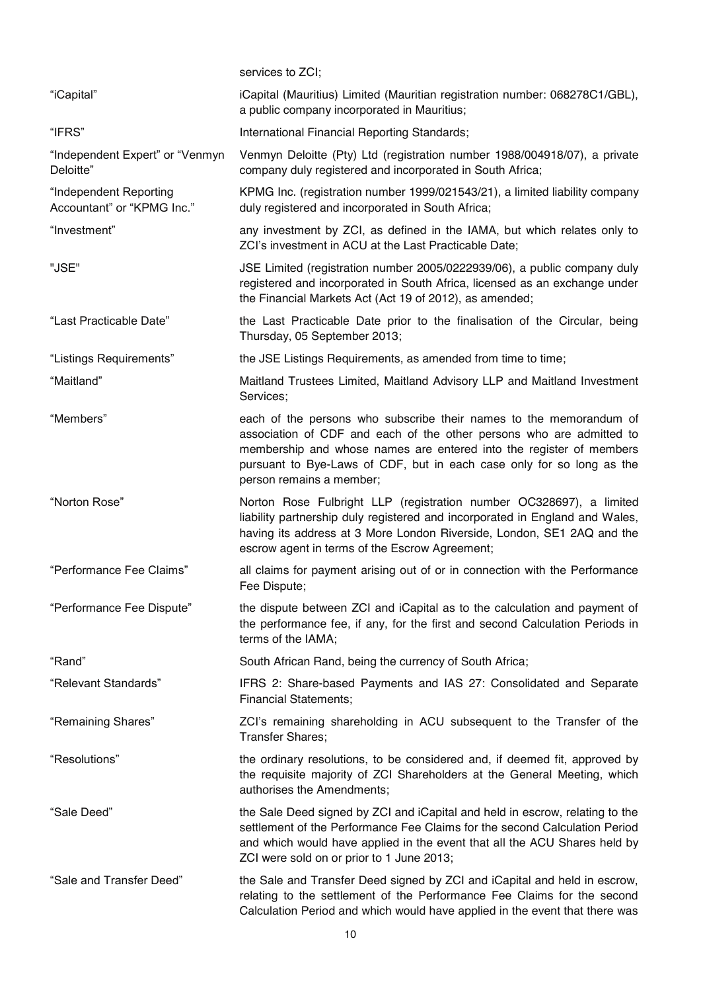|                                                      | services to ZCI;                                                                                                                                                                                                                                                                                                       |
|------------------------------------------------------|------------------------------------------------------------------------------------------------------------------------------------------------------------------------------------------------------------------------------------------------------------------------------------------------------------------------|
| "iCapital"                                           | iCapital (Mauritius) Limited (Mauritian registration number: 068278C1/GBL),<br>a public company incorporated in Mauritius;                                                                                                                                                                                             |
| "IFRS"                                               | International Financial Reporting Standards;                                                                                                                                                                                                                                                                           |
| "Independent Expert" or "Venmyn<br>Deloitte"         | Venmyn Deloitte (Pty) Ltd (registration number 1988/004918/07), a private<br>company duly registered and incorporated in South Africa;                                                                                                                                                                                 |
| "Independent Reporting<br>Accountant" or "KPMG Inc." | KPMG Inc. (registration number 1999/021543/21), a limited liability company<br>duly registered and incorporated in South Africa;                                                                                                                                                                                       |
| "Investment"                                         | any investment by ZCI, as defined in the IAMA, but which relates only to<br>ZCI's investment in ACU at the Last Practicable Date;                                                                                                                                                                                      |
| "JSE"                                                | JSE Limited (registration number 2005/0222939/06), a public company duly<br>registered and incorporated in South Africa, licensed as an exchange under<br>the Financial Markets Act (Act 19 of 2012), as amended;                                                                                                      |
| "Last Practicable Date"                              | the Last Practicable Date prior to the finalisation of the Circular, being<br>Thursday, 05 September 2013;                                                                                                                                                                                                             |
| "Listings Requirements"                              | the JSE Listings Requirements, as amended from time to time;                                                                                                                                                                                                                                                           |
| "Maitland"                                           | Maitland Trustees Limited, Maitland Advisory LLP and Maitland Investment<br>Services;                                                                                                                                                                                                                                  |
| "Members"                                            | each of the persons who subscribe their names to the memorandum of<br>association of CDF and each of the other persons who are admitted to<br>membership and whose names are entered into the register of members<br>pursuant to Bye-Laws of CDF, but in each case only for so long as the<br>person remains a member; |
| "Norton Rose"                                        | Norton Rose Fulbright LLP (registration number OC328697), a limited<br>liability partnership duly registered and incorporated in England and Wales,<br>having its address at 3 More London Riverside, London, SE1 2AQ and the<br>escrow agent in terms of the Escrow Agreement;                                        |
| "Performance Fee Claims"                             | all claims for payment arising out of or in connection with the Performance<br>Fee Dispute;                                                                                                                                                                                                                            |
| "Performance Fee Dispute"                            | the dispute between ZCI and iCapital as to the calculation and payment of<br>the performance fee, if any, for the first and second Calculation Periods in<br>terms of the IAMA;                                                                                                                                        |
| "Rand"                                               | South African Rand, being the currency of South Africa;                                                                                                                                                                                                                                                                |
| "Relevant Standards"                                 | IFRS 2: Share-based Payments and IAS 27: Consolidated and Separate<br><b>Financial Statements;</b>                                                                                                                                                                                                                     |
| "Remaining Shares"                                   | ZCI's remaining shareholding in ACU subsequent to the Transfer of the<br>Transfer Shares;                                                                                                                                                                                                                              |
| "Resolutions"                                        | the ordinary resolutions, to be considered and, if deemed fit, approved by<br>the requisite majority of ZCI Shareholders at the General Meeting, which<br>authorises the Amendments;                                                                                                                                   |
| "Sale Deed"                                          | the Sale Deed signed by ZCI and iCapital and held in escrow, relating to the<br>settlement of the Performance Fee Claims for the second Calculation Period<br>and which would have applied in the event that all the ACU Shares held by<br>ZCI were sold on or prior to 1 June 2013;                                   |
| "Sale and Transfer Deed"                             | the Sale and Transfer Deed signed by ZCI and iCapital and held in escrow,<br>relating to the settlement of the Performance Fee Claims for the second<br>Calculation Period and which would have applied in the event that there was                                                                                    |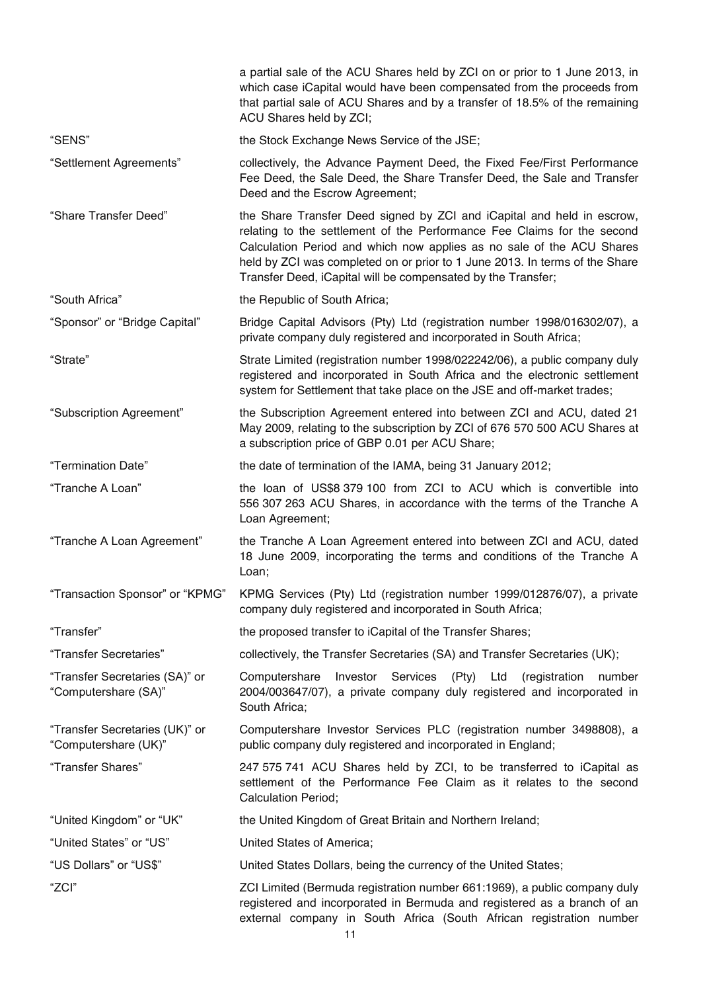|                                                        | a partial sale of the ACU Shares held by ZCI on or prior to 1 June 2013, in<br>which case iCapital would have been compensated from the proceeds from<br>that partial sale of ACU Shares and by a transfer of 18.5% of the remaining<br>ACU Shares held by ZCI;                                                                                                           |
|--------------------------------------------------------|---------------------------------------------------------------------------------------------------------------------------------------------------------------------------------------------------------------------------------------------------------------------------------------------------------------------------------------------------------------------------|
| "SENS"                                                 | the Stock Exchange News Service of the JSE;                                                                                                                                                                                                                                                                                                                               |
| "Settlement Agreements"                                | collectively, the Advance Payment Deed, the Fixed Fee/First Performance<br>Fee Deed, the Sale Deed, the Share Transfer Deed, the Sale and Transfer<br>Deed and the Escrow Agreement;                                                                                                                                                                                      |
| "Share Transfer Deed"                                  | the Share Transfer Deed signed by ZCI and iCapital and held in escrow,<br>relating to the settlement of the Performance Fee Claims for the second<br>Calculation Period and which now applies as no sale of the ACU Shares<br>held by ZCI was completed on or prior to 1 June 2013. In terms of the Share<br>Transfer Deed, iCapital will be compensated by the Transfer; |
| "South Africa"                                         | the Republic of South Africa;                                                                                                                                                                                                                                                                                                                                             |
| "Sponsor" or "Bridge Capital"                          | Bridge Capital Advisors (Pty) Ltd (registration number 1998/016302/07), a<br>private company duly registered and incorporated in South Africa;                                                                                                                                                                                                                            |
| "Strate"                                               | Strate Limited (registration number 1998/022242/06), a public company duly<br>registered and incorporated in South Africa and the electronic settlement<br>system for Settlement that take place on the JSE and off-market trades;                                                                                                                                        |
| "Subscription Agreement"                               | the Subscription Agreement entered into between ZCI and ACU, dated 21<br>May 2009, relating to the subscription by ZCI of 676 570 500 ACU Shares at<br>a subscription price of GBP 0.01 per ACU Share;                                                                                                                                                                    |
| "Termination Date"                                     | the date of termination of the IAMA, being 31 January 2012;                                                                                                                                                                                                                                                                                                               |
| "Tranche A Loan"                                       | the loan of US\$8 379 100 from ZCI to ACU which is convertible into<br>556 307 263 ACU Shares, in accordance with the terms of the Tranche A<br>Loan Agreement;                                                                                                                                                                                                           |
| "Tranche A Loan Agreement"                             | the Tranche A Loan Agreement entered into between ZCI and ACU, dated<br>18 June 2009, incorporating the terms and conditions of the Tranche A<br>Loan;                                                                                                                                                                                                                    |
| "Transaction Sponsor" or "KPMG"                        | KPMG Services (Pty) Ltd (registration number 1999/012876/07), a private<br>company duly registered and incorporated in South Africa;                                                                                                                                                                                                                                      |
| "Transfer"                                             | the proposed transfer to iCapital of the Transfer Shares;                                                                                                                                                                                                                                                                                                                 |
| "Transfer Secretaries"                                 | collectively, the Transfer Secretaries (SA) and Transfer Secretaries (UK);                                                                                                                                                                                                                                                                                                |
| "Transfer Secretaries (SA)" or<br>"Computershare (SA)" | Computershare<br>Investor Services (Pty)<br>Ltd<br>(registration<br>number<br>2004/003647/07), a private company duly registered and incorporated in<br>South Africa;                                                                                                                                                                                                     |
| "Transfer Secretaries (UK)" or<br>"Computershare (UK)" | Computershare Investor Services PLC (registration number 3498808), a<br>public company duly registered and incorporated in England;                                                                                                                                                                                                                                       |
| "Transfer Shares"                                      | 247 575 741 ACU Shares held by ZCI, to be transferred to iCapital as<br>settlement of the Performance Fee Claim as it relates to the second<br><b>Calculation Period;</b>                                                                                                                                                                                                 |
| "United Kingdom" or "UK"                               | the United Kingdom of Great Britain and Northern Ireland;                                                                                                                                                                                                                                                                                                                 |
| "United States" or "US"                                | United States of America;                                                                                                                                                                                                                                                                                                                                                 |
| "US Dollars" or "US\$"                                 | United States Dollars, being the currency of the United States;                                                                                                                                                                                                                                                                                                           |
| "ZCI"                                                  | ZCI Limited (Bermuda registration number 661:1969), a public company duly<br>registered and incorporated in Bermuda and registered as a branch of an<br>external company in South Africa (South African registration number                                                                                                                                               |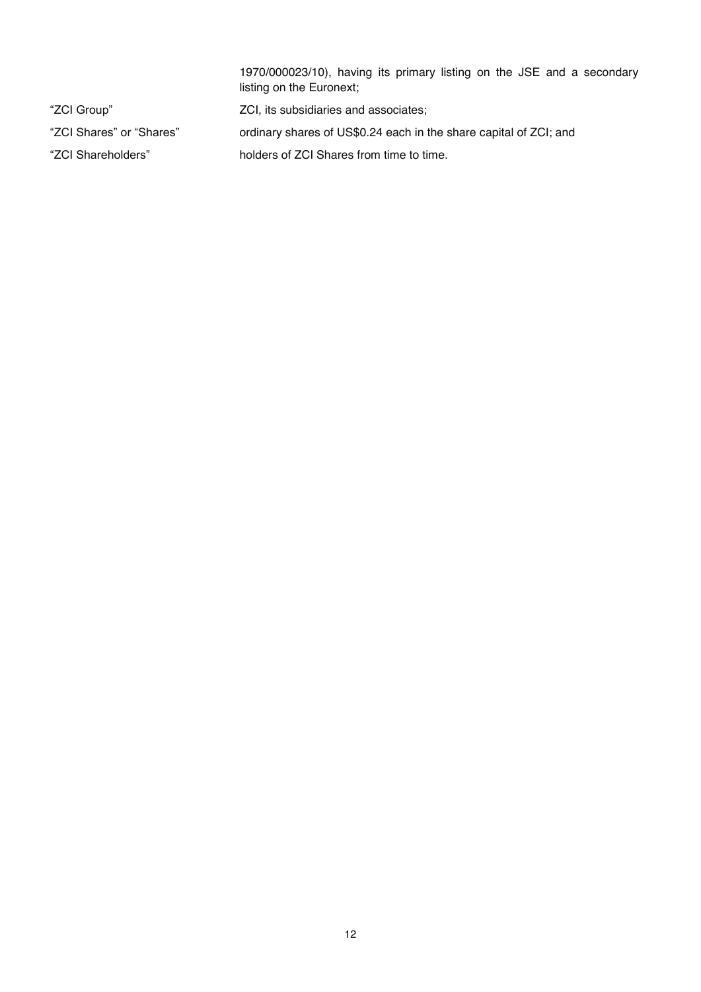|                          | 1970/000023/10), having its primary listing on the JSE and a secondary<br>listing on the Euronext; |
|--------------------------|----------------------------------------------------------------------------------------------------|
| "ZCI Group"              | ZCI, its subsidiaries and associates;                                                              |
| "ZCI Shares" or "Shares" | ordinary shares of US\$0.24 each in the share capital of ZCI; and                                  |
| "ZCI Shareholders"       | holders of ZCI Shares from time to time.                                                           |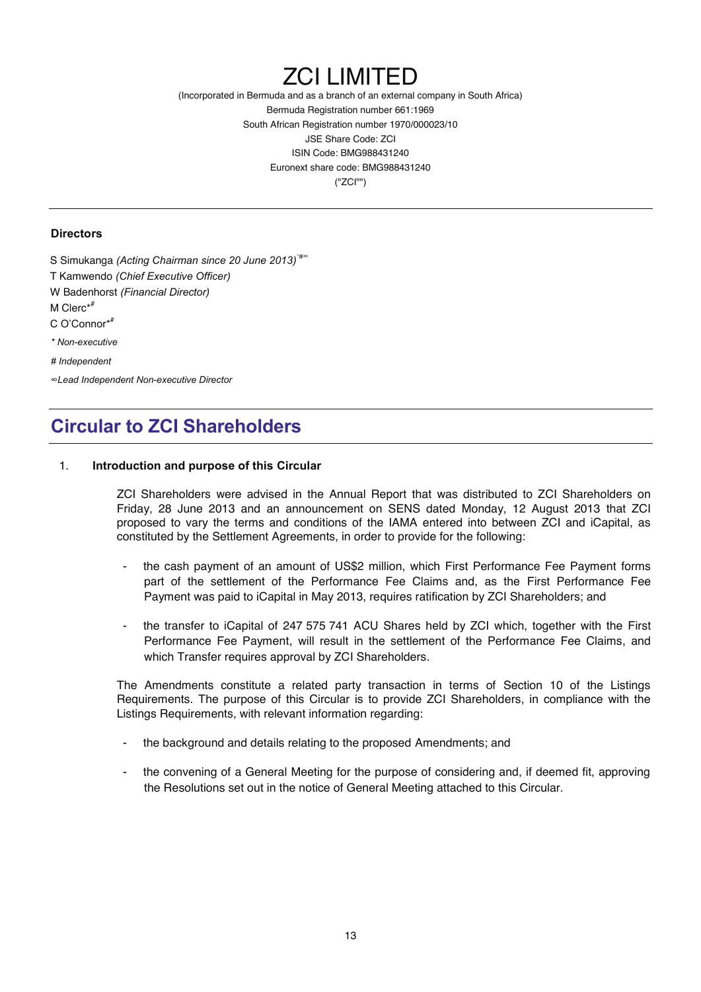# ZCI LIMITED

(Incorporated in Bermuda and as a branch of an external company in South Africa) Bermuda Registration number 661:1969 South African Registration number 1970/000023/10 JSE Share Code: ZCI ISIN Code: BMG988431240 Euronext share code: BMG988431240 ("ZCI"")

#### **Directors**

S Simukanga *(Acting Chairman since 20 June 2013)*\*#<sup>∞</sup> T Kamwendo *(Chief Executive Officer)* W Badenhorst *(Financial Director)*  M Clerc\*# C O'Connor\* # *\* Non-executive # Independent* 

*∞Lead Independent Non-executive Director* 

## **Circular to ZCI Shareholders**

#### 1. **Introduction and purpose of this Circular**

ZCI Shareholders were advised in the Annual Report that was distributed to ZCI Shareholders on Friday, 28 June 2013 and an announcement on SENS dated Monday, 12 August 2013 that ZCI proposed to vary the terms and conditions of the IAMA entered into between ZCI and iCapital, as constituted by the Settlement Agreements, in order to provide for the following:

- the cash payment of an amount of US\$2 million, which First Performance Fee Payment forms part of the settlement of the Performance Fee Claims and, as the First Performance Fee Payment was paid to iCapital in May 2013, requires ratification by ZCI Shareholders; and
- the transfer to iCapital of 247 575 741 ACU Shares held by ZCI which, together with the First Performance Fee Payment, will result in the settlement of the Performance Fee Claims, and which Transfer requires approval by ZCI Shareholders.

The Amendments constitute a related party transaction in terms of Section 10 of the Listings Requirements. The purpose of this Circular is to provide ZCI Shareholders, in compliance with the Listings Requirements, with relevant information regarding:

- the background and details relating to the proposed Amendments; and
- the convening of a General Meeting for the purpose of considering and, if deemed fit, approving the Resolutions set out in the notice of General Meeting attached to this Circular.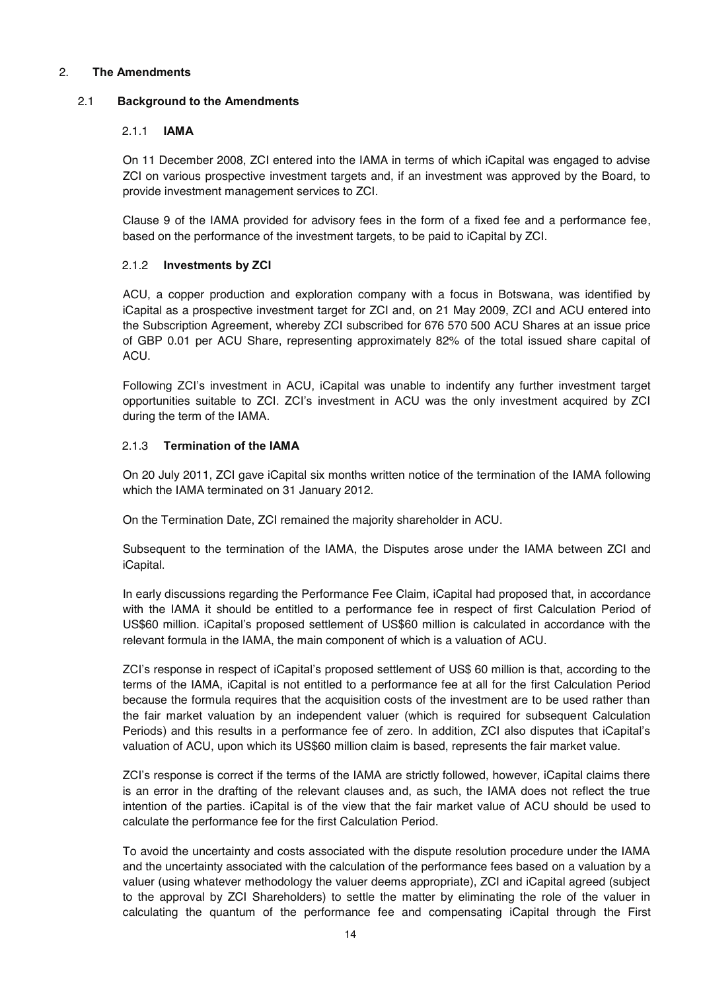#### 2. **The Amendments**

#### 2.1 **Background to the Amendments**

#### 2.1.1 **IAMA**

On 11 December 2008, ZCI entered into the IAMA in terms of which iCapital was engaged to advise ZCI on various prospective investment targets and, if an investment was approved by the Board, to provide investment management services to ZCI.

Clause 9 of the IAMA provided for advisory fees in the form of a fixed fee and a performance fee, based on the performance of the investment targets, to be paid to iCapital by ZCI.

#### 2.1.2 **Investments by ZCI**

ACU, a copper production and exploration company with a focus in Botswana, was identified by iCapital as a prospective investment target for ZCI and, on 21 May 2009, ZCI and ACU entered into the Subscription Agreement, whereby ZCI subscribed for 676 570 500 ACU Shares at an issue price of GBP 0.01 per ACU Share, representing approximately 82% of the total issued share capital of ACU.

Following ZCI's investment in ACU, iCapital was unable to indentify any further investment target opportunities suitable to ZCI. ZCI's investment in ACU was the only investment acquired by ZCI during the term of the IAMA.

#### 2.1.3 **Termination of the IAMA**

On 20 July 2011, ZCI gave iCapital six months written notice of the termination of the IAMA following which the IAMA terminated on 31 January 2012.

On the Termination Date, ZCI remained the majority shareholder in ACU.

Subsequent to the termination of the IAMA, the Disputes arose under the IAMA between ZCI and iCapital.

In early discussions regarding the Performance Fee Claim, iCapital had proposed that, in accordance with the IAMA it should be entitled to a performance fee in respect of first Calculation Period of US\$60 million. iCapital's proposed settlement of US\$60 million is calculated in accordance with the relevant formula in the IAMA, the main component of which is a valuation of ACU.

ZCI's response in respect of iCapital's proposed settlement of US\$ 60 million is that, according to the terms of the IAMA, iCapital is not entitled to a performance fee at all for the first Calculation Period because the formula requires that the acquisition costs of the investment are to be used rather than the fair market valuation by an independent valuer (which is required for subsequent Calculation Periods) and this results in a performance fee of zero. In addition, ZCI also disputes that iCapital's valuation of ACU, upon which its US\$60 million claim is based, represents the fair market value.

ZCI's response is correct if the terms of the IAMA are strictly followed, however, iCapital claims there is an error in the drafting of the relevant clauses and, as such, the IAMA does not reflect the true intention of the parties. iCapital is of the view that the fair market value of ACU should be used to calculate the performance fee for the first Calculation Period.

To avoid the uncertainty and costs associated with the dispute resolution procedure under the IAMA and the uncertainty associated with the calculation of the performance fees based on a valuation by a valuer (using whatever methodology the valuer deems appropriate), ZCI and iCapital agreed (subject to the approval by ZCI Shareholders) to settle the matter by eliminating the role of the valuer in calculating the quantum of the performance fee and compensating iCapital through the First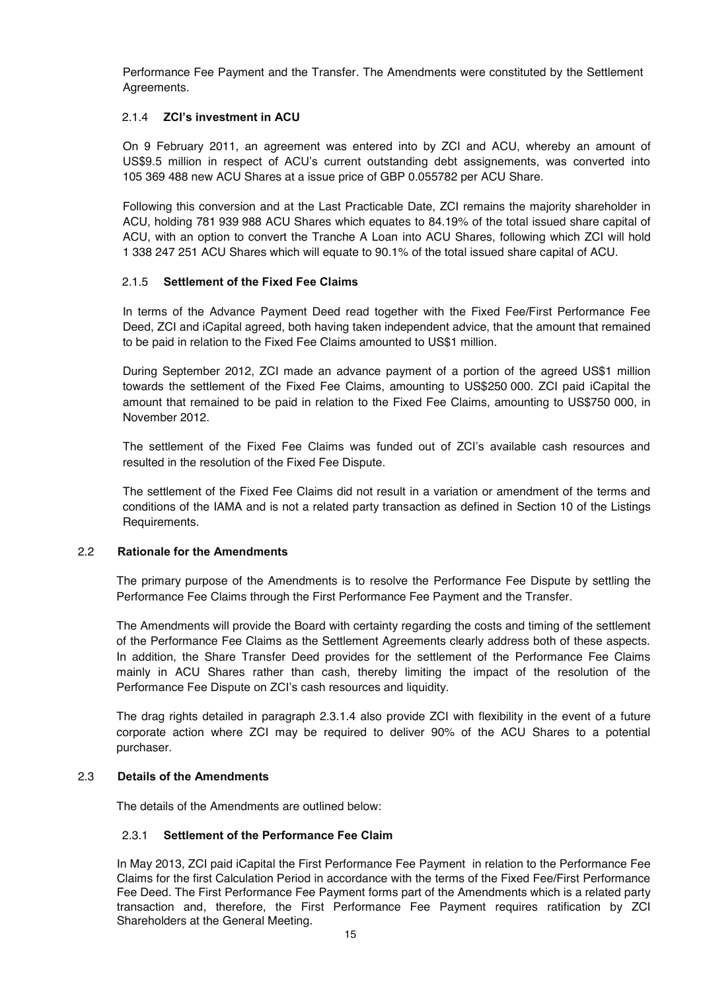Performance Fee Payment and the Transfer. The Amendments were constituted by the Settlement Agreements.

#### 2.1.4 **ZCI's investment in ACU**

On 9 February 2011, an agreement was entered into by ZCI and ACU, whereby an amount of US\$9.5 million in respect of ACU's current outstanding debt assignements, was converted into 105 369 488 new ACU Shares at a issue price of GBP 0.055782 per ACU Share.

Following this conversion and at the Last Practicable Date, ZCI remains the majority shareholder in ACU, holding 781 939 988 ACU Shares which equates to 84.19% of the total issued share capital of ACU, with an option to convert the Tranche A Loan into ACU Shares, following which ZCI will hold 1 338 247 251 ACU Shares which will equate to 90.1% of the total issued share capital of ACU.

#### 2.1.5 **Settlement of the Fixed Fee Claims**

In terms of the Advance Payment Deed read together with the Fixed Fee/First Performance Fee Deed, ZCI and iCapital agreed, both having taken independent advice, that the amount that remained to be paid in relation to the Fixed Fee Claims amounted to US\$1 million.

During September 2012, ZCI made an advance payment of a portion of the agreed US\$1 million towards the settlement of the Fixed Fee Claims, amounting to US\$250 000. ZCI paid iCapital the amount that remained to be paid in relation to the Fixed Fee Claims, amounting to US\$750 000, in November 2012.

The settlement of the Fixed Fee Claims was funded out of ZCI's available cash resources and resulted in the resolution of the Fixed Fee Dispute.

The settlement of the Fixed Fee Claims did not result in a variation or amendment of the terms and conditions of the IAMA and is not a related party transaction as defined in Section 10 of the Listings Requirements.

#### 2.2 **Rationale for the Amendments**

The primary purpose of the Amendments is to resolve the Performance Fee Dispute by settling the Performance Fee Claims through the First Performance Fee Payment and the Transfer.

The Amendments will provide the Board with certainty regarding the costs and timing of the settlement of the Performance Fee Claims as the Settlement Agreements clearly address both of these aspects. In addition, the Share Transfer Deed provides for the settlement of the Performance Fee Claims mainly in ACU Shares rather than cash, thereby limiting the impact of the resolution of the Performance Fee Dispute on ZCI's cash resources and liquidity.

The drag rights detailed in paragraph 2.3.1.4 also provide ZCI with flexibility in the event of a future corporate action where ZCI may be required to deliver 90% of the ACU Shares to a potential purchaser.

#### 2.3 **Details of the Amendments**

The details of the Amendments are outlined below:

#### 2.3.1 **Settlement of the Performance Fee Claim**

In May 2013, ZCI paid iCapital the First Performance Fee Payment in relation to the Performance Fee Claims for the first Calculation Period in accordance with the terms of the Fixed Fee/First Performance Fee Deed. The First Performance Fee Payment forms part of the Amendments which is a related party transaction and, therefore, the First Performance Fee Payment requires ratification by ZCI Shareholders at the General Meeting.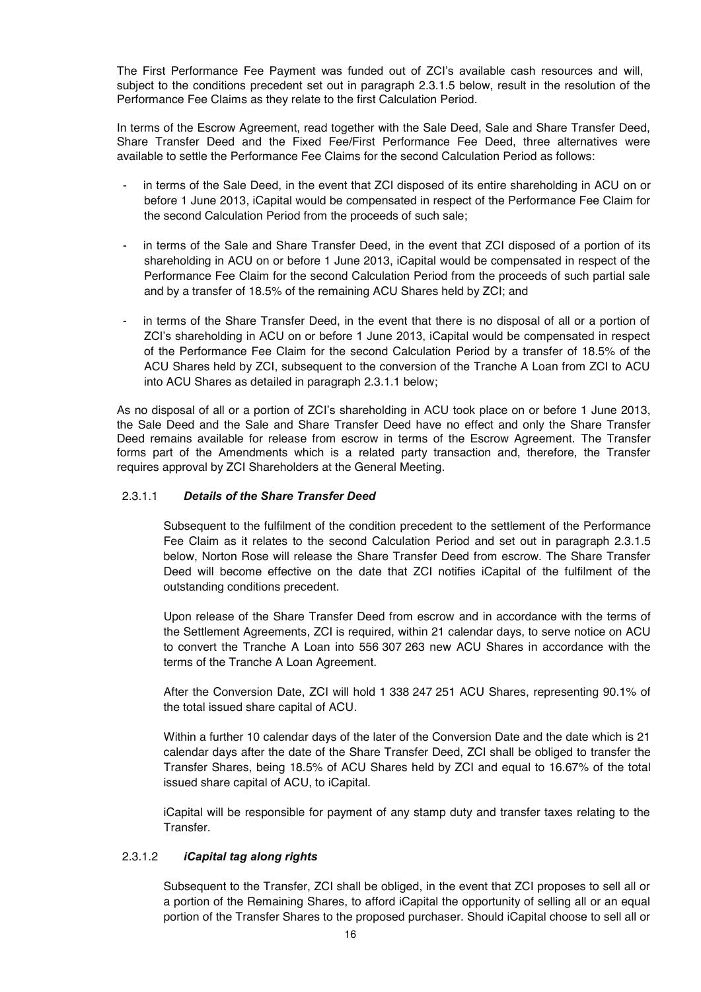The First Performance Fee Payment was funded out of ZCI's available cash resources and will, subject to the conditions precedent set out in paragraph 2.3.1.5 below, result in the resolution of the Performance Fee Claims as they relate to the first Calculation Period.

In terms of the Escrow Agreement, read together with the Sale Deed, Sale and Share Transfer Deed, Share Transfer Deed and the Fixed Fee/First Performance Fee Deed, three alternatives were available to settle the Performance Fee Claims for the second Calculation Period as follows:

- in terms of the Sale Deed, in the event that ZCI disposed of its entire shareholding in ACU on or before 1 June 2013, iCapital would be compensated in respect of the Performance Fee Claim for the second Calculation Period from the proceeds of such sale;
- in terms of the Sale and Share Transfer Deed, in the event that ZCI disposed of a portion of its shareholding in ACU on or before 1 June 2013, iCapital would be compensated in respect of the Performance Fee Claim for the second Calculation Period from the proceeds of such partial sale and by a transfer of 18.5% of the remaining ACU Shares held by ZCI; and
- in terms of the Share Transfer Deed, in the event that there is no disposal of all or a portion of ZCI's shareholding in ACU on or before 1 June 2013, iCapital would be compensated in respect of the Performance Fee Claim for the second Calculation Period by a transfer of 18.5% of the ACU Shares held by ZCI, subsequent to the conversion of the Tranche A Loan from ZCI to ACU into ACU Shares as detailed in paragraph 2.3.1.1 below;

As no disposal of all or a portion of ZCI's shareholding in ACU took place on or before 1 June 2013, the Sale Deed and the Sale and Share Transfer Deed have no effect and only the Share Transfer Deed remains available for release from escrow in terms of the Escrow Agreement. The Transfer forms part of the Amendments which is a related party transaction and, therefore, the Transfer requires approval by ZCI Shareholders at the General Meeting.

#### 2.3.1.1 *Details of the Share Transfer Deed*

Subsequent to the fulfilment of the condition precedent to the settlement of the Performance Fee Claim as it relates to the second Calculation Period and set out in paragraph 2.3.1.5 below, Norton Rose will release the Share Transfer Deed from escrow. The Share Transfer Deed will become effective on the date that ZCI notifies iCapital of the fulfilment of the outstanding conditions precedent.

Upon release of the Share Transfer Deed from escrow and in accordance with the terms of the Settlement Agreements, ZCI is required, within 21 calendar days, to serve notice on ACU to convert the Tranche A Loan into 556 307 263 new ACU Shares in accordance with the terms of the Tranche A Loan Agreement.

After the Conversion Date, ZCI will hold 1 338 247 251 ACU Shares, representing 90.1% of the total issued share capital of ACU.

Within a further 10 calendar days of the later of the Conversion Date and the date which is 21 calendar days after the date of the Share Transfer Deed, ZCI shall be obliged to transfer the Transfer Shares, being 18.5% of ACU Shares held by ZCI and equal to 16.67% of the total issued share capital of ACU, to iCapital.

iCapital will be responsible for payment of any stamp duty and transfer taxes relating to the Transfer.

#### 2.3.1.2 *iCapital tag along rights*

Subsequent to the Transfer, ZCI shall be obliged, in the event that ZCI proposes to sell all or a portion of the Remaining Shares, to afford iCapital the opportunity of selling all or an equal portion of the Transfer Shares to the proposed purchaser. Should iCapital choose to sell all or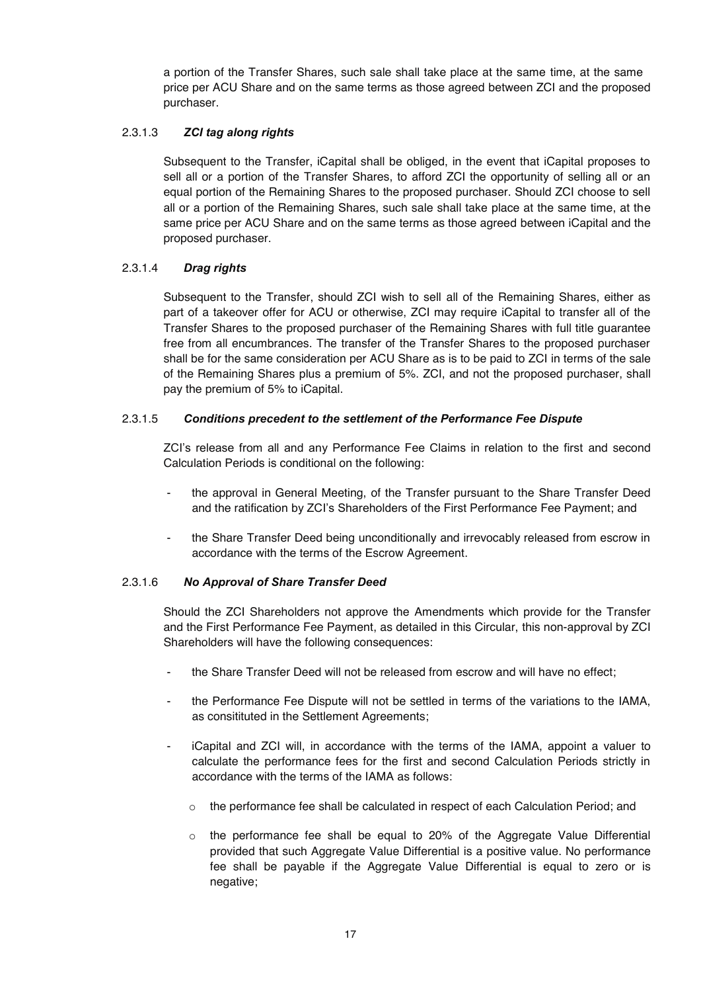a portion of the Transfer Shares, such sale shall take place at the same time, at the same price per ACU Share and on the same terms as those agreed between ZCI and the proposed purchaser.

#### 2.3.1.3 *ZCI tag along rights*

Subsequent to the Transfer, iCapital shall be obliged, in the event that iCapital proposes to sell all or a portion of the Transfer Shares, to afford ZCI the opportunity of selling all or an equal portion of the Remaining Shares to the proposed purchaser. Should ZCI choose to sell all or a portion of the Remaining Shares, such sale shall take place at the same time, at the same price per ACU Share and on the same terms as those agreed between iCapital and the proposed purchaser.

#### 2.3.1.4 *Drag rights*

Subsequent to the Transfer, should ZCI wish to sell all of the Remaining Shares, either as part of a takeover offer for ACU or otherwise, ZCI may require iCapital to transfer all of the Transfer Shares to the proposed purchaser of the Remaining Shares with full title guarantee free from all encumbrances. The transfer of the Transfer Shares to the proposed purchaser shall be for the same consideration per ACU Share as is to be paid to ZCI in terms of the sale of the Remaining Shares plus a premium of 5%. ZCI, and not the proposed purchaser, shall pay the premium of 5% to iCapital.

#### 2.3.1.5 *Conditions precedent to the settlement of the Performance Fee Dispute*

ZCI's release from all and any Performance Fee Claims in relation to the first and second Calculation Periods is conditional on the following:

- the approval in General Meeting, of the Transfer pursuant to the Share Transfer Deed and the ratification by ZCI's Shareholders of the First Performance Fee Payment; and
- the Share Transfer Deed being unconditionally and irrevocably released from escrow in accordance with the terms of the Escrow Agreement.

#### 2.3.1.6 *No Approval of Share Transfer Deed*

Should the ZCI Shareholders not approve the Amendments which provide for the Transfer and the First Performance Fee Payment, as detailed in this Circular, this non-approval by ZCI Shareholders will have the following consequences:

- the Share Transfer Deed will not be released from escrow and will have no effect;
- the Performance Fee Dispute will not be settled in terms of the variations to the IAMA, as consitituted in the Settlement Agreements;
- iCapital and ZCI will, in accordance with the terms of the IAMA, appoint a valuer to calculate the performance fees for the first and second Calculation Periods strictly in accordance with the terms of the IAMA as follows:
	- $\circ$  the performance fee shall be calculated in respect of each Calculation Period; and
	- $\circ$  the performance fee shall be equal to 20% of the Aggregate Value Differential provided that such Aggregate Value Differential is a positive value. No performance fee shall be payable if the Aggregate Value Differential is equal to zero or is negative;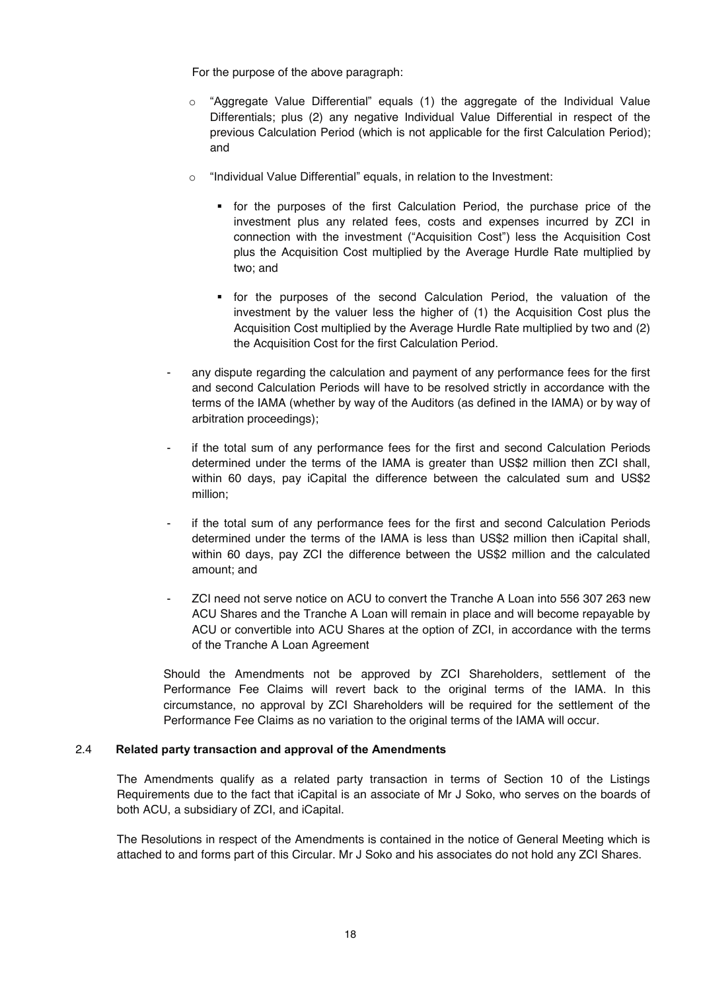For the purpose of the above paragraph:

- $\circ$  "Aggregate Value Differential" equals (1) the aggregate of the Individual Value Differentials; plus (2) any negative Individual Value Differential in respect of the previous Calculation Period (which is not applicable for the first Calculation Period); and
- o "Individual Value Differential" equals, in relation to the Investment:
	- for the purposes of the first Calculation Period, the purchase price of the investment plus any related fees, costs and expenses incurred by ZCI in connection with the investment ("Acquisition Cost") less the Acquisition Cost plus the Acquisition Cost multiplied by the Average Hurdle Rate multiplied by two; and
	- for the purposes of the second Calculation Period, the valuation of the investment by the valuer less the higher of (1) the Acquisition Cost plus the Acquisition Cost multiplied by the Average Hurdle Rate multiplied by two and (2) the Acquisition Cost for the first Calculation Period.
- any dispute regarding the calculation and payment of any performance fees for the first and second Calculation Periods will have to be resolved strictly in accordance with the terms of the IAMA (whether by way of the Auditors (as defined in the IAMA) or by way of arbitration proceedings);
- if the total sum of any performance fees for the first and second Calculation Periods determined under the terms of the IAMA is greater than US\$2 million then ZCI shall, within 60 days, pay iCapital the difference between the calculated sum and US\$2 million;
- if the total sum of any performance fees for the first and second Calculation Periods determined under the terms of the IAMA is less than US\$2 million then iCapital shall, within 60 days, pay ZCI the difference between the US\$2 million and the calculated amount; and
- ZCI need not serve notice on ACU to convert the Tranche A Loan into 556 307 263 new ACU Shares and the Tranche A Loan will remain in place and will become repayable by ACU or convertible into ACU Shares at the option of ZCI, in accordance with the terms of the Tranche A Loan Agreement

Should the Amendments not be approved by ZCI Shareholders, settlement of the Performance Fee Claims will revert back to the original terms of the IAMA. In this circumstance, no approval by ZCI Shareholders will be required for the settlement of the Performance Fee Claims as no variation to the original terms of the IAMA will occur.

#### 2.4 **Related party transaction and approval of the Amendments**

The Amendments qualify as a related party transaction in terms of Section 10 of the Listings Requirements due to the fact that iCapital is an associate of Mr J Soko, who serves on the boards of both ACU, a subsidiary of ZCI, and iCapital.

The Resolutions in respect of the Amendments is contained in the notice of General Meeting which is attached to and forms part of this Circular. Mr J Soko and his associates do not hold any ZCI Shares.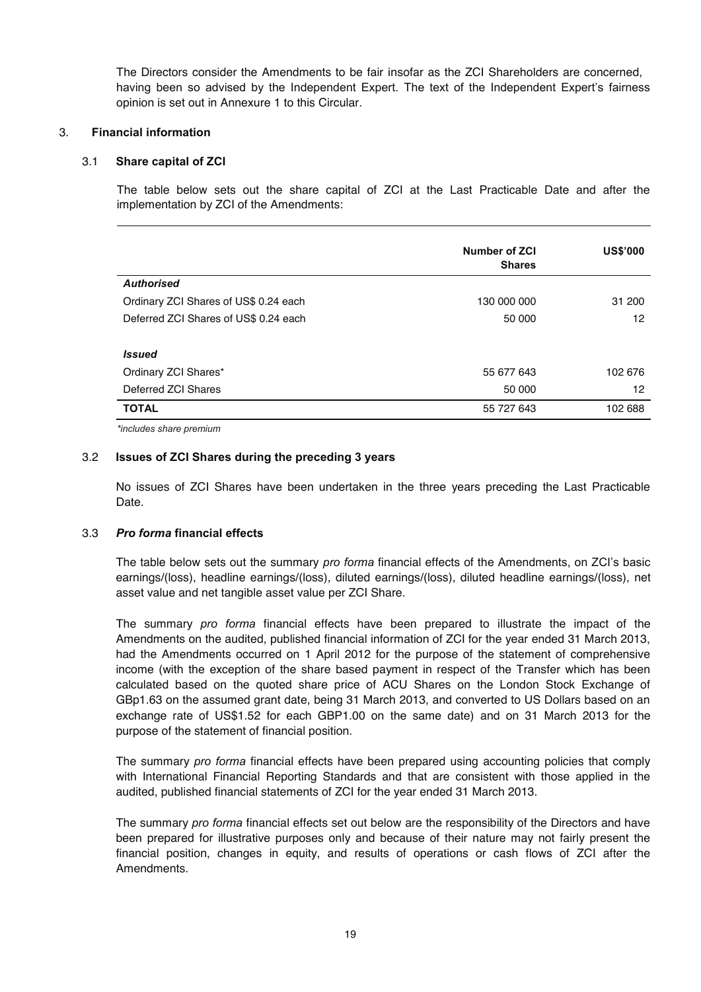The Directors consider the Amendments to be fair insofar as the ZCI Shareholders are concerned, having been so advised by the Independent Expert. The text of the Independent Expert's fairness opinion is set out in Annexure 1 to this Circular.

#### 3. **Financial information**

#### 3.1 **Share capital of ZCI**

The table below sets out the share capital of ZCI at the Last Practicable Date and after the implementation by ZCI of the Amendments:

|                                       | Number of ZCI<br><b>Shares</b> | <b>US\$'000</b> |
|---------------------------------------|--------------------------------|-----------------|
| <b>Authorised</b>                     |                                |                 |
| Ordinary ZCI Shares of US\$ 0.24 each | 130 000 000                    | 31 200          |
| Deferred ZCI Shares of US\$ 0.24 each | 50 000                         | 12              |
|                                       |                                |                 |
| <b>Issued</b>                         |                                |                 |
| Ordinary ZCI Shares*                  | 55 677 643                     | 102 676         |
| Deferred ZCI Shares                   | 50 000                         | 12              |
| <b>TOTAL</b>                          | 55 727 643                     | 102 688         |

*\*includes share premium* 

#### 3.2 **Issues of ZCI Shares during the preceding 3 years**

No issues of ZCI Shares have been undertaken in the three years preceding the Last Practicable Date.

#### 3.3 *Pro forma* **financial effects**

The table below sets out the summary *pro forma* financial effects of the Amendments, on ZCI's basic earnings/(loss), headline earnings/(loss), diluted earnings/(loss), diluted headline earnings/(loss), net asset value and net tangible asset value per ZCI Share.

The summary *pro forma* financial effects have been prepared to illustrate the impact of the Amendments on the audited, published financial information of ZCI for the year ended 31 March 2013, had the Amendments occurred on 1 April 2012 for the purpose of the statement of comprehensive income (with the exception of the share based payment in respect of the Transfer which has been calculated based on the quoted share price of ACU Shares on the London Stock Exchange of GBp1.63 on the assumed grant date, being 31 March 2013, and converted to US Dollars based on an exchange rate of US\$1.52 for each GBP1.00 on the same date) and on 31 March 2013 for the purpose of the statement of financial position.

The summary *pro forma* financial effects have been prepared using accounting policies that comply with International Financial Reporting Standards and that are consistent with those applied in the audited, published financial statements of ZCI for the year ended 31 March 2013.

The summary *pro forma* financial effects set out below are the responsibility of the Directors and have been prepared for illustrative purposes only and because of their nature may not fairly present the financial position, changes in equity, and results of operations or cash flows of ZCI after the Amendments.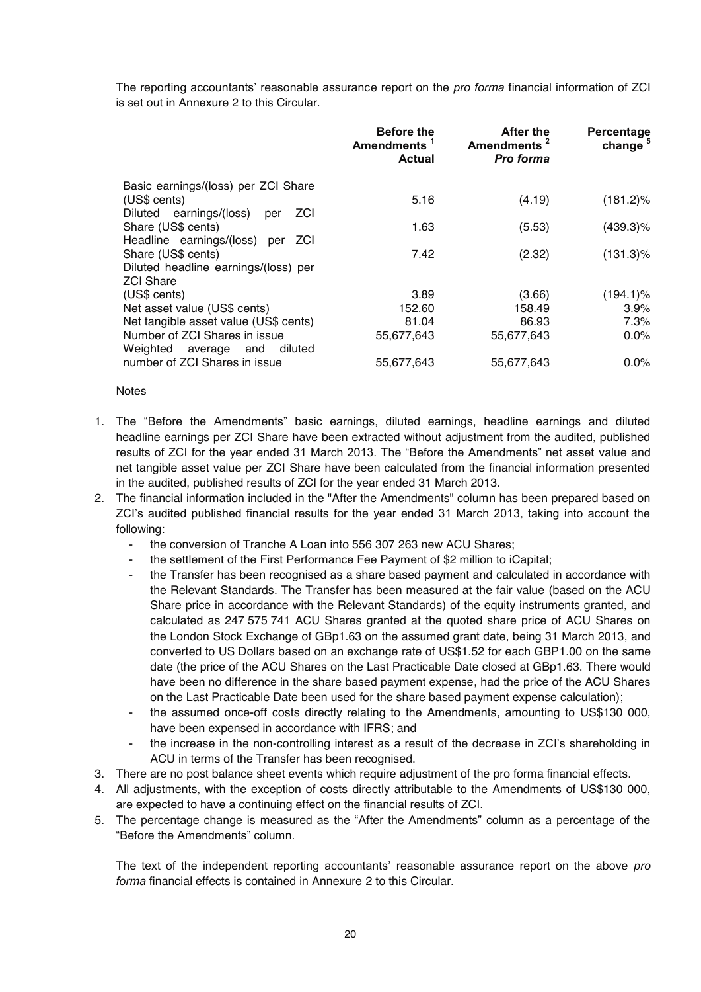The reporting accountants' reasonable assurance report on the *pro forma* financial information of ZCI is set out in Annexure 2 to this Circular.

|                                            | <b>Before the</b><br>Amendments <sup>1</sup><br>Actual | After the<br>Amendments <sup>2</sup><br><b>Pro forma</b> | Percentage<br>change |
|--------------------------------------------|--------------------------------------------------------|----------------------------------------------------------|----------------------|
| Basic earnings/(loss) per ZCI Share        |                                                        |                                                          |                      |
| (US\$ cents)                               | 5.16                                                   | (4.19)                                                   | $(181.2)\%$          |
| Diluted earnings/(loss)<br>ZCI<br>per      |                                                        |                                                          |                      |
| Share (US\$ cents)                         | 1.63                                                   | (5.53)                                                   | $(439.3)\%$          |
| Headline earnings/(loss) per<br><b>ZCI</b> |                                                        |                                                          |                      |
| Share (US\$ cents)                         | 7.42                                                   | (2.32)                                                   | $(131.3)\%$          |
| Diluted headline earnings/(loss) per       |                                                        |                                                          |                      |
| <b>ZCI Share</b>                           |                                                        |                                                          |                      |
| (US\$ cents)                               | 3.89                                                   | (3.66)                                                   | $(194.1)\%$          |
| Net asset value (US\$ cents)               | 152.60                                                 | 158.49                                                   | 3.9%                 |
| Net tangible asset value (US\$ cents)      | 81.04                                                  | 86.93                                                    | 7.3%                 |
| Number of ZCI Shares in issue              | 55,677,643                                             | 55,677,643                                               | 0.0%                 |
| Weighted average and<br>diluted            |                                                        |                                                          |                      |
| number of ZCI Shares in issue              | 55,677,643                                             | 55,677,643                                               | 0.0%                 |

#### **Notes**

- 1. The "Before the Amendments" basic earnings, diluted earnings, headline earnings and diluted headline earnings per ZCI Share have been extracted without adjustment from the audited, published results of ZCI for the year ended 31 March 2013. The "Before the Amendments" net asset value and net tangible asset value per ZCI Share have been calculated from the financial information presented in the audited, published results of ZCI for the year ended 31 March 2013.
- 2. The financial information included in the "After the Amendments" column has been prepared based on ZCI's audited published financial results for the year ended 31 March 2013, taking into account the following:
	- the conversion of Tranche A Loan into 556 307 263 new ACU Shares;
	- the settlement of the First Performance Fee Payment of \$2 million to iCapital;
	- the Transfer has been recognised as a share based payment and calculated in accordance with the Relevant Standards. The Transfer has been measured at the fair value (based on the ACU Share price in accordance with the Relevant Standards) of the equity instruments granted, and calculated as 247 575 741 ACU Shares granted at the quoted share price of ACU Shares on the London Stock Exchange of GBp1.63 on the assumed grant date, being 31 March 2013, and converted to US Dollars based on an exchange rate of US\$1.52 for each GBP1.00 on the same date (the price of the ACU Shares on the Last Practicable Date closed at GBp1.63. There would have been no difference in the share based payment expense, had the price of the ACU Shares on the Last Practicable Date been used for the share based payment expense calculation);
	- the assumed once-off costs directly relating to the Amendments, amounting to US\$130 000, have been expensed in accordance with IFRS; and
	- the increase in the non-controlling interest as a result of the decrease in ZCI's shareholding in ACU in terms of the Transfer has been recognised.
- 3. There are no post balance sheet events which require adjustment of the pro forma financial effects.
- 4. All adjustments, with the exception of costs directly attributable to the Amendments of US\$130 000, are expected to have a continuing effect on the financial results of ZCI.
- 5. The percentage change is measured as the "After the Amendments" column as a percentage of the "Before the Amendments" column.

The text of the independent reporting accountants' reasonable assurance report on the above *pro forma* financial effects is contained in Annexure 2 to this Circular.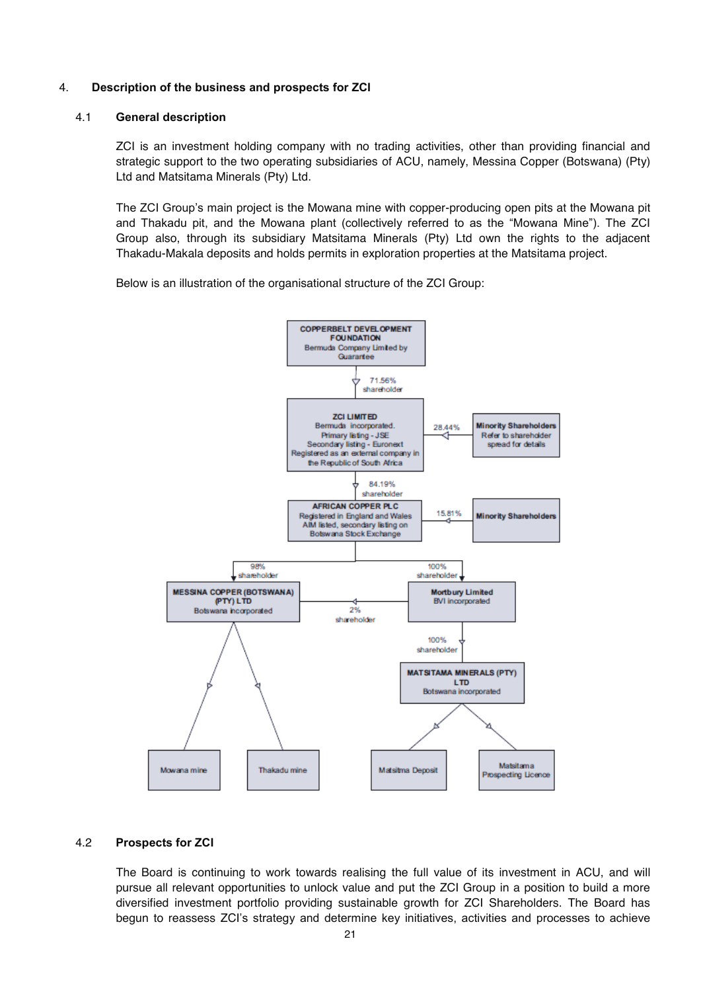#### 4. **Description of the business and prospects for ZCI**

#### 4.1 **General description**

ZCI is an investment holding company with no trading activities, other than providing financial and strategic support to the two operating subsidiaries of ACU, namely, Messina Copper (Botswana) (Pty) Ltd and Matsitama Minerals (Pty) Ltd.

The ZCI Group's main project is the Mowana mine with copper-producing open pits at the Mowana pit and Thakadu pit, and the Mowana plant (collectively referred to as the "Mowana Mine"). The ZCI Group also, through its subsidiary Matsitama Minerals (Pty) Ltd own the rights to the adjacent Thakadu-Makala deposits and holds permits in exploration properties at the Matsitama project.

Below is an illustration of the organisational structure of the ZCI Group:



#### 4.2 **Prospects for ZCI**

The Board is continuing to work towards realising the full value of its investment in ACU, and will pursue all relevant opportunities to unlock value and put the ZCI Group in a position to build a more diversified investment portfolio providing sustainable growth for ZCI Shareholders. The Board has begun to reassess ZCI's strategy and determine key initiatives, activities and processes to achieve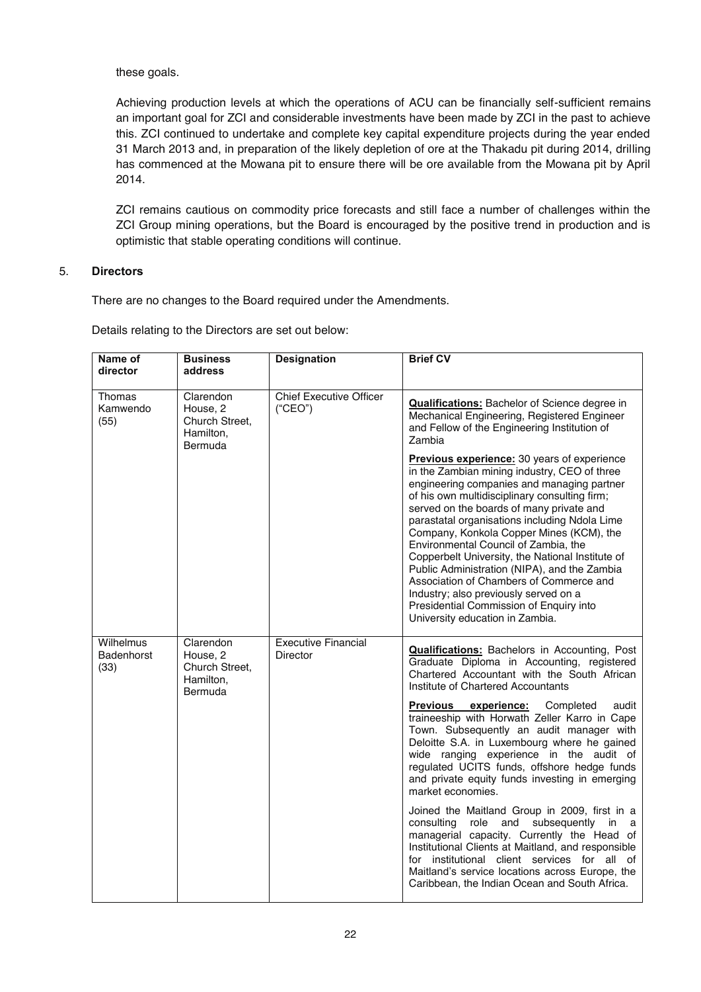these goals.

Achieving production levels at which the operations of ACU can be financially self-sufficient remains an important goal for ZCI and considerable investments have been made by ZCI in the past to achieve this. ZCI continued to undertake and complete key capital expenditure projects during the year ended 31 March 2013 and, in preparation of the likely depletion of ore at the Thakadu pit during 2014, drilling has commenced at the Mowana pit to ensure there will be ore available from the Mowana pit by April 2014.

ZCI remains cautious on commodity price forecasts and still face a number of challenges within the ZCI Group mining operations, but the Board is encouraged by the positive trend in production and is optimistic that stable operating conditions will continue.

#### 5. **Directors**

There are no changes to the Board required under the Amendments.

Details relating to the Directors are set out below:

| Name of<br>director                    | <b>Business</b><br>address                                      | <b>Designation</b>                        | <b>Brief CV</b>                                                                                                                                                                                                                                                                                                                                                                                                                                                                                                                                                                                                                                                                                                                                                                                                                                                                                                     |
|----------------------------------------|-----------------------------------------------------------------|-------------------------------------------|---------------------------------------------------------------------------------------------------------------------------------------------------------------------------------------------------------------------------------------------------------------------------------------------------------------------------------------------------------------------------------------------------------------------------------------------------------------------------------------------------------------------------------------------------------------------------------------------------------------------------------------------------------------------------------------------------------------------------------------------------------------------------------------------------------------------------------------------------------------------------------------------------------------------|
| Thomas<br>Kamwendo<br>(55)             | Clarendon<br>House, 2<br>Church Street,<br>Hamilton,<br>Bermuda | <b>Chief Executive Officer</b><br>("CEO") | <b>Qualifications:</b> Bachelor of Science degree in<br>Mechanical Engineering, Registered Engineer<br>and Fellow of the Engineering Institution of<br>Zambia<br>Previous experience: 30 years of experience<br>in the Zambian mining industry, CEO of three<br>engineering companies and managing partner<br>of his own multidisciplinary consulting firm;<br>served on the boards of many private and<br>parastatal organisations including Ndola Lime<br>Company, Konkola Copper Mines (KCM), the<br>Environmental Council of Zambia, the<br>Copperbelt University, the National Institute of<br>Public Administration (NIPA), and the Zambia<br>Association of Chambers of Commerce and<br>Industry; also previously served on a<br>Presidential Commission of Enquiry into<br>University education in Zambia.                                                                                                  |
| Wilhelmus<br><b>Badenhorst</b><br>(33) | Clarendon<br>House, 2<br>Church Street,<br>Hamilton,<br>Bermuda | <b>Executive Financial</b><br>Director    | <b>Qualifications:</b> Bachelors in Accounting, Post<br>Graduate Diploma in Accounting, registered<br>Chartered Accountant with the South African<br>Institute of Chartered Accountants<br>Previous<br>experience:<br>Completed<br>audit<br>traineeship with Horwath Zeller Karro in Cape<br>Town. Subsequently an audit manager with<br>Deloitte S.A. in Luxembourg where he gained<br>wide ranging experience in the audit of<br>regulated UCITS funds, offshore hedge funds<br>and private equity funds investing in emerging<br>market economies.<br>Joined the Maitland Group in 2009, first in a<br>consulting<br>role<br>subsequently in<br>and<br>a<br>managerial capacity. Currently the Head of<br>Institutional Clients at Maitland, and responsible<br>for institutional client services for all of<br>Maitland's service locations across Europe, the<br>Caribbean, the Indian Ocean and South Africa. |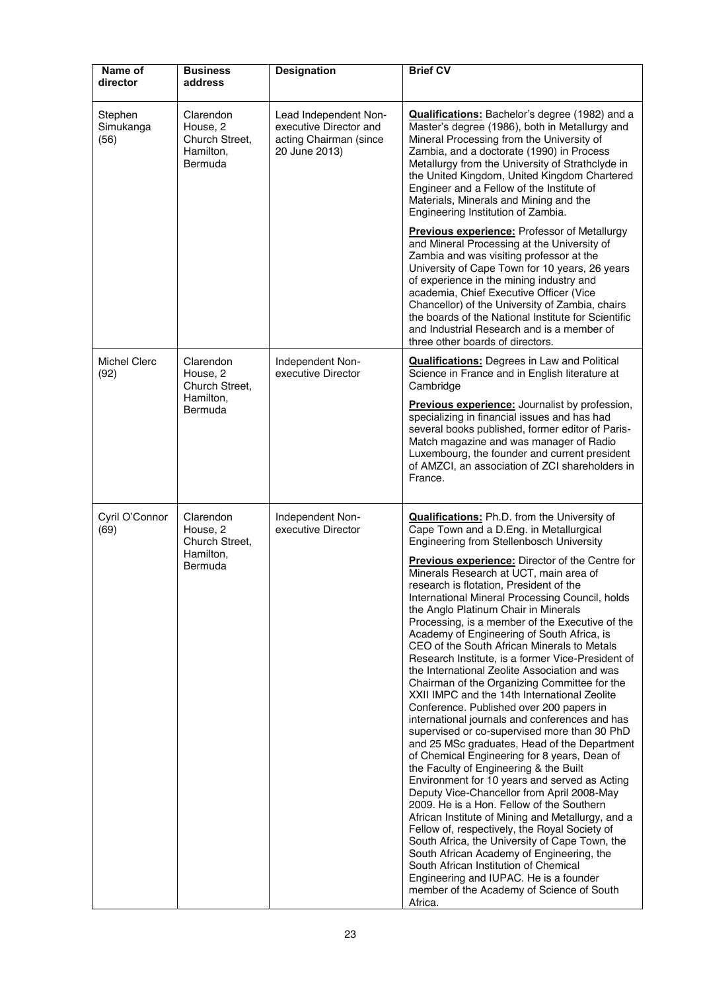| Name of<br>director          | <b>Business</b><br>address                                      | <b>Designation</b>                                                                         | <b>Brief CV</b>                                                                                                                                                                                                                                                                                                                                                                                                                                                                                                                                                                                                                                                                                                                                                                                                                                                                                                                                                                                                                                                                                                                                                                                                                                                                                                                                                                                                                                                                                                         |
|------------------------------|-----------------------------------------------------------------|--------------------------------------------------------------------------------------------|-------------------------------------------------------------------------------------------------------------------------------------------------------------------------------------------------------------------------------------------------------------------------------------------------------------------------------------------------------------------------------------------------------------------------------------------------------------------------------------------------------------------------------------------------------------------------------------------------------------------------------------------------------------------------------------------------------------------------------------------------------------------------------------------------------------------------------------------------------------------------------------------------------------------------------------------------------------------------------------------------------------------------------------------------------------------------------------------------------------------------------------------------------------------------------------------------------------------------------------------------------------------------------------------------------------------------------------------------------------------------------------------------------------------------------------------------------------------------------------------------------------------------|
| Stephen<br>Simukanga<br>(56) | Clarendon<br>House, 2<br>Church Street,<br>Hamilton,<br>Bermuda | Lead Independent Non-<br>executive Director and<br>acting Chairman (since<br>20 June 2013) | <b>Qualifications:</b> Bachelor's degree (1982) and a<br>Master's degree (1986), both in Metallurgy and<br>Mineral Processing from the University of<br>Zambia, and a doctorate (1990) in Process<br>Metallurgy from the University of Strathclyde in<br>the United Kingdom, United Kingdom Chartered<br>Engineer and a Fellow of the Institute of<br>Materials, Minerals and Mining and the<br>Engineering Institution of Zambia.                                                                                                                                                                                                                                                                                                                                                                                                                                                                                                                                                                                                                                                                                                                                                                                                                                                                                                                                                                                                                                                                                      |
|                              |                                                                 |                                                                                            | <b>Previous experience:</b> Professor of Metallurgy<br>and Mineral Processing at the University of<br>Zambia and was visiting professor at the<br>University of Cape Town for 10 years, 26 years<br>of experience in the mining industry and<br>academia, Chief Executive Officer (Vice<br>Chancellor) of the University of Zambia, chairs<br>the boards of the National Institute for Scientific<br>and Industrial Research and is a member of<br>three other boards of directors.                                                                                                                                                                                                                                                                                                                                                                                                                                                                                                                                                                                                                                                                                                                                                                                                                                                                                                                                                                                                                                     |
| <b>Michel Clerc</b><br>(92)  | Clarendon<br>House, 2<br>Church Street,                         | Independent Non-<br>executive Director                                                     | <b>Qualifications:</b> Degrees in Law and Political<br>Science in France and in English literature at<br>Cambridge                                                                                                                                                                                                                                                                                                                                                                                                                                                                                                                                                                                                                                                                                                                                                                                                                                                                                                                                                                                                                                                                                                                                                                                                                                                                                                                                                                                                      |
|                              | Hamilton,<br>Bermuda                                            |                                                                                            | Previous experience: Journalist by profession,<br>specializing in financial issues and has had<br>several books published, former editor of Paris-<br>Match magazine and was manager of Radio<br>Luxembourg, the founder and current president<br>of AMZCI, an association of ZCI shareholders in<br>France.                                                                                                                                                                                                                                                                                                                                                                                                                                                                                                                                                                                                                                                                                                                                                                                                                                                                                                                                                                                                                                                                                                                                                                                                            |
| Cyril O'Connor<br>(69)       | Clarendon<br>House, 2<br>Church Street,<br>Hamilton,<br>Bermuda | Independent Non-<br>executive Director                                                     | <b>Qualifications:</b> Ph.D. from the University of<br>Cape Town and a D.Eng. in Metallurgical<br>Engineering from Stellenbosch University<br>Previous experience: Director of the Centre for<br>Minerals Research at UCT, main area of<br>research is flotation, President of the<br>International Mineral Processing Council, holds<br>the Anglo Platinum Chair in Minerals<br>Processing, is a member of the Executive of the<br>Academy of Engineering of South Africa, is<br>CEO of the South African Minerals to Metals<br>Research Institute, is a former Vice-President of<br>the International Zeolite Association and was<br>Chairman of the Organizing Committee for the<br>XXII IMPC and the 14th International Zeolite<br>Conference. Published over 200 papers in<br>international journals and conferences and has<br>supervised or co-supervised more than 30 PhD<br>and 25 MSc graduates, Head of the Department<br>of Chemical Engineering for 8 years, Dean of<br>the Faculty of Engineering & the Built<br>Environment for 10 years and served as Acting<br>Deputy Vice-Chancellor from April 2008-May<br>2009. He is a Hon. Fellow of the Southern<br>African Institute of Mining and Metallurgy, and a<br>Fellow of, respectively, the Royal Society of<br>South Africa, the University of Cape Town, the<br>South African Academy of Engineering, the<br>South African Institution of Chemical<br>Engineering and IUPAC. He is a founder<br>member of the Academy of Science of South<br>Africa. |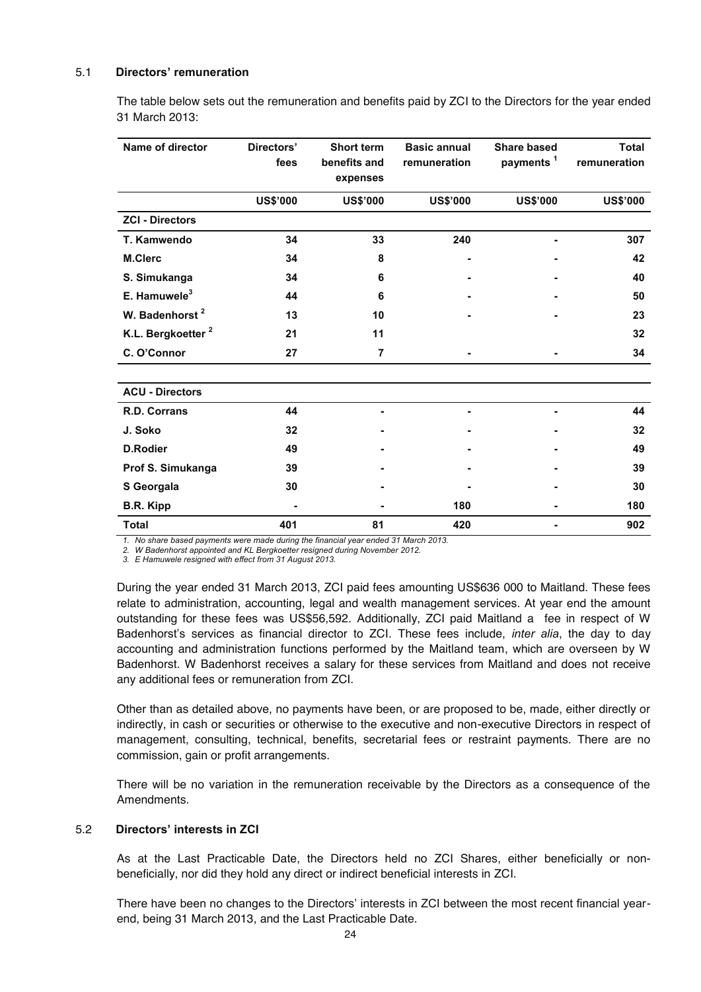#### 5.1 **Directors' remuneration**

The table below sets out the remuneration and benefits paid by ZCI to the Directors for the year ended 31 March 2013:

| Name of director              | Directors'      | <b>Short term</b> | <b>Basic annual</b> | <b>Share based</b>    | <b>Total</b>    |
|-------------------------------|-----------------|-------------------|---------------------|-----------------------|-----------------|
|                               | fees            | benefits and      | remuneration        | payments <sup>1</sup> | remuneration    |
|                               |                 | expenses          |                     |                       |                 |
|                               | <b>US\$'000</b> | <b>US\$'000</b>   | <b>US\$'000</b>     | <b>US\$'000</b>       | <b>US\$'000</b> |
| <b>ZCI - Directors</b>        |                 |                   |                     |                       |                 |
| T. Kamwendo                   | 34              | 33                | 240                 |                       | 307             |
| <b>M.Clerc</b>                | 34              | 8                 |                     |                       | 42              |
| S. Simukanga                  | 34              | 6                 |                     |                       | 40              |
| E. Hamuwele <sup>3</sup>      | 44              | 6                 |                     |                       | 50              |
| W. Badenhorst <sup>2</sup>    | 13              | 10                |                     |                       | 23              |
| K.L. Bergkoetter <sup>2</sup> | 21              | 11                |                     |                       | 32              |
| C. O'Connor                   | 27              | $\overline{7}$    |                     |                       | 34              |
|                               |                 |                   |                     |                       |                 |
| <b>ACU - Directors</b>        |                 |                   |                     |                       |                 |
| R.D. Corrans                  | 44              |                   |                     |                       | 44              |
| J. Soko                       | 32              |                   |                     |                       | 32              |
| <b>D.Rodier</b>               | 49              |                   |                     |                       | 49              |
| Prof S. Simukanga             | 39              |                   |                     |                       | 39              |
| S Georgala                    | 30              |                   |                     |                       | 30              |
| B.R. Kipp                     |                 |                   | 180                 |                       | 180             |
| <b>Total</b>                  | 401             | 81                | 420                 |                       | 902             |

*1. No share based payments were made during the financial year ended 31 March 2013.* 

*2. W Badenhorst appointed and KL Bergkoetter resigned during November 2012.* 

*3. E Hamuwele resigned with effect from 31 August 2013.* 

During the year ended 31 March 2013, ZCI paid fees amounting US\$636 000 to Maitland. These fees relate to administration, accounting, legal and wealth management services. At year end the amount outstanding for these fees was US\$56,592. Additionally, ZCI paid Maitland a fee in respect of W Badenhorst's services as financial director to ZCI. These fees include, *inter alia*, the day to day accounting and administration functions performed by the Maitland team, which are overseen by W Badenhorst. W Badenhorst receives a salary for these services from Maitland and does not receive any additional fees or remuneration from ZCI.

Other than as detailed above, no payments have been, or are proposed to be, made, either directly or indirectly, in cash or securities or otherwise to the executive and non-executive Directors in respect of management, consulting, technical, benefits, secretarial fees or restraint payments. There are no commission, gain or profit arrangements.

There will be no variation in the remuneration receivable by the Directors as a consequence of the Amendments.

#### 5.2 **Directors' interests in ZCI**

As at the Last Practicable Date, the Directors held no ZCI Shares, either beneficially or nonbeneficially, nor did they hold any direct or indirect beneficial interests in ZCI.

There have been no changes to the Directors' interests in ZCI between the most recent financial yearend, being 31 March 2013, and the Last Practicable Date.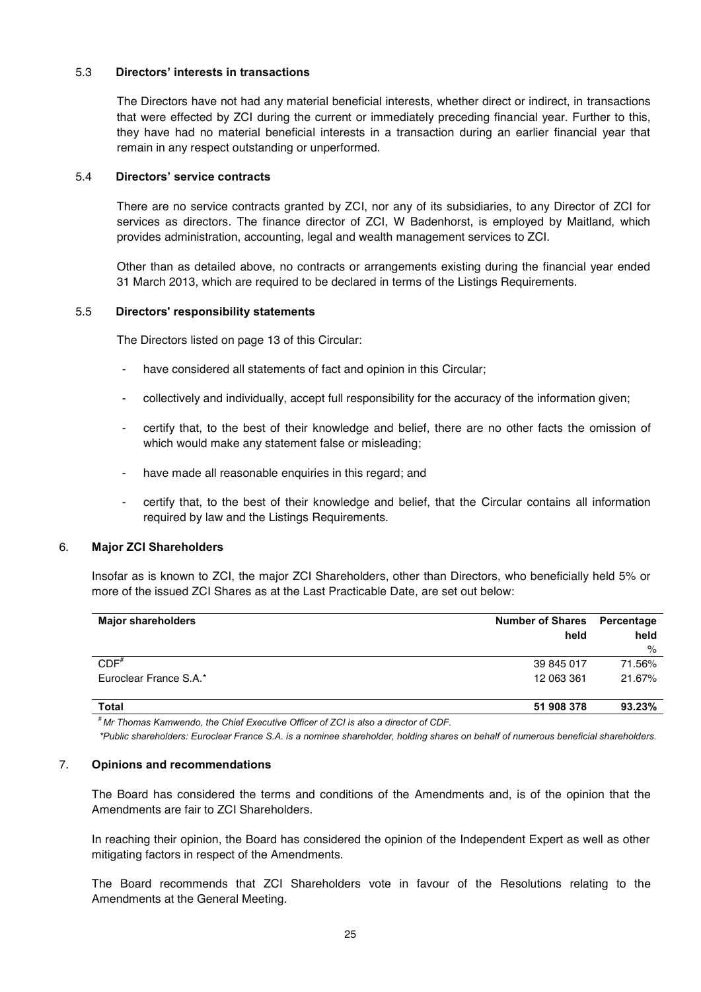#### 5.3 **Directors' interests in transactions**

The Directors have not had any material beneficial interests, whether direct or indirect, in transactions that were effected by ZCI during the current or immediately preceding financial year. Further to this, they have had no material beneficial interests in a transaction during an earlier financial year that remain in any respect outstanding or unperformed.

#### 5.4 **Directors' service contracts**

There are no service contracts granted by ZCI, nor any of its subsidiaries, to any Director of ZCI for services as directors. The finance director of ZCI, W Badenhorst, is employed by Maitland, which provides administration, accounting, legal and wealth management services to ZCI.

Other than as detailed above, no contracts or arrangements existing during the financial year ended 31 March 2013, which are required to be declared in terms of the Listings Requirements.

#### 5.5 **Directors' responsibility statements**

The Directors listed on page 13 of this Circular:

- have considered all statements of fact and opinion in this Circular;
- collectively and individually, accept full responsibility for the accuracy of the information given;
- certify that, to the best of their knowledge and belief, there are no other facts the omission of which would make any statement false or misleading;
- have made all reasonable enquiries in this regard; and
- certify that, to the best of their knowledge and belief, that the Circular contains all information required by law and the Listings Requirements.

#### 6. **Major ZCI Shareholders**

Insofar as is known to ZCI, the major ZCI Shareholders, other than Directors, who beneficially held 5% or more of the issued ZCI Shares as at the Last Practicable Date, are set out below:

| <b>Major shareholders</b> | <b>Number of Shares</b><br>held | Percentage<br>held<br>% |
|---------------------------|---------------------------------|-------------------------|
| $CDF^*$                   | 39 845 017                      | 71.56%                  |
| Euroclear France S.A.*    | 12 063 361                      | 21.67%                  |
| <b>Total</b>              | 51 908 378                      | 93.23%                  |

*# Mr Thomas Kamwendo, the Chief Executive Officer of ZCI is also a director of CDF.* 

*\*Public shareholders: Euroclear France S.A. is a nominee shareholder, holding shares on behalf of numerous beneficial shareholders.* 

#### 7. **Opinions and recommendations**

The Board has considered the terms and conditions of the Amendments and, is of the opinion that the Amendments are fair to ZCI Shareholders.

In reaching their opinion, the Board has considered the opinion of the Independent Expert as well as other mitigating factors in respect of the Amendments.

The Board recommends that ZCI Shareholders vote in favour of the Resolutions relating to the Amendments at the General Meeting.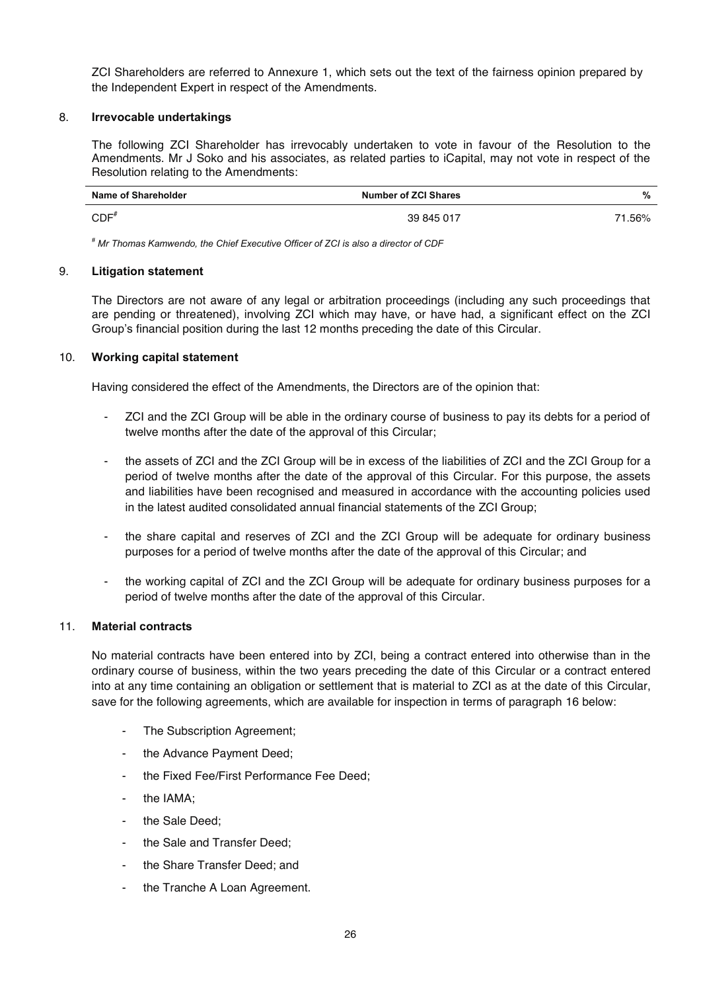ZCI Shareholders are referred to Annexure 1, which sets out the text of the fairness opinion prepared by the Independent Expert in respect of the Amendments.

#### 8. **Irrevocable undertakings**

The following ZCI Shareholder has irrevocably undertaken to vote in favour of the Resolution to the Amendments. Mr J Soko and his associates, as related parties to iCapital, may not vote in respect of the Resolution relating to the Amendments:

| Name of Shareholder | <b>Number of ZCI Shares</b> | %      |
|---------------------|-----------------------------|--------|
| $CDF^*$             | 39 845 017                  | 71.56% |

*# Mr Thomas Kamwendo, the Chief Executive Officer of ZCI is also a director of CDF*

#### 9. **Litigation statement**

The Directors are not aware of any legal or arbitration proceedings (including any such proceedings that are pending or threatened), involving ZCI which may have, or have had, a significant effect on the ZCI Group's financial position during the last 12 months preceding the date of this Circular.

#### 10. **Working capital statement**

Having considered the effect of the Amendments, the Directors are of the opinion that:

- ZCI and the ZCI Group will be able in the ordinary course of business to pay its debts for a period of twelve months after the date of the approval of this Circular;
- the assets of ZCI and the ZCI Group will be in excess of the liabilities of ZCI and the ZCI Group for a period of twelve months after the date of the approval of this Circular. For this purpose, the assets and liabilities have been recognised and measured in accordance with the accounting policies used in the latest audited consolidated annual financial statements of the ZCI Group;
- the share capital and reserves of ZCI and the ZCI Group will be adequate for ordinary business purposes for a period of twelve months after the date of the approval of this Circular; and
- the working capital of ZCI and the ZCI Group will be adequate for ordinary business purposes for a period of twelve months after the date of the approval of this Circular.

### 11. **Material contracts**

No material contracts have been entered into by ZCI, being a contract entered into otherwise than in the ordinary course of business, within the two years preceding the date of this Circular or a contract entered into at any time containing an obligation or settlement that is material to ZCI as at the date of this Circular, save for the following agreements, which are available for inspection in terms of paragraph 16 below:

- The Subscription Agreement;
- the Advance Payment Deed;
- the Fixed Fee/First Performance Fee Deed;
- the IAMA:
- the Sale Deed;
- the Sale and Transfer Deed;
- the Share Transfer Deed; and
- the Tranche A Loan Agreement.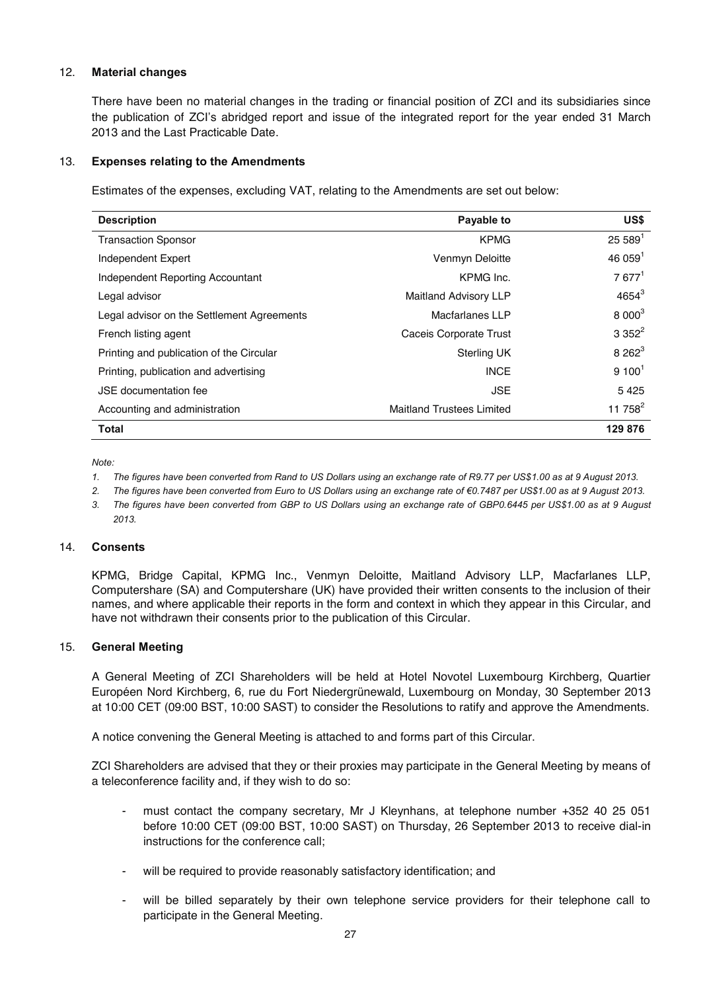#### 12. **Material changes**

There have been no material changes in the trading or financial position of ZCI and its subsidiaries since the publication of ZCI's abridged report and issue of the integrated report for the year ended 31 March 2013 and the Last Practicable Date.

#### 13. **Expenses relating to the Amendments**

Estimates of the expenses, excluding VAT, relating to the Amendments are set out below:

| <b>Description</b>                         | Payable to                       | US\$                 |
|--------------------------------------------|----------------------------------|----------------------|
| <b>Transaction Sponsor</b>                 | <b>KPMG</b>                      | $25589$ <sup>1</sup> |
| Independent Expert                         | Venmyn Deloitte                  | 46059 <sup>1</sup>   |
| Independent Reporting Accountant           | KPMG Inc.                        | $7677^1$             |
| Legal advisor                              | <b>Maitland Advisory LLP</b>     | $4654^{3}$           |
| Legal advisor on the Settlement Agreements | Macfarlanes LLP                  | $8000^3$             |
| French listing agent                       | Caceis Corporate Trust           | $3352^2$             |
| Printing and publication of the Circular   | <b>Sterling UK</b>               | $8262^3$             |
| Printing, publication and advertising      | <b>INCE</b>                      | $9 100^1$            |
| JSE documentation fee                      | <b>JSE</b>                       | 5425                 |
| Accounting and administration              | <b>Maitland Trustees Limited</b> | 11 758 $^{2}$        |
| Total                                      |                                  | 129 876              |

*Note:* 

- *1. The figures have been converted from Rand to US Dollars using an exchange rate of R9.77 per US\$1.00 as at 9 August 2013.*
- 2. The figures have been converted from Euro to US Dollars using an exchange rate of €0.7487 per US\$1.00 as at 9 August 2013.
- *3. The figures have been converted from GBP to US Dollars using an exchange rate of GBP0.6445 per US\$1.00 as at 9 August 2013.*

#### 14. **Consents**

KPMG, Bridge Capital, KPMG Inc., Venmyn Deloitte, Maitland Advisory LLP, Macfarlanes LLP, Computershare (SA) and Computershare (UK) have provided their written consents to the inclusion of their names, and where applicable their reports in the form and context in which they appear in this Circular, and have not withdrawn their consents prior to the publication of this Circular.

#### 15. **General Meeting**

A General Meeting of ZCI Shareholders will be held at Hotel Novotel Luxembourg Kirchberg, Quartier Européen Nord Kirchberg, 6, rue du Fort Niedergrünewald, Luxembourg on Monday, 30 September 2013 at 10:00 CET (09:00 BST, 10:00 SAST) to consider the Resolutions to ratify and approve the Amendments.

A notice convening the General Meeting is attached to and forms part of this Circular.

ZCI Shareholders are advised that they or their proxies may participate in the General Meeting by means of a teleconference facility and, if they wish to do so:

- must contact the company secretary, Mr J Kleynhans, at telephone number +352 40 25 051 before 10:00 CET (09:00 BST, 10:00 SAST) on Thursday, 26 September 2013 to receive dial-in instructions for the conference call;
- will be required to provide reasonably satisfactory identification; and
- will be billed separately by their own telephone service providers for their telephone call to participate in the General Meeting.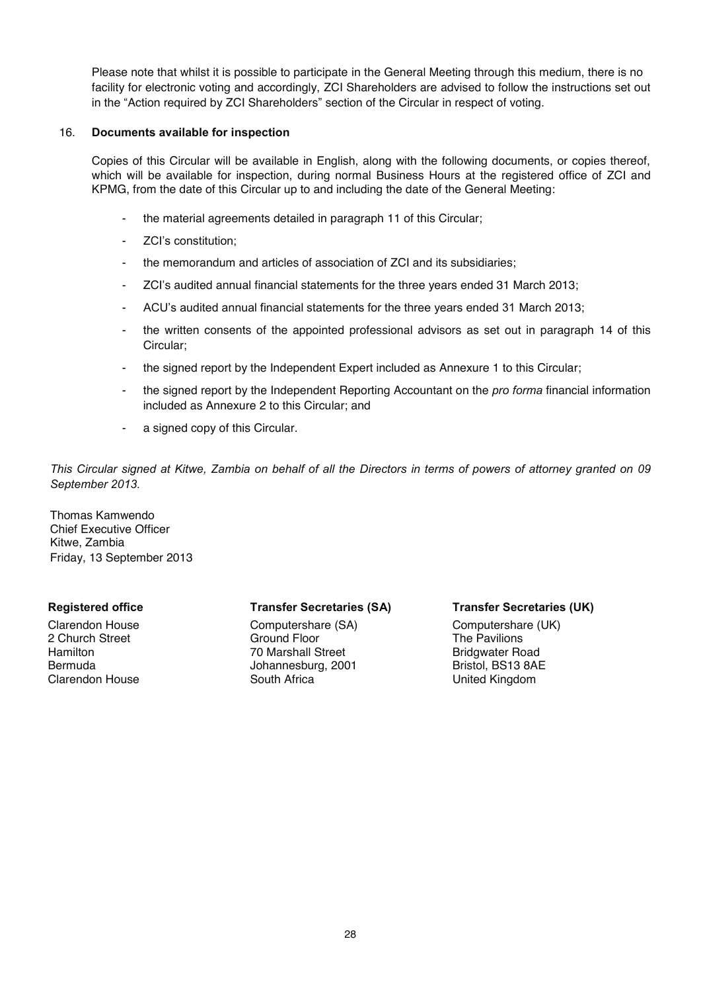Please note that whilst it is possible to participate in the General Meeting through this medium, there is no facility for electronic voting and accordingly, ZCI Shareholders are advised to follow the instructions set out in the "Action required by ZCI Shareholders" section of the Circular in respect of voting.

#### 16. **Documents available for inspection**

Copies of this Circular will be available in English, along with the following documents, or copies thereof, which will be available for inspection, during normal Business Hours at the registered office of ZCI and KPMG, from the date of this Circular up to and including the date of the General Meeting:

- the material agreements detailed in paragraph 11 of this Circular;
- ZCI's constitution;
- the memorandum and articles of association of ZCI and its subsidiaries;
- ZCI's audited annual financial statements for the three years ended 31 March 2013;
- ACU's audited annual financial statements for the three years ended 31 March 2013;
- the written consents of the appointed professional advisors as set out in paragraph 14 of this Circular;
- the signed report by the Independent Expert included as Annexure 1 to this Circular;
- the signed report by the Independent Reporting Accountant on the *pro forma* financial information included as Annexure 2 to this Circular; and
- a signed copy of this Circular.

*This Circular signed at Kitwe, Zambia on behalf of all the Directors in terms of powers of attorney granted on 09 September 2013.* 

Thomas Kamwendo Chief Executive Officer Kitwe, Zambia Friday, 13 September 2013

#### **Registered office Transfer Secretaries (SA) Transfer Secretaries (UK)**

Clarendon House Computershare (SA) Computershare (COMPUTER COMPUTER (COMPUTER COMPUTER (UK)<br>
Computershare Computershare (SA) Computershare (COMPUTER COMPUTER COMPUTER COMPUTER COMPUTER COMPUTER COMPUTE 2 Church Street Communist Chromateus Coround Floor<br>
2 Church Street Communist Communist Communist Chromateus Communist Chromateus Chromateus Chromateus Chromateu<br>
20 Marshall Street Chromateus Chromateus Chromateus Chromat Hamilton 1980 Marshall Street 1980 Hamilton 1980 Marshall Street 1980 Hamilton 1980 Hamilton 1980 Hamilton 19<br>Bristol. BS13 8AE Bermuda<br>
Clarendon House South Africa<br>
South Africa

**United Kingdom**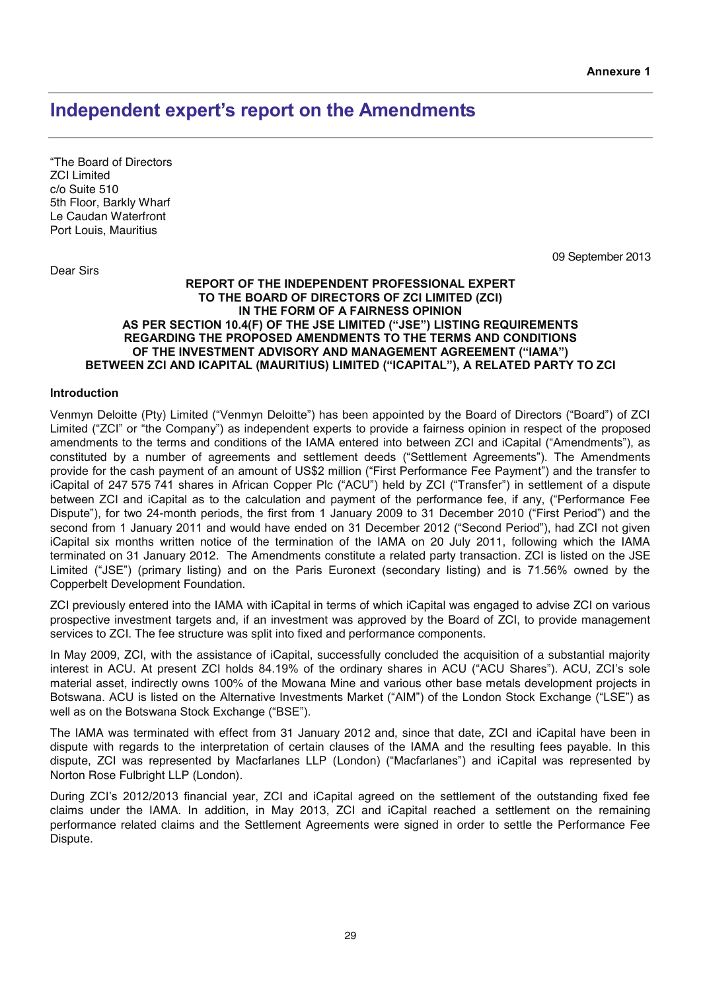## **Independent expert's report on the Amendments**

"The Board of Directors ZCI Limited c/o Suite 510 5th Floor, Barkly Wharf Le Caudan Waterfront Port Louis, Mauritius

Dear Sirs

09 September 2013

#### **REPORT OF THE INDEPENDENT PROFESSIONAL EXPERT TO THE BOARD OF DIRECTORS OF ZCI LIMITED (ZCI) IN THE FORM OF A FAIRNESS OPINION AS PER SECTION 10.4(F) OF THE JSE LIMITED ("JSE") LISTING REQUIREMENTS REGARDING THE PROPOSED AMENDMENTS TO THE TERMS AND CONDITIONS OF THE INVESTMENT ADVISORY AND MANAGEMENT AGREEMENT ("IAMA") BETWEEN ZCI AND ICAPITAL (MAURITIUS) LIMITED ("ICAPITAL"), A RELATED PARTY TO ZCI**

#### **Introduction**

Venmyn Deloitte (Pty) Limited ("Venmyn Deloitte") has been appointed by the Board of Directors ("Board") of ZCI Limited ("ZCI" or "the Company") as independent experts to provide a fairness opinion in respect of the proposed amendments to the terms and conditions of the IAMA entered into between ZCI and iCapital ("Amendments"), as constituted by a number of agreements and settlement deeds ("Settlement Agreements"). The Amendments provide for the cash payment of an amount of US\$2 million ("First Performance Fee Payment") and the transfer to iCapital of 247 575 741 shares in African Copper Plc ("ACU") held by ZCI ("Transfer") in settlement of a dispute between ZCI and iCapital as to the calculation and payment of the performance fee, if any, ("Performance Fee Dispute"), for two 24-month periods, the first from 1 January 2009 to 31 December 2010 ("First Period") and the second from 1 January 2011 and would have ended on 31 December 2012 ("Second Period"), had ZCI not given iCapital six months written notice of the termination of the IAMA on 20 July 2011, following which the IAMA terminated on 31 January 2012. The Amendments constitute a related party transaction. ZCI is listed on the JSE Limited ("JSE") (primary listing) and on the Paris Euronext (secondary listing) and is 71.56% owned by the Copperbelt Development Foundation.

ZCI previously entered into the IAMA with iCapital in terms of which iCapital was engaged to advise ZCI on various prospective investment targets and, if an investment was approved by the Board of ZCI, to provide management services to ZCI. The fee structure was split into fixed and performance components.

In May 2009, ZCI, with the assistance of iCapital, successfully concluded the acquisition of a substantial majority interest in ACU. At present ZCI holds 84.19% of the ordinary shares in ACU ("ACU Shares"). ACU, ZCI's sole material asset, indirectly owns 100% of the Mowana Mine and various other base metals development projects in Botswana. ACU is listed on the Alternative Investments Market ("AIM") of the London Stock Exchange ("LSE") as well as on the Botswana Stock Exchange ("BSE").

The IAMA was terminated with effect from 31 January 2012 and, since that date, ZCI and iCapital have been in dispute with regards to the interpretation of certain clauses of the IAMA and the resulting fees payable. In this dispute, ZCI was represented by Macfarlanes LLP (London) ("Macfarlanes") and iCapital was represented by Norton Rose Fulbright LLP (London).

During ZCI's 2012/2013 financial year, ZCI and iCapital agreed on the settlement of the outstanding fixed fee claims under the IAMA. In addition, in May 2013, ZCI and iCapital reached a settlement on the remaining performance related claims and the Settlement Agreements were signed in order to settle the Performance Fee Dispute.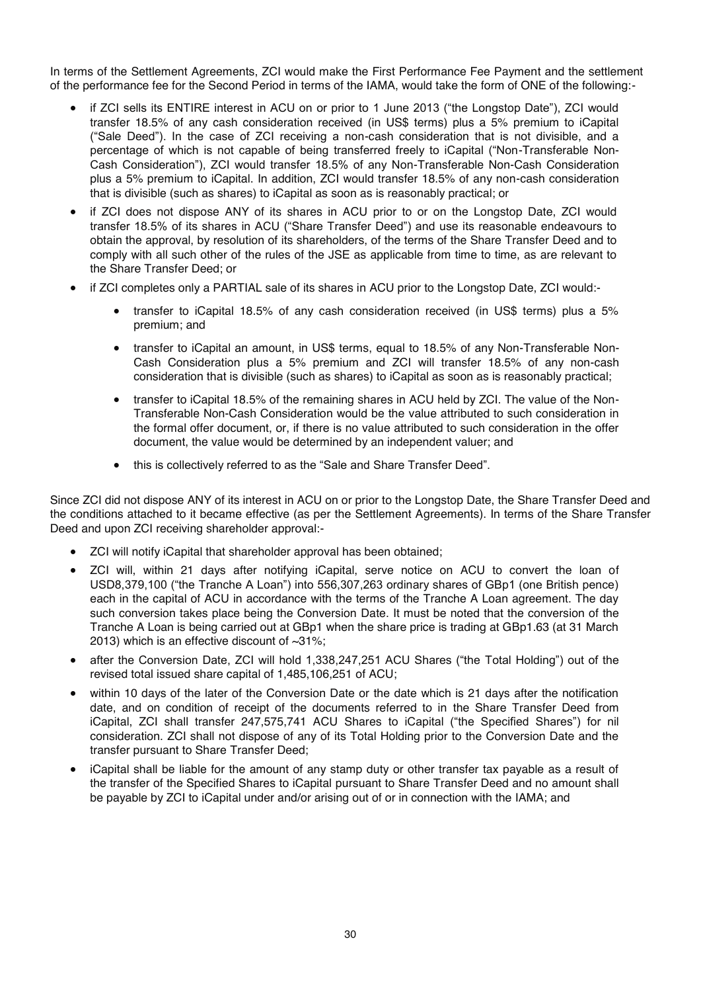In terms of the Settlement Agreements, ZCI would make the First Performance Fee Payment and the settlement of the performance fee for the Second Period in terms of the IAMA, would take the form of ONE of the following:-

- if ZCI sells its ENTIRE interest in ACU on or prior to 1 June 2013 ("the Longstop Date"), ZCI would transfer 18.5% of any cash consideration received (in US\$ terms) plus a 5% premium to iCapital ("Sale Deed"). In the case of ZCI receiving a non-cash consideration that is not divisible, and a percentage of which is not capable of being transferred freely to iCapital ("Non-Transferable Non-Cash Consideration"), ZCI would transfer 18.5% of any Non-Transferable Non-Cash Consideration plus a 5% premium to iCapital. In addition, ZCI would transfer 18.5% of any non-cash consideration that is divisible (such as shares) to iCapital as soon as is reasonably practical; or
- if ZCI does not dispose ANY of its shares in ACU prior to or on the Longstop Date, ZCI would transfer 18.5% of its shares in ACU ("Share Transfer Deed") and use its reasonable endeavours to obtain the approval, by resolution of its shareholders, of the terms of the Share Transfer Deed and to comply with all such other of the rules of the JSE as applicable from time to time, as are relevant to the Share Transfer Deed; or
- if ZCI completes only a PARTIAL sale of its shares in ACU prior to the Longstop Date, ZCI would:
	- x transfer to iCapital 18.5% of any cash consideration received (in US\$ terms) plus a 5% premium; and
	- transfer to iCapital an amount, in US\$ terms, equal to 18.5% of any Non-Transferable Non-Cash Consideration plus a 5% premium and ZCI will transfer 18.5% of any non-cash consideration that is divisible (such as shares) to iCapital as soon as is reasonably practical;
	- transfer to iCapital 18.5% of the remaining shares in ACU held by ZCI. The value of the Non-Transferable Non-Cash Consideration would be the value attributed to such consideration in the formal offer document, or, if there is no value attributed to such consideration in the offer document, the value would be determined by an independent valuer; and
	- this is collectively referred to as the "Sale and Share Transfer Deed".

Since ZCI did not dispose ANY of its interest in ACU on or prior to the Longstop Date, the Share Transfer Deed and the conditions attached to it became effective (as per the Settlement Agreements). In terms of the Share Transfer Deed and upon ZCI receiving shareholder approval:-

- ZCI will notify iCapital that shareholder approval has been obtained;
- ZCI will, within 21 days after notifying iCapital, serve notice on ACU to convert the loan of USD8,379,100 ("the Tranche A Loan") into 556,307,263 ordinary shares of GBp1 (one British pence) each in the capital of ACU in accordance with the terms of the Tranche A Loan agreement. The day such conversion takes place being the Conversion Date. It must be noted that the conversion of the Tranche A Loan is being carried out at GBp1 when the share price is trading at GBp1.63 (at 31 March 2013) which is an effective discount of ~31%;
- after the Conversion Date, ZCI will hold 1,338,247,251 ACU Shares ("the Total Holding") out of the revised total issued share capital of 1,485,106,251 of ACU;
- within 10 days of the later of the Conversion Date or the date which is 21 days after the notification date, and on condition of receipt of the documents referred to in the Share Transfer Deed from iCapital, ZCI shall transfer 247,575,741 ACU Shares to iCapital ("the Specified Shares") for nil consideration. ZCI shall not dispose of any of its Total Holding prior to the Conversion Date and the transfer pursuant to Share Transfer Deed;
- iCapital shall be liable for the amount of any stamp duty or other transfer tax payable as a result of the transfer of the Specified Shares to iCapital pursuant to Share Transfer Deed and no amount shall be payable by ZCI to iCapital under and/or arising out of or in connection with the IAMA; and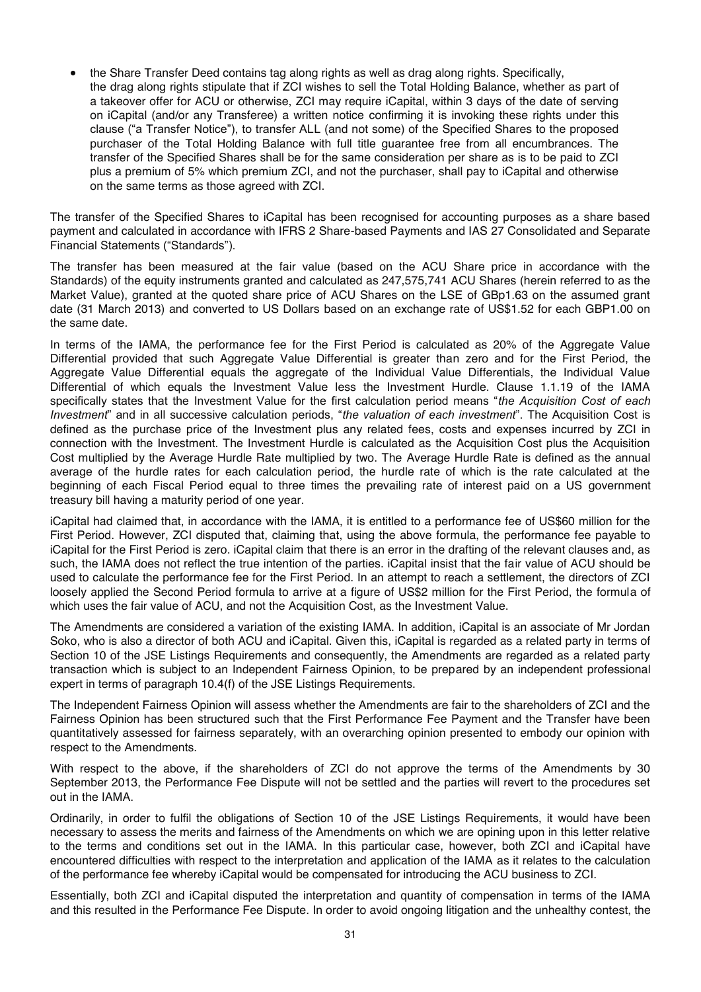x the Share Transfer Deed contains tag along rights as well as drag along rights. Specifically, the drag along rights stipulate that if ZCI wishes to sell the Total Holding Balance, whether as part of a takeover offer for ACU or otherwise, ZCI may require iCapital, within 3 days of the date of serving on iCapital (and/or any Transferee) a written notice confirming it is invoking these rights under this clause ("a Transfer Notice"), to transfer ALL (and not some) of the Specified Shares to the proposed purchaser of the Total Holding Balance with full title guarantee free from all encumbrances. The transfer of the Specified Shares shall be for the same consideration per share as is to be paid to ZCI plus a premium of 5% which premium ZCI, and not the purchaser, shall pay to iCapital and otherwise on the same terms as those agreed with ZCI.

The transfer of the Specified Shares to iCapital has been recognised for accounting purposes as a share based payment and calculated in accordance with IFRS 2 Share-based Payments and IAS 27 Consolidated and Separate Financial Statements ("Standards").

The transfer has been measured at the fair value (based on the ACU Share price in accordance with the Standards) of the equity instruments granted and calculated as 247,575,741 ACU Shares (herein referred to as the Market Value), granted at the quoted share price of ACU Shares on the LSE of GBp1.63 on the assumed grant date (31 March 2013) and converted to US Dollars based on an exchange rate of US\$1.52 for each GBP1.00 on the same date.

In terms of the IAMA, the performance fee for the First Period is calculated as 20% of the Aggregate Value Differential provided that such Aggregate Value Differential is greater than zero and for the First Period, the Aggregate Value Differential equals the aggregate of the Individual Value Differentials, the Individual Value Differential of which equals the Investment Value less the Investment Hurdle. Clause 1.1.19 of the IAMA specifically states that the Investment Value for the first calculation period means "*the Acquisition Cost of each Investment*" and in all successive calculation periods, "*the valuation of each investment*". The Acquisition Cost is defined as the purchase price of the Investment plus any related fees, costs and expenses incurred by ZCI in connection with the Investment. The Investment Hurdle is calculated as the Acquisition Cost plus the Acquisition Cost multiplied by the Average Hurdle Rate multiplied by two. The Average Hurdle Rate is defined as the annual average of the hurdle rates for each calculation period, the hurdle rate of which is the rate calculated at the beginning of each Fiscal Period equal to three times the prevailing rate of interest paid on a US government treasury bill having a maturity period of one year.

iCapital had claimed that, in accordance with the IAMA, it is entitled to a performance fee of US\$60 million for the First Period. However, ZCI disputed that, claiming that, using the above formula, the performance fee payable to iCapital for the First Period is zero. iCapital claim that there is an error in the drafting of the relevant clauses and, as such, the IAMA does not reflect the true intention of the parties. iCapital insist that the fair value of ACU should be used to calculate the performance fee for the First Period. In an attempt to reach a settlement, the directors of ZCI loosely applied the Second Period formula to arrive at a figure of US\$2 million for the First Period, the formula of which uses the fair value of ACU, and not the Acquisition Cost, as the Investment Value.

The Amendments are considered a variation of the existing IAMA. In addition, iCapital is an associate of Mr Jordan Soko, who is also a director of both ACU and iCapital. Given this, iCapital is regarded as a related party in terms of Section 10 of the JSE Listings Requirements and consequently, the Amendments are regarded as a related party transaction which is subject to an Independent Fairness Opinion, to be prepared by an independent professional expert in terms of paragraph 10.4(f) of the JSE Listings Requirements.

The Independent Fairness Opinion will assess whether the Amendments are fair to the shareholders of ZCI and the Fairness Opinion has been structured such that the First Performance Fee Payment and the Transfer have been quantitatively assessed for fairness separately, with an overarching opinion presented to embody our opinion with respect to the Amendments.

With respect to the above, if the shareholders of ZCI do not approve the terms of the Amendments by 30 September 2013, the Performance Fee Dispute will not be settled and the parties will revert to the procedures set out in the IAMA.

Ordinarily, in order to fulfil the obligations of Section 10 of the JSE Listings Requirements, it would have been necessary to assess the merits and fairness of the Amendments on which we are opining upon in this letter relative to the terms and conditions set out in the IAMA. In this particular case, however, both ZCI and iCapital have encountered difficulties with respect to the interpretation and application of the IAMA as it relates to the calculation of the performance fee whereby iCapital would be compensated for introducing the ACU business to ZCI.

Essentially, both ZCI and iCapital disputed the interpretation and quantity of compensation in terms of the IAMA and this resulted in the Performance Fee Dispute. In order to avoid ongoing litigation and the unhealthy contest, the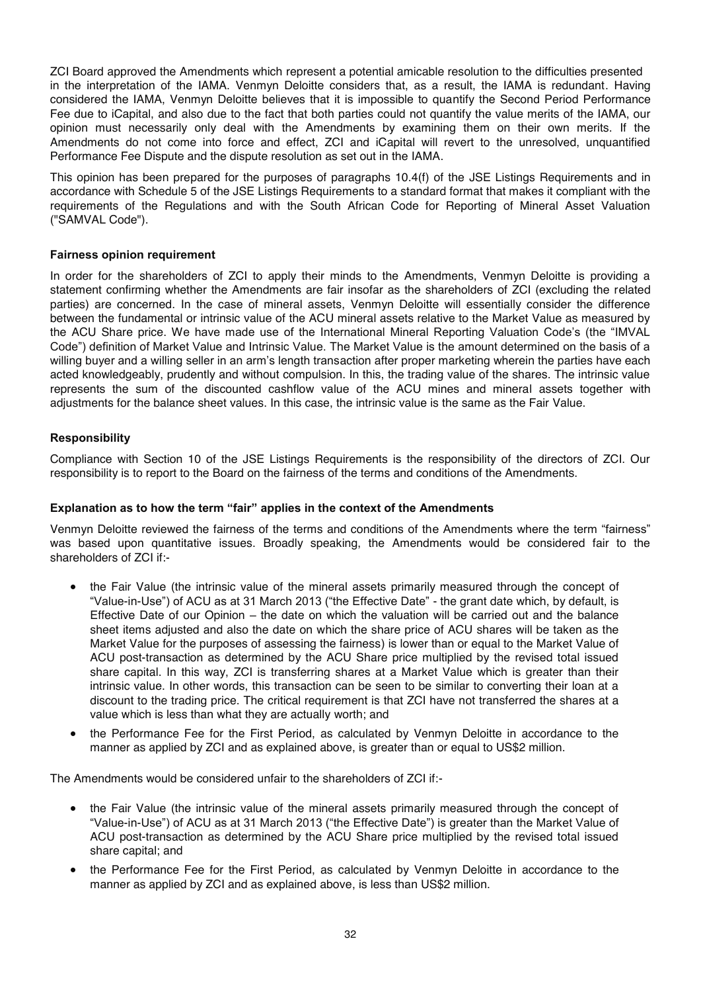ZCI Board approved the Amendments which represent a potential amicable resolution to the difficulties presented in the interpretation of the IAMA. Venmyn Deloitte considers that, as a result, the IAMA is redundant. Having considered the IAMA, Venmyn Deloitte believes that it is impossible to quantify the Second Period Performance Fee due to iCapital, and also due to the fact that both parties could not quantify the value merits of the IAMA, our opinion must necessarily only deal with the Amendments by examining them on their own merits. If the Amendments do not come into force and effect, ZCI and iCapital will revert to the unresolved, unquantified Performance Fee Dispute and the dispute resolution as set out in the IAMA.

This opinion has been prepared for the purposes of paragraphs 10.4(f) of the JSE Listings Requirements and in accordance with Schedule 5 of the JSE Listings Requirements to a standard format that makes it compliant with the requirements of the Regulations and with the South African Code for Reporting of Mineral Asset Valuation ("SAMVAL Code").

#### **Fairness opinion requirement**

In order for the shareholders of ZCI to apply their minds to the Amendments, Venmyn Deloitte is providing a statement confirming whether the Amendments are fair insofar as the shareholders of ZCI (excluding the related parties) are concerned. In the case of mineral assets, Venmyn Deloitte will essentially consider the difference between the fundamental or intrinsic value of the ACU mineral assets relative to the Market Value as measured by the ACU Share price. We have made use of the International Mineral Reporting Valuation Code's (the "IMVAL Code") definition of Market Value and Intrinsic Value. The Market Value is the amount determined on the basis of a willing buyer and a willing seller in an arm's length transaction after proper marketing wherein the parties have each acted knowledgeably, prudently and without compulsion. In this, the trading value of the shares. The intrinsic value represents the sum of the discounted cashflow value of the ACU mines and mineral assets together with adjustments for the balance sheet values. In this case, the intrinsic value is the same as the Fair Value.

#### **Responsibility**

Compliance with Section 10 of the JSE Listings Requirements is the responsibility of the directors of ZCI. Our responsibility is to report to the Board on the fairness of the terms and conditions of the Amendments.

#### **Explanation as to how the term "fair" applies in the context of the Amendments**

Venmyn Deloitte reviewed the fairness of the terms and conditions of the Amendments where the term "fairness" was based upon quantitative issues. Broadly speaking, the Amendments would be considered fair to the shareholders of ZCI if:-

- the Fair Value (the intrinsic value of the mineral assets primarily measured through the concept of "Value-in-Use") of ACU as at 31 March 2013 ("the Effective Date" - the grant date which, by default, is Effective Date of our Opinion – the date on which the valuation will be carried out and the balance sheet items adjusted and also the date on which the share price of ACU shares will be taken as the Market Value for the purposes of assessing the fairness) is lower than or equal to the Market Value of ACU post-transaction as determined by the ACU Share price multiplied by the revised total issued share capital. In this way, ZCI is transferring shares at a Market Value which is greater than their intrinsic value. In other words, this transaction can be seen to be similar to converting their loan at a discount to the trading price. The critical requirement is that ZCI have not transferred the shares at a value which is less than what they are actually worth; and
- the Performance Fee for the First Period, as calculated by Venmyn Deloitte in accordance to the manner as applied by ZCI and as explained above, is greater than or equal to US\$2 million.

The Amendments would be considered unfair to the shareholders of ZCI if:-

- the Fair Value (the intrinsic value of the mineral assets primarily measured through the concept of "Value-in-Use") of ACU as at 31 March 2013 ("the Effective Date") is greater than the Market Value of ACU post-transaction as determined by the ACU Share price multiplied by the revised total issued share capital; and
- x the Performance Fee for the First Period, as calculated by Venmyn Deloitte in accordance to the manner as applied by ZCI and as explained above, is less than US\$2 million.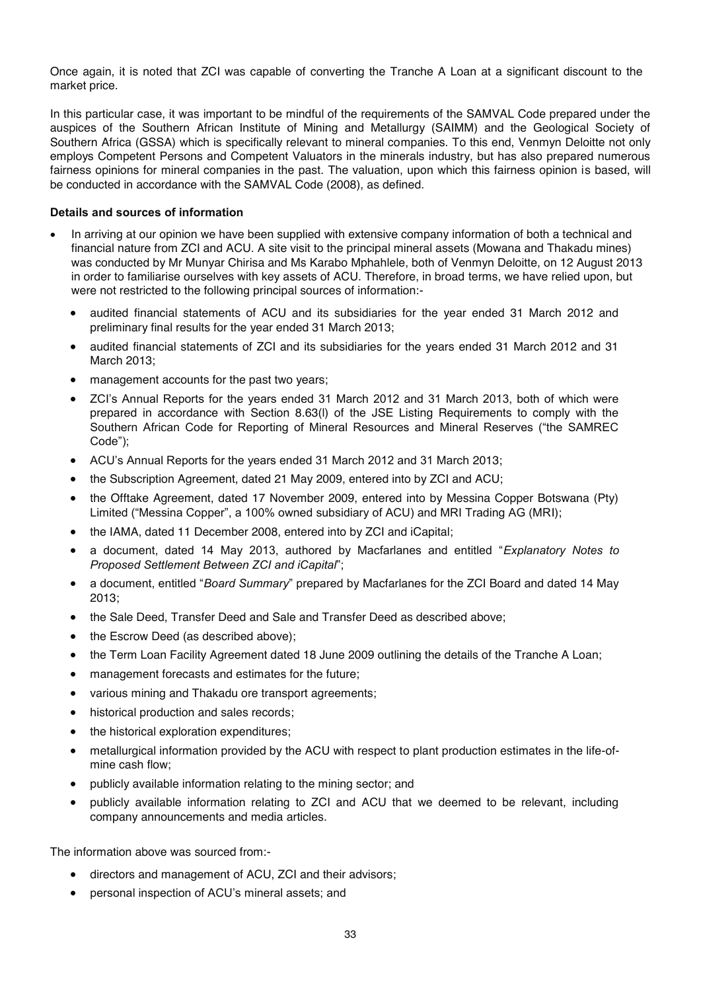Once again, it is noted that ZCI was capable of converting the Tranche A Loan at a significant discount to the market price.

In this particular case, it was important to be mindful of the requirements of the SAMVAL Code prepared under the auspices of the Southern African Institute of Mining and Metallurgy (SAIMM) and the Geological Society of Southern Africa (GSSA) which is specifically relevant to mineral companies. To this end, Venmyn Deloitte not only employs Competent Persons and Competent Valuators in the minerals industry, but has also prepared numerous fairness opinions for mineral companies in the past. The valuation, upon which this fairness opinion is based, will be conducted in accordance with the SAMVAL Code (2008), as defined.

#### **Details and sources of information**

- In arriving at our opinion we have been supplied with extensive company information of both a technical and financial nature from ZCI and ACU. A site visit to the principal mineral assets (Mowana and Thakadu mines) was conducted by Mr Munyar Chirisa and Ms Karabo Mphahlele, both of Venmyn Deloitte, on 12 August 2013 in order to familiarise ourselves with key assets of ACU. Therefore, in broad terms, we have relied upon, but were not restricted to the following principal sources of information:-
	- audited financial statements of ACU and its subsidiaries for the year ended 31 March 2012 and preliminary final results for the year ended 31 March 2013;
	- audited financial statements of ZCI and its subsidiaries for the years ended 31 March 2012 and 31 March 2013;
	- management accounts for the past two years;
	- ZCI's Annual Reports for the years ended 31 March 2012 and 31 March 2013, both of which were prepared in accordance with Section 8.63(l) of the JSE Listing Requirements to comply with the Southern African Code for Reporting of Mineral Resources and Mineral Reserves ("the SAMREC Code");
	- ACU's Annual Reports for the years ended 31 March 2012 and 31 March 2013;
	- x the Subscription Agreement, dated 21 May 2009, entered into by ZCI and ACU;
	- the Offtake Agreement, dated 17 November 2009, entered into by Messina Copper Botswana (Ptv) Limited ("Messina Copper", a 100% owned subsidiary of ACU) and MRI Trading AG (MRI);
	- the IAMA, dated 11 December 2008, entered into by ZCI and iCapital;
	- x a document, dated 14 May 2013, authored by Macfarlanes and entitled "*Explanatory Notes to Proposed Settlement Between ZCI and iCapital*";
	- x a document, entitled "*Board Summary*" prepared by Macfarlanes for the ZCI Board and dated 14 May 2013;
	- the Sale Deed, Transfer Deed and Sale and Transfer Deed as described above;
	- the Escrow Deed (as described above);
	- the Term Loan Facility Agreement dated 18 June 2009 outlining the details of the Tranche A Loan;
	- management forecasts and estimates for the future;
	- various mining and Thakadu ore transport agreements;
	- historical production and sales records:
	- $\bullet$  the historical exploration expenditures;
	- metallurgical information provided by the ACU with respect to plant production estimates in the life-ofmine cash flow;
	- publicly available information relating to the mining sector; and
	- publicly available information relating to ZCI and ACU that we deemed to be relevant, including company announcements and media articles.

The information above was sourced from:-

- directors and management of ACU, ZCI and their advisors;
- personal inspection of ACU's mineral assets; and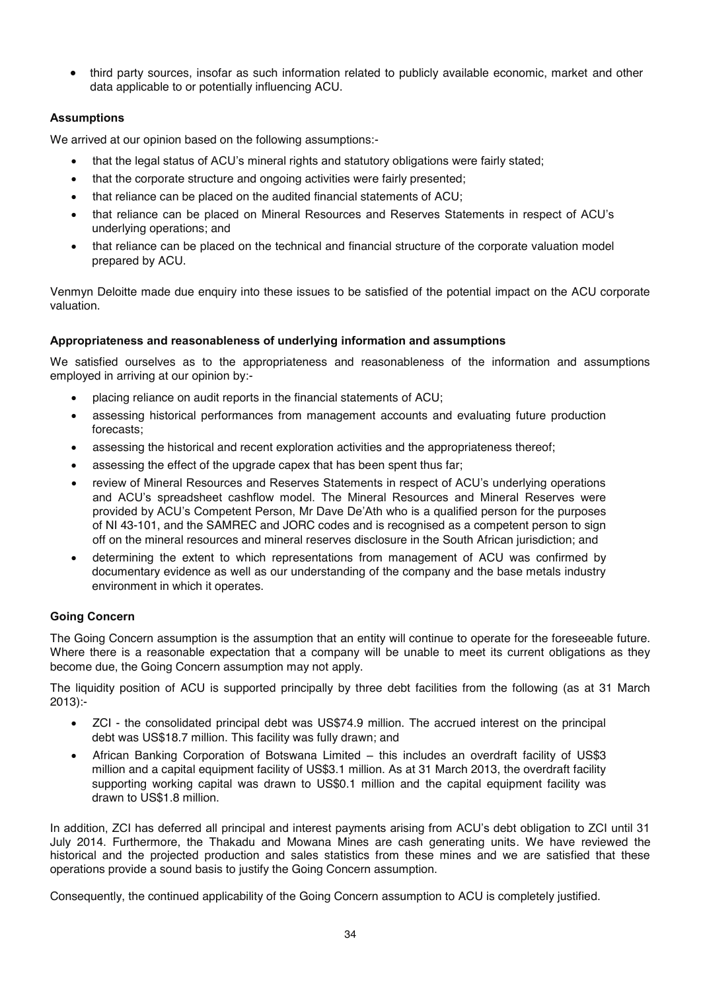• third party sources, insofar as such information related to publicly available economic, market and other data applicable to or potentially influencing ACU.

### **Assumptions**

We arrived at our opinion based on the following assumptions:-

- that the legal status of ACU's mineral rights and statutory obligations were fairly stated;
- that the corporate structure and ongoing activities were fairly presented;
- that reliance can be placed on the audited financial statements of ACU;
- x that reliance can be placed on Mineral Resources and Reserves Statements in respect of ACU's underlying operations; and
- that reliance can be placed on the technical and financial structure of the corporate valuation model prepared by ACU.

Venmyn Deloitte made due enquiry into these issues to be satisfied of the potential impact on the ACU corporate valuation.

### **Appropriateness and reasonableness of underlying information and assumptions**

We satisfied ourselves as to the appropriateness and reasonableness of the information and assumptions employed in arriving at our opinion by:-

- placing reliance on audit reports in the financial statements of ACU;
- x assessing historical performances from management accounts and evaluating future production forecasts;
- assessing the historical and recent exploration activities and the appropriateness thereof;
- assessing the effect of the upgrade capex that has been spent thus far;
- review of Mineral Resources and Reserves Statements in respect of ACU's underlying operations and ACU's spreadsheet cashflow model. The Mineral Resources and Mineral Reserves were provided by ACU's Competent Person, Mr Dave De'Ath who is a qualified person for the purposes of NI 43-101, and the SAMREC and JORC codes and is recognised as a competent person to sign off on the mineral resources and mineral reserves disclosure in the South African jurisdiction; and
- determining the extent to which representations from management of ACU was confirmed by documentary evidence as well as our understanding of the company and the base metals industry environment in which it operates.

### **Going Concern**

The Going Concern assumption is the assumption that an entity will continue to operate for the foreseeable future. Where there is a reasonable expectation that a company will be unable to meet its current obligations as they become due, the Going Concern assumption may not apply.

The liquidity position of ACU is supported principally by three debt facilities from the following (as at 31 March 2013):-

- ZCI the consolidated principal debt was US\$74.9 million. The accrued interest on the principal debt was US\$18.7 million. This facility was fully drawn; and
- African Banking Corporation of Botswana Limited this includes an overdraft facility of US\$3 million and a capital equipment facility of US\$3.1 million. As at 31 March 2013, the overdraft facility supporting working capital was drawn to US\$0.1 million and the capital equipment facility was drawn to US\$1.8 million.

In addition, ZCI has deferred all principal and interest payments arising from ACU's debt obligation to ZCI until 31 July 2014. Furthermore, the Thakadu and Mowana Mines are cash generating units. We have reviewed the historical and the projected production and sales statistics from these mines and we are satisfied that these operations provide a sound basis to justify the Going Concern assumption.

Consequently, the continued applicability of the Going Concern assumption to ACU is completely justified.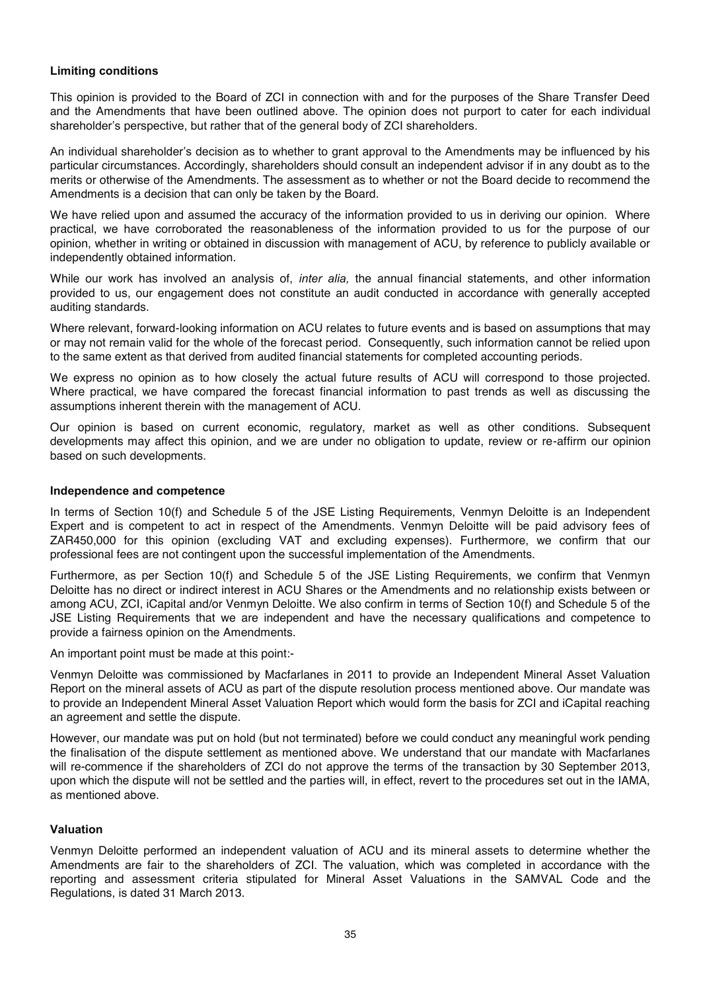#### **Limiting conditions**

This opinion is provided to the Board of ZCI in connection with and for the purposes of the Share Transfer Deed and the Amendments that have been outlined above. The opinion does not purport to cater for each individual shareholder's perspective, but rather that of the general body of ZCI shareholders.

An individual shareholder's decision as to whether to grant approval to the Amendments may be influenced by his particular circumstances. Accordingly, shareholders should consult an independent advisor if in any doubt as to the merits or otherwise of the Amendments. The assessment as to whether or not the Board decide to recommend the Amendments is a decision that can only be taken by the Board.

We have relied upon and assumed the accuracy of the information provided to us in deriving our opinion. Where practical, we have corroborated the reasonableness of the information provided to us for the purpose of our opinion, whether in writing or obtained in discussion with management of ACU, by reference to publicly available or independently obtained information.

While our work has involved an analysis of, *inter alia,* the annual financial statements, and other information provided to us, our engagement does not constitute an audit conducted in accordance with generally accepted auditing standards.

Where relevant, forward-looking information on ACU relates to future events and is based on assumptions that may or may not remain valid for the whole of the forecast period. Consequently, such information cannot be relied upon to the same extent as that derived from audited financial statements for completed accounting periods.

We express no opinion as to how closely the actual future results of ACU will correspond to those projected. Where practical, we have compared the forecast financial information to past trends as well as discussing the assumptions inherent therein with the management of ACU.

Our opinion is based on current economic, regulatory, market as well as other conditions. Subsequent developments may affect this opinion, and we are under no obligation to update, review or re-affirm our opinion based on such developments.

#### **Independence and competence**

In terms of Section 10(f) and Schedule 5 of the JSE Listing Requirements, Venmyn Deloitte is an Independent Expert and is competent to act in respect of the Amendments. Venmyn Deloitte will be paid advisory fees of ZAR450,000 for this opinion (excluding VAT and excluding expenses). Furthermore, we confirm that our professional fees are not contingent upon the successful implementation of the Amendments.

Furthermore, as per Section 10(f) and Schedule 5 of the JSE Listing Requirements, we confirm that Venmyn Deloitte has no direct or indirect interest in ACU Shares or the Amendments and no relationship exists between or among ACU, ZCI, iCapital and/or Venmyn Deloitte. We also confirm in terms of Section 10(f) and Schedule 5 of the JSE Listing Requirements that we are independent and have the necessary qualifications and competence to provide a fairness opinion on the Amendments.

An important point must be made at this point:-

Venmyn Deloitte was commissioned by Macfarlanes in 2011 to provide an Independent Mineral Asset Valuation Report on the mineral assets of ACU as part of the dispute resolution process mentioned above. Our mandate was to provide an Independent Mineral Asset Valuation Report which would form the basis for ZCI and iCapital reaching an agreement and settle the dispute.

However, our mandate was put on hold (but not terminated) before we could conduct any meaningful work pending the finalisation of the dispute settlement as mentioned above. We understand that our mandate with Macfarlanes will re-commence if the shareholders of ZCI do not approve the terms of the transaction by 30 September 2013, upon which the dispute will not be settled and the parties will, in effect, revert to the procedures set out in the IAMA, as mentioned above.

#### **Valuation**

Venmyn Deloitte performed an independent valuation of ACU and its mineral assets to determine whether the Amendments are fair to the shareholders of ZCI. The valuation, which was completed in accordance with the reporting and assessment criteria stipulated for Mineral Asset Valuations in the SAMVAL Code and the Regulations, is dated 31 March 2013.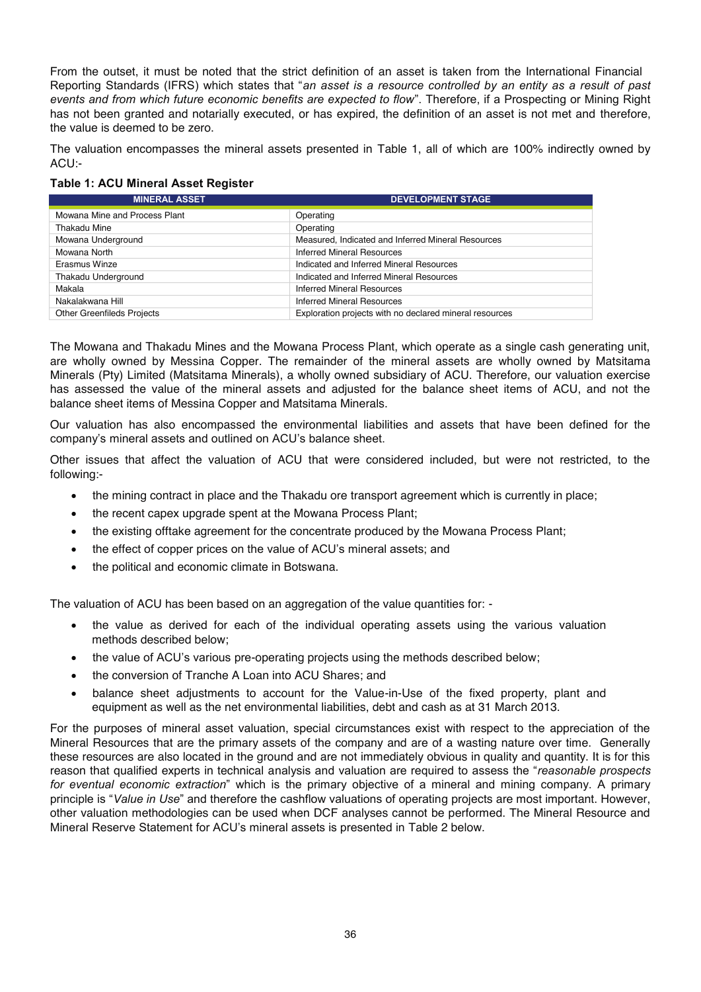From the outset, it must be noted that the strict definition of an asset is taken from the International Financial Reporting Standards (IFRS) which states that "*an asset is a resource controlled by an entity as a result of past events and from which future economic benefits are expected to flow*". Therefore, if a Prospecting or Mining Right has not been granted and notarially executed, or has expired, the definition of an asset is not met and therefore, the value is deemed to be zero.

The valuation encompasses the mineral assets presented in Table 1, all of which are 100% indirectly owned by ACU:-

#### **Table 1: ACU Mineral Asset Register**

| <b>MINERAL ASSET</b>              | <b>DEVELOPMENT STAGE</b>                                |
|-----------------------------------|---------------------------------------------------------|
| Mowana Mine and Process Plant     | Operating                                               |
| Thakadu Mine                      | Operating                                               |
| Mowana Underground                | Measured, Indicated and Inferred Mineral Resources      |
| Mowana North                      | <b>Inferred Mineral Resources</b>                       |
| Erasmus Winze                     | Indicated and Inferred Mineral Resources                |
| Thakadu Underground               | Indicated and Inferred Mineral Resources                |
| Makala                            | Inferred Mineral Resources                              |
| Nakalakwana Hill                  | <b>Inferred Mineral Resources</b>                       |
| <b>Other Greenfileds Projects</b> | Exploration projects with no declared mineral resources |

The Mowana and Thakadu Mines and the Mowana Process Plant, which operate as a single cash generating unit, are wholly owned by Messina Copper. The remainder of the mineral assets are wholly owned by Matsitama Minerals (Pty) Limited (Matsitama Minerals), a wholly owned subsidiary of ACU. Therefore, our valuation exercise has assessed the value of the mineral assets and adjusted for the balance sheet items of ACU, and not the balance sheet items of Messina Copper and Matsitama Minerals.

Our valuation has also encompassed the environmental liabilities and assets that have been defined for the company's mineral assets and outlined on ACU's balance sheet.

Other issues that affect the valuation of ACU that were considered included, but were not restricted, to the following:-

- the mining contract in place and the Thakadu ore transport agreement which is currently in place;
- the recent capex upgrade spent at the Mowana Process Plant;
- the existing offtake agreement for the concentrate produced by the Mowana Process Plant;
- the effect of copper prices on the value of ACU's mineral assets; and
- the political and economic climate in Botswana.

The valuation of ACU has been based on an aggregation of the value quantities for: -

- the value as derived for each of the individual operating assets using the various valuation methods described below;
- the value of ACU's various pre-operating projects using the methods described below;
- the conversion of Tranche A Loan into ACU Shares; and
- balance sheet adjustments to account for the Value-in-Use of the fixed property, plant and equipment as well as the net environmental liabilities, debt and cash as at 31 March 2013.

For the purposes of mineral asset valuation, special circumstances exist with respect to the appreciation of the Mineral Resources that are the primary assets of the company and are of a wasting nature over time. Generally these resources are also located in the ground and are not immediately obvious in quality and quantity. It is for this reason that qualified experts in technical analysis and valuation are required to assess the "*reasonable prospects for eventual economic extraction*" which is the primary objective of a mineral and mining company. A primary principle is "*Value in Use*" and therefore the cashflow valuations of operating projects are most important. However, other valuation methodologies can be used when DCF analyses cannot be performed. The Mineral Resource and Mineral Reserve Statement for ACU's mineral assets is presented in Table 2 below.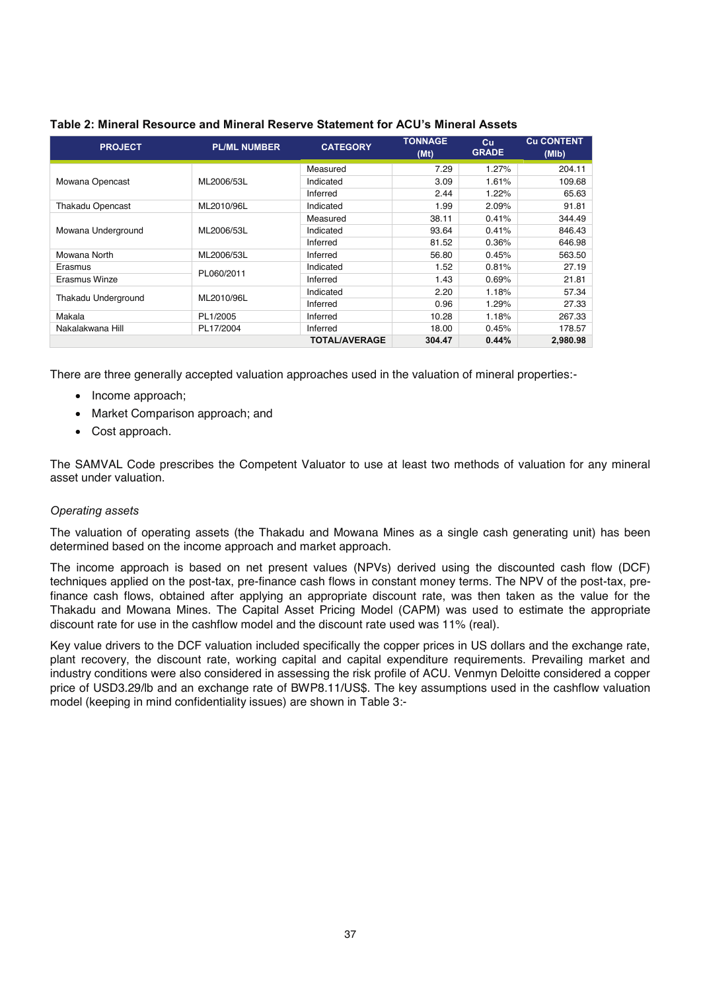| <b>PROJECT</b>          | <b>PL/ML NUMBER</b> | <b>CATEGORY</b>                                                                                                                                            | <b>TONNAGE</b><br>(Mt)           | cu<br><b>GRADE</b> | <b>Cu CONTENT</b><br>(MIb) |
|-------------------------|---------------------|------------------------------------------------------------------------------------------------------------------------------------------------------------|----------------------------------|--------------------|----------------------------|
|                         |                     | Measured                                                                                                                                                   | 7.29                             | 1.27%              | 204.11                     |
| Mowana Opencast         | ML2006/53L          | Indicated                                                                                                                                                  | 3.09                             | 1.61%              | 109.68                     |
|                         |                     | Inferred                                                                                                                                                   | 2.44                             | 1.22%              | 65.63                      |
| <b>Thakadu Opencast</b> | ML2010/96L          | Indicated                                                                                                                                                  | 1.99                             | 2.09%              | 91.81                      |
|                         |                     | 38.11<br>Measured<br>0.41%<br>93.64<br>Indicated<br>0.41%<br>81.52<br>Inferred<br>0.36%<br>56.80<br>Inferred<br>0.45%                                      | 344.49                           |                    |                            |
| Mowana Underground      | ML2006/53L          |                                                                                                                                                            |                                  |                    | 846.43                     |
|                         |                     | 1.52<br>Indicated<br>1.43<br>Inferred<br>2.20<br>Indicated<br>Inferred<br>0.96<br>Inferred<br>10.28<br>18.00<br>Inferred<br><b>TOTAL/AVERAGE</b><br>304.47 |                                  | 646.98             |                            |
| Mowana North            | ML2006/53L          |                                                                                                                                                            |                                  |                    | 563.50                     |
| Erasmus                 |                     |                                                                                                                                                            |                                  | 0.81%              | 27.19                      |
| Erasmus Winze           | PL060/2011          |                                                                                                                                                            |                                  | 0.69%              | 21.81                      |
|                         |                     |                                                                                                                                                            |                                  | 1.18%              | 57.34                      |
| Thakadu Underground     | ML2010/96L          |                                                                                                                                                            | 1.29%<br>1.18%<br>0.45%<br>0.44% | 27.33              |                            |
| Makala                  | PL1/2005            |                                                                                                                                                            |                                  |                    | 267.33                     |
| Nakalakwana Hill        | PL17/2004           |                                                                                                                                                            |                                  |                    | 178.57                     |
|                         |                     |                                                                                                                                                            |                                  |                    | 2.980.98                   |

#### **Table 2: Mineral Resource and Mineral Reserve Statement for ACU's Mineral Assets**

There are three generally accepted valuation approaches used in the valuation of mineral properties:-

- Income approach;
- Market Comparison approach; and
- Cost approach.

The SAMVAL Code prescribes the Competent Valuator to use at least two methods of valuation for any mineral asset under valuation.

#### *Operating assets*

The valuation of operating assets (the Thakadu and Mowana Mines as a single cash generating unit) has been determined based on the income approach and market approach.

The income approach is based on net present values (NPVs) derived using the discounted cash flow (DCF) techniques applied on the post-tax, pre-finance cash flows in constant money terms. The NPV of the post-tax, prefinance cash flows, obtained after applying an appropriate discount rate, was then taken as the value for the Thakadu and Mowana Mines. The Capital Asset Pricing Model (CAPM) was used to estimate the appropriate discount rate for use in the cashflow model and the discount rate used was 11% (real).

Key value drivers to the DCF valuation included specifically the copper prices in US dollars and the exchange rate, plant recovery, the discount rate, working capital and capital expenditure requirements. Prevailing market and industry conditions were also considered in assessing the risk profile of ACU. Venmyn Deloitte considered a copper price of USD3.29/lb and an exchange rate of BWP8.11/US\$. The key assumptions used in the cashflow valuation model (keeping in mind confidentiality issues) are shown in Table 3:-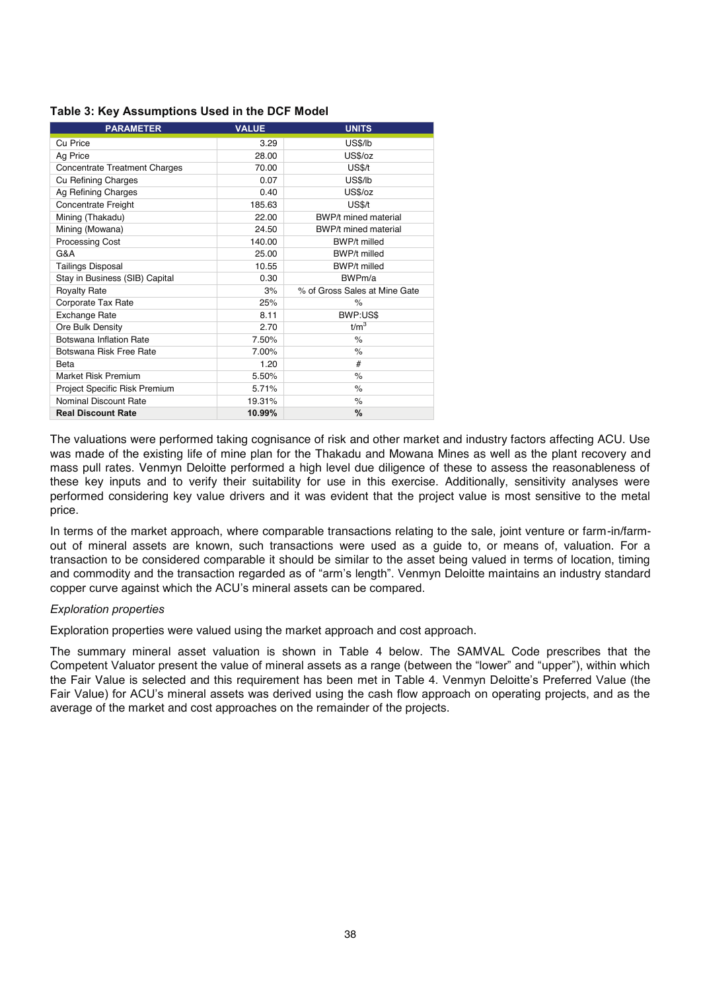|  | Table 3: Key Assumptions Used in the DCF Model |
|--|------------------------------------------------|
|--|------------------------------------------------|

| <b>PARAMETER</b>                     | <b>VALUE</b> | <b>UNITS</b>                  |
|--------------------------------------|--------------|-------------------------------|
| Cu Price                             | 3.29         | <b>US\$/lb</b>                |
| Ag Price                             | 28.00        | US\$/oz                       |
| <b>Concentrate Treatment Charges</b> | 70.00        | US\$/t                        |
| Cu Refining Charges                  | 0.07         | <b>US\$/lb</b>                |
| Ag Refining Charges                  | 0.40         | US\$/oz                       |
| Concentrate Freight                  | 185.63       | US\$/t                        |
| Mining (Thakadu)                     | 22.00        | <b>BWP/t mined material</b>   |
| Mining (Mowana)                      | 24.50        | BWP/t mined material          |
| <b>Processing Cost</b>               | 140.00       | BWP/t milled                  |
| G&A                                  | 25.00        | <b>BWP/t milled</b>           |
| <b>Tailings Disposal</b>             | 10.55        | <b>BWP/t milled</b>           |
| Stay in Business (SIB) Capital       | 0.30         | BWPm/a                        |
| <b>Royalty Rate</b>                  | 3%           | % of Gross Sales at Mine Gate |
| Corporate Tax Rate                   | 25%          | $\%$                          |
| <b>Exchange Rate</b>                 | 8.11         | BWP:US\$                      |
| Ore Bulk Density                     | 2.70         | t/m <sup>3</sup>              |
| Botswana Inflation Rate              | 7.50%        | $\%$                          |
| Botswana Risk Free Rate              | 7.00%        | $\%$                          |
| Beta                                 | 1.20         | #                             |
| Market Risk Premium                  | 5.50%        | $\frac{1}{\alpha}$            |
| Project Specific Risk Premium        | 5.71%        | $\%$                          |
| Nominal Discount Rate                | 19.31%       | $\%$                          |
| <b>Real Discount Rate</b>            | 10.99%       | %                             |

The valuations were performed taking cognisance of risk and other market and industry factors affecting ACU. Use was made of the existing life of mine plan for the Thakadu and Mowana Mines as well as the plant recovery and mass pull rates. Venmyn Deloitte performed a high level due diligence of these to assess the reasonableness of these key inputs and to verify their suitability for use in this exercise. Additionally, sensitivity analyses were performed considering key value drivers and it was evident that the project value is most sensitive to the metal price.

In terms of the market approach, where comparable transactions relating to the sale, joint venture or farm-in/farmout of mineral assets are known, such transactions were used as a guide to, or means of, valuation. For a transaction to be considered comparable it should be similar to the asset being valued in terms of location, timing and commodity and the transaction regarded as of "arm's length". Venmyn Deloitte maintains an industry standard copper curve against which the ACU's mineral assets can be compared.

#### *Exploration properties*

Exploration properties were valued using the market approach and cost approach.

The summary mineral asset valuation is shown in Table 4 below. The SAMVAL Code prescribes that the Competent Valuator present the value of mineral assets as a range (between the "lower" and "upper"), within which the Fair Value is selected and this requirement has been met in Table 4. Venmyn Deloitte's Preferred Value (the Fair Value) for ACU's mineral assets was derived using the cash flow approach on operating projects, and as the average of the market and cost approaches on the remainder of the projects.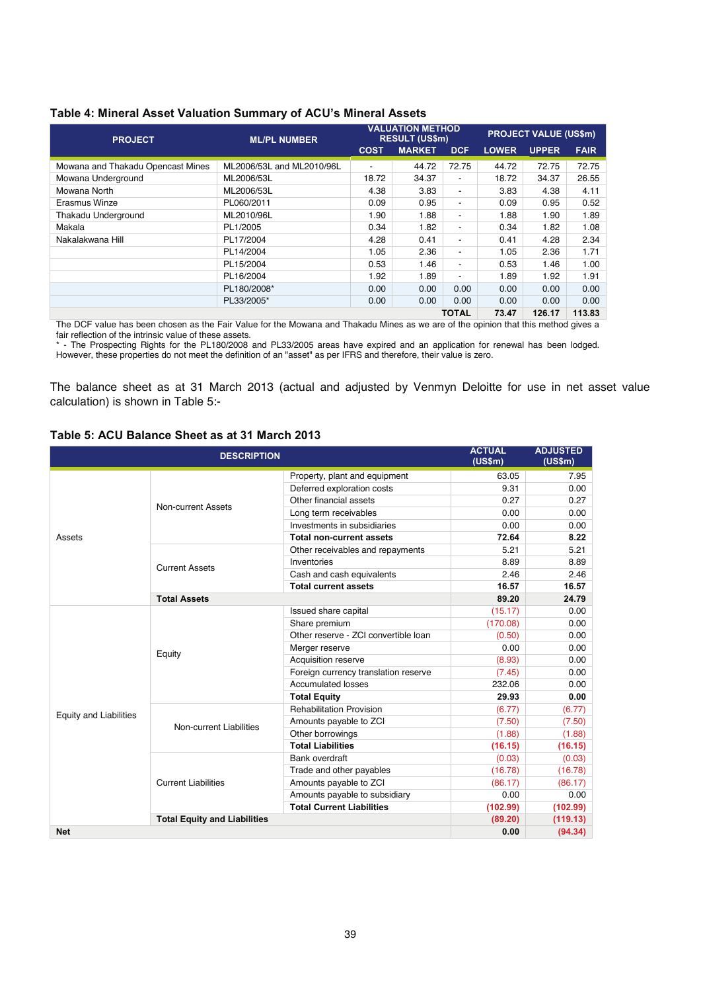| <b>PROJECT</b>                    | <b>ML/PL NUMBER</b>       | <b>VALUATION METHOD</b><br><b>RESULT (US\$m)</b>           |       |                | <b>PROJECT VALUE (US\$m)</b> |             |        |
|-----------------------------------|---------------------------|------------------------------------------------------------|-------|----------------|------------------------------|-------------|--------|
|                                   |                           | <b>MARKET</b><br><b>LOWER</b><br><b>COST</b><br><b>DCF</b> |       |                | <b>UPPER</b>                 | <b>FAIR</b> |        |
| Mowana and Thakadu Opencast Mines | ML2006/53L and ML2010/96L | $\overline{\phantom{a}}$                                   | 44.72 | 72.75          | 44.72                        | 72.75       | 72.75  |
| Mowana Underground                | ML2006/53L                | 18.72                                                      | 34.37 | -              | 18.72                        | 34.37       | 26.55  |
| Mowana North                      | ML2006/53L                | 4.38                                                       | 3.83  | $\blacksquare$ | 3.83                         | 4.38        | 4.11   |
| Erasmus Winze                     | PL060/2011                | 0.09                                                       | 0.95  | $\blacksquare$ | 0.09                         | 0.95        | 0.52   |
| Thakadu Underground               | ML2010/96L                | 1.90                                                       | 1.88  | -              | 1.88                         | 1.90        | 1.89   |
| Makala                            | PL1/2005                  | 0.34                                                       | 1.82  | -              | 0.34                         | 1.82        | 1.08   |
| Nakalakwana Hill                  | PL17/2004                 | 4.28                                                       | 0.41  | $\blacksquare$ | 0.41                         | 4.28        | 2.34   |
|                                   | PL14/2004                 | 1.05                                                       | 2.36  | -              | 1.05                         | 2.36        | 1.71   |
|                                   | PL15/2004                 | 0.53                                                       | 1.46  | -              | 0.53                         | 1.46        | 1.00   |
|                                   | PL16/2004                 | 1.92                                                       | 1.89  | -              | 1.89                         | 1.92        | 1.91   |
|                                   | PL180/2008*               | 0.00                                                       | 0.00  | 0.00           | 0.00                         | 0.00        | 0.00   |
|                                   | PL33/2005*                | 0.00                                                       | 0.00  | 0.00           | 0.00                         | 0.00        | 0.00   |
|                                   |                           |                                                            |       | TOTAL          | 73.47                        | 126.17      | 113.83 |

The DCF value has been chosen as the Fair Value for the Mowana and Thakadu Mines as we are of the opinion that this method gives a fair reflection of the intrinsic value of these assets.

\* - The Prospecting Rights for the PL180/2008 and PL33/2005 areas have expired and an application for renewal has been lodged. However, these properties do not meet the definition of an "asset" as per IFRS and therefore, their value is zero.

The balance sheet as at 31 March 2013 (actual and adjusted by Venmyn Deloitte for use in net asset value calculation) is shown in Table 5:-

### **Table 5: ACU Balance Sheet as at 31 March 2013**

|                               |                                                        |                                                                                                                                                                                                                                                                                                                                                                                                                                                                                                                                                                                                                   | <b>ACTUAL</b><br>(US\$m)                                                                                     | <b>ADJUSTED</b><br>(US\$m) |
|-------------------------------|--------------------------------------------------------|-------------------------------------------------------------------------------------------------------------------------------------------------------------------------------------------------------------------------------------------------------------------------------------------------------------------------------------------------------------------------------------------------------------------------------------------------------------------------------------------------------------------------------------------------------------------------------------------------------------------|--------------------------------------------------------------------------------------------------------------|----------------------------|
|                               |                                                        | Property, plant and equipment                                                                                                                                                                                                                                                                                                                                                                                                                                                                                                                                                                                     | 63.05                                                                                                        | 7.95                       |
|                               |                                                        | Deferred exploration costs                                                                                                                                                                                                                                                                                                                                                                                                                                                                                                                                                                                        | 9.31                                                                                                         | 0.00                       |
|                               | Non-current Assets                                     | Other financial assets                                                                                                                                                                                                                                                                                                                                                                                                                                                                                                                                                                                            | 0.27                                                                                                         | 0.27                       |
|                               |                                                        | Long term receivables                                                                                                                                                                                                                                                                                                                                                                                                                                                                                                                                                                                             | 0.00                                                                                                         | 0.00                       |
|                               |                                                        | Investments in subsidiaries                                                                                                                                                                                                                                                                                                                                                                                                                                                                                                                                                                                       | 0.00                                                                                                         | 0.00                       |
| Assets                        |                                                        | <b>Total non-current assets</b>                                                                                                                                                                                                                                                                                                                                                                                                                                                                                                                                                                                   | 72.64                                                                                                        | 8.22                       |
|                               |                                                        | <b>DESCRIPTION</b><br>Other receivables and repayments<br>Inventories<br>Cash and cash equivalents<br><b>Total current assets</b><br>Issued share capital<br>Share premium<br>Other reserve - ZCI convertible loan<br>Merger reserve<br>Acquisition reserve<br>Foreign currency translation reserve<br><b>Accumulated losses</b><br><b>Total Equity</b><br><b>Rehabilitation Provision</b><br>Amounts payable to ZCI<br>Other borrowings<br><b>Total Liabilities</b><br>Bank overdraft<br>Trade and other payables<br>Amounts payable to ZCI<br>Amounts payable to subsidiary<br><b>Total Current Liabilities</b> | 5.21                                                                                                         | 5.21                       |
|                               |                                                        |                                                                                                                                                                                                                                                                                                                                                                                                                                                                                                                                                                                                                   | 8.89                                                                                                         | 8.89                       |
|                               | <b>Current Assets</b><br><b>Total Assets</b><br>Equity |                                                                                                                                                                                                                                                                                                                                                                                                                                                                                                                                                                                                                   | 2.46                                                                                                         | 2.46                       |
|                               |                                                        |                                                                                                                                                                                                                                                                                                                                                                                                                                                                                                                                                                                                                   | 16.57                                                                                                        | 16.57                      |
|                               |                                                        |                                                                                                                                                                                                                                                                                                                                                                                                                                                                                                                                                                                                                   | 89.20                                                                                                        | 24.79                      |
|                               |                                                        |                                                                                                                                                                                                                                                                                                                                                                                                                                                                                                                                                                                                                   | (15.17)                                                                                                      | 0.00                       |
|                               |                                                        |                                                                                                                                                                                                                                                                                                                                                                                                                                                                                                                                                                                                                   | (170.08)                                                                                                     | 0.00                       |
|                               |                                                        |                                                                                                                                                                                                                                                                                                                                                                                                                                                                                                                                                                                                                   | (0.50)                                                                                                       | 0.00                       |
|                               |                                                        |                                                                                                                                                                                                                                                                                                                                                                                                                                                                                                                                                                                                                   | 0.00                                                                                                         | 0.00                       |
|                               |                                                        |                                                                                                                                                                                                                                                                                                                                                                                                                                                                                                                                                                                                                   | (8.93)                                                                                                       | 0.00                       |
|                               |                                                        |                                                                                                                                                                                                                                                                                                                                                                                                                                                                                                                                                                                                                   | (7.45)                                                                                                       | 0.00                       |
|                               |                                                        |                                                                                                                                                                                                                                                                                                                                                                                                                                                                                                                                                                                                                   | 232.06                                                                                                       | 0.00                       |
|                               |                                                        |                                                                                                                                                                                                                                                                                                                                                                                                                                                                                                                                                                                                                   | 29.93                                                                                                        | 0.00                       |
| <b>Equity and Liabilities</b> |                                                        |                                                                                                                                                                                                                                                                                                                                                                                                                                                                                                                                                                                                                   | (6.77)<br>(7.50)<br>(1.88)<br>(16.15)<br>(0.03)<br>(16.78)<br>(86.17)<br>0.00<br>(102.99)<br>(89.20)<br>0.00 | (6.77)                     |
|                               | Non-current Liabilities                                |                                                                                                                                                                                                                                                                                                                                                                                                                                                                                                                                                                                                                   |                                                                                                              | (7.50)                     |
|                               |                                                        |                                                                                                                                                                                                                                                                                                                                                                                                                                                                                                                                                                                                                   |                                                                                                              | (1.88)                     |
|                               |                                                        |                                                                                                                                                                                                                                                                                                                                                                                                                                                                                                                                                                                                                   |                                                                                                              | (16.15)                    |
|                               |                                                        |                                                                                                                                                                                                                                                                                                                                                                                                                                                                                                                                                                                                                   |                                                                                                              | (0.03)                     |
|                               |                                                        |                                                                                                                                                                                                                                                                                                                                                                                                                                                                                                                                                                                                                   |                                                                                                              | (16.78)                    |
|                               | <b>Current Liabilities</b>                             |                                                                                                                                                                                                                                                                                                                                                                                                                                                                                                                                                                                                                   |                                                                                                              | (86.17)                    |
|                               |                                                        |                                                                                                                                                                                                                                                                                                                                                                                                                                                                                                                                                                                                                   |                                                                                                              | 0.00                       |
|                               |                                                        |                                                                                                                                                                                                                                                                                                                                                                                                                                                                                                                                                                                                                   |                                                                                                              | (102.99)                   |
|                               | <b>Total Equity and Liabilities</b>                    |                                                                                                                                                                                                                                                                                                                                                                                                                                                                                                                                                                                                                   |                                                                                                              | (119.13)                   |
| <b>Net</b>                    |                                                        |                                                                                                                                                                                                                                                                                                                                                                                                                                                                                                                                                                                                                   |                                                                                                              | (94.34)                    |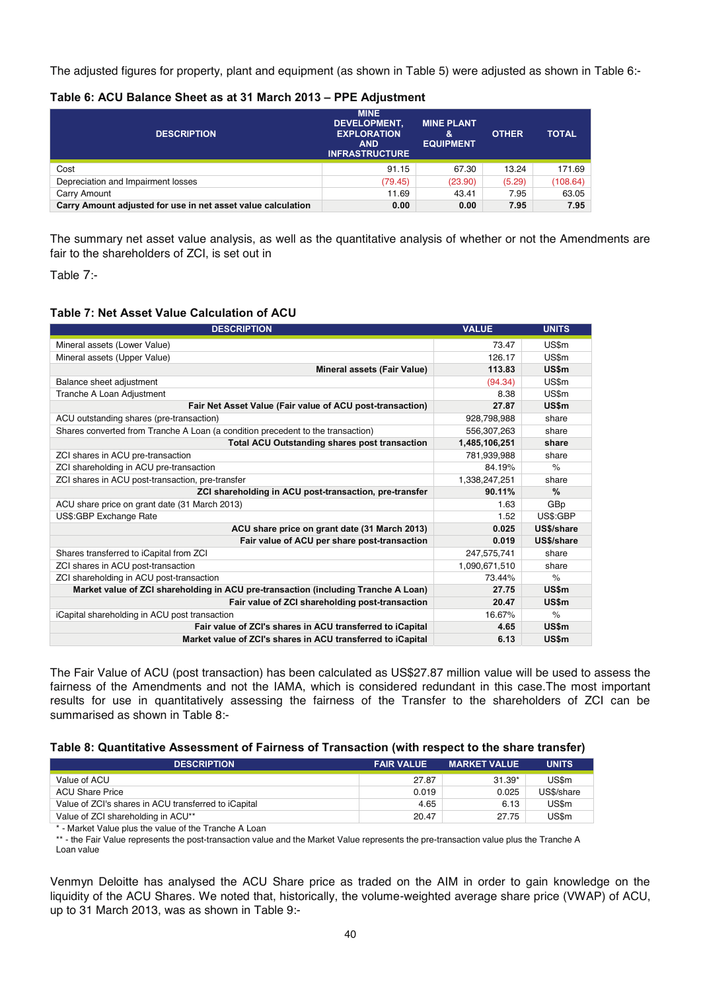The adjusted figures for property, plant and equipment (as shown in Table 5) were adjusted as shown in Table 6:-

| Table 0. AVV Dalance Uncertablet VI march 2019 $-$ 11 L Adjustment |                                                                                                 |                                            |              |              |  |  |  |
|--------------------------------------------------------------------|-------------------------------------------------------------------------------------------------|--------------------------------------------|--------------|--------------|--|--|--|
| <b>DESCRIPTION</b>                                                 | <b>MINE</b><br><b>DEVELOPMENT.</b><br><b>EXPLORATION</b><br><b>AND</b><br><b>INFRASTRUCTURE</b> | <b>MINE PLANT</b><br>&<br><b>EQUIPMENT</b> | <b>OTHER</b> | <b>TOTAL</b> |  |  |  |
| Cost                                                               | 91.15                                                                                           | 67.30                                      | 13.24        | 171.69       |  |  |  |
| Depreciation and Impairment losses                                 | (79.45)                                                                                         | (23.90)                                    | (5.29)       | (108.64)     |  |  |  |
| Carry Amount                                                       | 11.69                                                                                           | 43.41                                      | 7.95         | 63.05        |  |  |  |

#### **Table 6: ACU Balance Sheet as at 31 March 2013 – PPE Adjustment**

The summary net asset value analysis, as well as the quantitative analysis of whether or not the Amendments are fair to the shareholders of ZCI, is set out in

**Carry Amount adjusted for use in net asset value calculation 0.00 0.00 7.95 7.95** 

Table 7:-

#### **Table 7: Net Asset Value Calculation of ACU**

| <b>DESCRIPTION</b>                                                                 | <b>VALUE</b>  | <b>UNITS</b>  |
|------------------------------------------------------------------------------------|---------------|---------------|
| Mineral assets (Lower Value)                                                       | 73.47         | US\$m         |
| Mineral assets (Upper Value)                                                       | 126.17        | US\$m         |
| <b>Mineral assets (Fair Value)</b>                                                 | 113.83        | US\$m         |
| Balance sheet adjustment                                                           | (94.34)       | US\$m         |
| Tranche A Loan Adjustment                                                          | 8.38          | US\$m         |
| Fair Net Asset Value (Fair value of ACU post-transaction)                          | 27.87         | US\$m         |
| ACU outstanding shares (pre-transaction)                                           | 928,798,988   | share         |
| Shares converted from Tranche A Loan (a condition precedent to the transaction)    | 556,307,263   | share         |
| <b>Total ACU Outstanding shares post transaction</b>                               | 1,485,106,251 | share         |
| ZCI shares in ACU pre-transaction                                                  | 781,939,988   | share         |
| ZCI shareholding in ACU pre-transaction                                            | 84.19%        | $\frac{1}{2}$ |
| ZCI shares in ACU post-transaction, pre-transfer                                   | 1,338,247,251 | share         |
| ZCI shareholding in ACU post-transaction, pre-transfer                             | 90.11%        | $\frac{9}{6}$ |
| ACU share price on grant date (31 March 2013)                                      | 1.63          | GBp           |
| US\$:GBP Exchange Rate                                                             | 1.52          | US\$:GBP      |
| ACU share price on grant date (31 March 2013)                                      | 0.025         | US\$/share    |
| Fair value of ACU per share post-transaction                                       | 0.019         | US\$/share    |
| Shares transferred to iCapital from ZCI                                            | 247,575,741   | share         |
| ZCI shares in ACU post-transaction                                                 | 1,090,671,510 | share         |
| ZCI shareholding in ACU post-transaction                                           | 73.44%        | $\%$          |
| Market value of ZCI shareholding in ACU pre-transaction (including Tranche A Loan) | 27.75         | US\$m         |
| Fair value of ZCI shareholding post-transaction                                    | 20.47         | US\$m         |
| iCapital shareholding in ACU post transaction                                      | 16.67%        | $\%$          |
| Fair value of ZCI's shares in ACU transferred to iCapital                          | 4.65          | US\$m         |
| Market value of ZCI's shares in ACU transferred to iCapital                        | 6.13          | US\$m         |

The Fair Value of ACU (post transaction) has been calculated as US\$27.87 million value will be used to assess the fairness of the Amendments and not the IAMA, which is considered redundant in this case.The most important results for use in quantitatively assessing the fairness of the Transfer to the shareholders of ZCI can be summarised as shown in Table 8:-

#### **Table 8: Quantitative Assessment of Fairness of Transaction (with respect to the share transfer)**

| <b>DESCRIPTION</b>                                   | <b>FAIR VALUE</b> | <b>MARKET VALUE</b> | <b>UNITS</b> |
|------------------------------------------------------|-------------------|---------------------|--------------|
| Value of ACU                                         | 27.87             | $31.39*$            | US\$m        |
| <b>ACU Share Price</b>                               | 0.019             | 0.025               | US\$/share   |
| Value of ZCI's shares in ACU transferred to iCapital | 4.65              | 6.13                | US\$m        |
| Value of ZCI shareholding in ACU**                   | 20.47             | 27.75               | US\$m        |

\* - Market Value plus the value of the Tranche A Loan

\*\* - the Fair Value represents the post-transaction value and the Market Value represents the pre-transaction value plus the Tranche A Loan value

Venmyn Deloitte has analysed the ACU Share price as traded on the AIM in order to gain knowledge on the liquidity of the ACU Shares. We noted that, historically, the volume-weighted average share price (VWAP) of ACU, up to 31 March 2013, was as shown in Table 9:-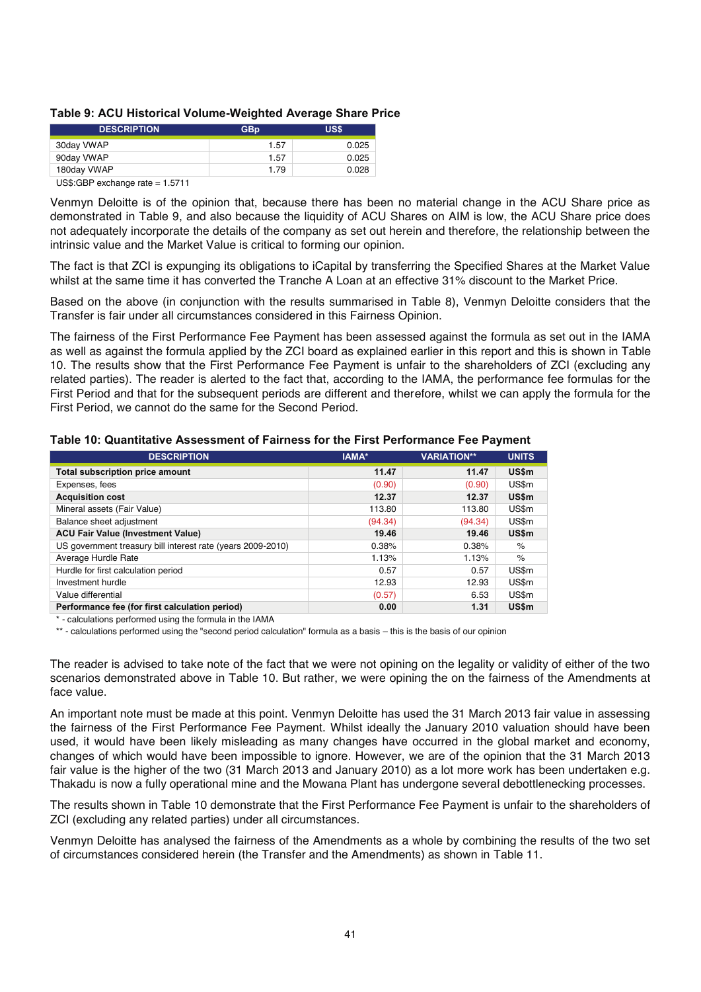#### **Table 9: ACU Historical Volume-Weighted Average Share Price**

| <b>DESCRIPTION</b> | GBp  | <b>US\$</b> |
|--------------------|------|-------------|
| 30day VWAP         | 1.57 | 0.025       |
| 90day VWAP         | 1.57 | 0.025       |
| 180day VWAP        | 1.79 | 0.028       |

US\$:GBP exchange rate = 1.5711

Venmyn Deloitte is of the opinion that, because there has been no material change in the ACU Share price as demonstrated in Table 9, and also because the liquidity of ACU Shares on AIM is low, the ACU Share price does not adequately incorporate the details of the company as set out herein and therefore, the relationship between the intrinsic value and the Market Value is critical to forming our opinion.

The fact is that ZCI is expunging its obligations to iCapital by transferring the Specified Shares at the Market Value whilst at the same time it has converted the Tranche A Loan at an effective 31% discount to the Market Price.

Based on the above (in conjunction with the results summarised in Table 8), Venmyn Deloitte considers that the Transfer is fair under all circumstances considered in this Fairness Opinion.

The fairness of the First Performance Fee Payment has been assessed against the formula as set out in the IAMA as well as against the formula applied by the ZCI board as explained earlier in this report and this is shown in Table 10. The results show that the First Performance Fee Payment is unfair to the shareholders of ZCI (excluding any related parties). The reader is alerted to the fact that, according to the IAMA, the performance fee formulas for the First Period and that for the subsequent periods are different and therefore, whilst we can apply the formula for the First Period, we cannot do the same for the Second Period.

| <b>DESCRIPTION</b>                                          | IAMA*   | <b>VARIATION**</b> | <b>UNITS</b> |
|-------------------------------------------------------------|---------|--------------------|--------------|
| <b>Total subscription price amount</b>                      | 11.47   | 11.47              | US\$m        |
| Expenses, fees                                              | (0.90)  | (0.90)             | US\$m        |
| <b>Acquisition cost</b>                                     | 12.37   | 12.37              | US\$m        |
| Mineral assets (Fair Value)                                 | 113.80  | 113.80             | US\$m        |
| Balance sheet adjustment                                    | (94.34) | (94.34)            | US\$m        |
| <b>ACU Fair Value (Investment Value)</b>                    | 19.46   | 19.46              | US\$m        |
| US government treasury bill interest rate (years 2009-2010) | 0.38%   | 0.38%              | $\%$         |
| Average Hurdle Rate                                         | 1.13%   | 1.13%              | $\%$         |
| Hurdle for first calculation period                         | 0.57    | 0.57               | US\$m        |
| Investment hurdle                                           | 12.93   | 12.93              | US\$m        |
| Value differential                                          | (0.57)  | 6.53               | US\$m        |
| Performance fee (for first calculation period)              | 0.00    | 1.31               | US\$m        |

#### **Table 10: Quantitative Assessment of Fairness for the First Performance Fee Payment**

\* - calculations performed using the formula in the IAMA

\*\* - calculations performed using the "second period calculation" formula as a basis – this is the basis of our opinion

The reader is advised to take note of the fact that we were not opining on the legality or validity of either of the two scenarios demonstrated above in Table 10. But rather, we were opining the on the fairness of the Amendments at face value.

An important note must be made at this point. Venmyn Deloitte has used the 31 March 2013 fair value in assessing the fairness of the First Performance Fee Payment. Whilst ideally the January 2010 valuation should have been used, it would have been likely misleading as many changes have occurred in the global market and economy, changes of which would have been impossible to ignore. However, we are of the opinion that the 31 March 2013 fair value is the higher of the two (31 March 2013 and January 2010) as a lot more work has been undertaken e.g. Thakadu is now a fully operational mine and the Mowana Plant has undergone several debottlenecking processes.

The results shown in Table 10 demonstrate that the First Performance Fee Payment is unfair to the shareholders of ZCI (excluding any related parties) under all circumstances.

Venmyn Deloitte has analysed the fairness of the Amendments as a whole by combining the results of the two set of circumstances considered herein (the Transfer and the Amendments) as shown in Table 11.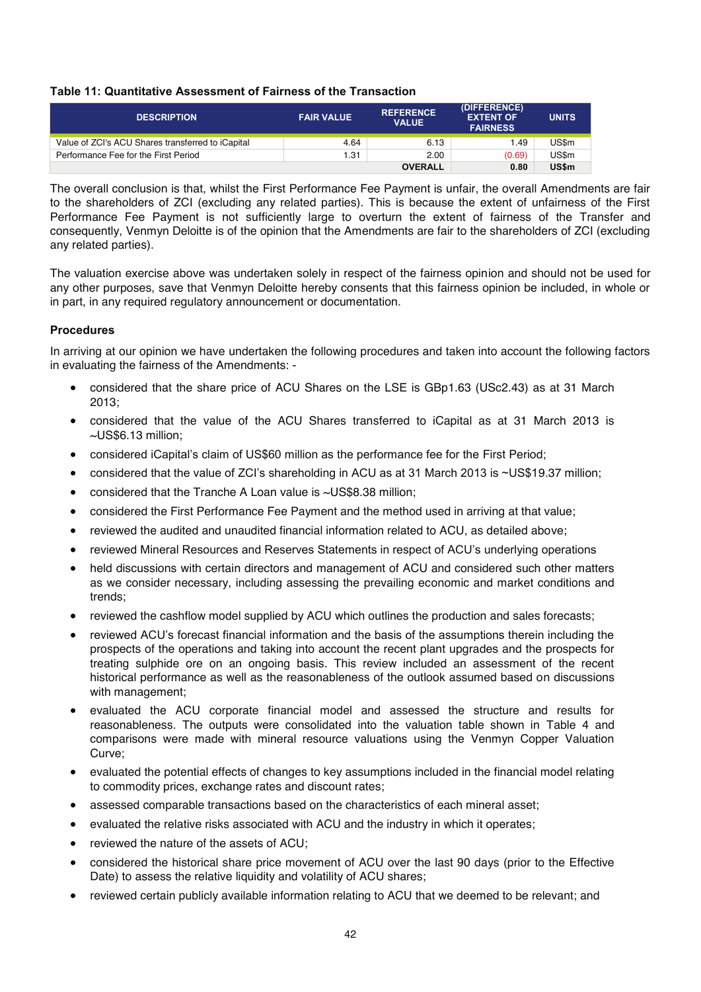#### **Table 11: Quantitative Assessment of Fairness of the Transaction**

| <b>DESCRIPTION</b>                                | <b>FAIR VALUE</b> | <b>REFERENCE</b><br><b>VALUE</b> | (DIFFERENCE)<br><b>EXTENT OF</b><br><b>FAIRNESS</b> | <b>UNITS</b> |
|---------------------------------------------------|-------------------|----------------------------------|-----------------------------------------------------|--------------|
| Value of ZCI's ACU Shares transferred to iCapital | 4.64              | 6.13                             | 1.49                                                | US\$m        |
| Performance Fee for the First Period              | 1.31              | 2.00                             | (0.69)                                              | US\$m        |
|                                                   |                   | <b>OVERALL</b>                   | 0.80                                                | <b>US\$m</b> |

The overall conclusion is that, whilst the First Performance Fee Payment is unfair, the overall Amendments are fair to the shareholders of ZCI (excluding any related parties). This is because the extent of unfairness of the First Performance Fee Payment is not sufficiently large to overturn the extent of fairness of the Transfer and consequently, Venmyn Deloitte is of the opinion that the Amendments are fair to the shareholders of ZCI (excluding any related parties).

The valuation exercise above was undertaken solely in respect of the fairness opinion and should not be used for any other purposes, save that Venmyn Deloitte hereby consents that this fairness opinion be included, in whole or in part, in any required regulatory announcement or documentation.

#### **Procedures**

In arriving at our opinion we have undertaken the following procedures and taken into account the following factors in evaluating the fairness of the Amendments: -

- considered that the share price of ACU Shares on the LSE is GBp1.63 (USc2.43) as at 31 March 2013;
- considered that the value of the ACU Shares transferred to iCapital as at 31 March 2013 is ~US\$6.13 million;
- considered iCapital's claim of US\$60 million as the performance fee for the First Period;
- considered that the value of ZCI's shareholding in ACU as at 31 March 2013 is ~US\$19.37 million;
- considered that the Tranche A Loan value is  $\sim$ US\$8.38 million;
- considered the First Performance Fee Payment and the method used in arriving at that value;
- reviewed the audited and unaudited financial information related to ACU, as detailed above;
- reviewed Mineral Resources and Reserves Statements in respect of ACU's underlying operations
- held discussions with certain directors and management of ACU and considered such other matters as we consider necessary, including assessing the prevailing economic and market conditions and trends;
- reviewed the cashflow model supplied by ACU which outlines the production and sales forecasts;
- reviewed ACU's forecast financial information and the basis of the assumptions therein including the prospects of the operations and taking into account the recent plant upgrades and the prospects for treating sulphide ore on an ongoing basis. This review included an assessment of the recent historical performance as well as the reasonableness of the outlook assumed based on discussions with management;
- x evaluated the ACU corporate financial model and assessed the structure and results for reasonableness. The outputs were consolidated into the valuation table shown in Table 4 and comparisons were made with mineral resource valuations using the Venmyn Copper Valuation Curve;
- evaluated the potential effects of changes to key assumptions included in the financial model relating to commodity prices, exchange rates and discount rates;
- assessed comparable transactions based on the characteristics of each mineral asset;
- evaluated the relative risks associated with ACU and the industry in which it operates;
- reviewed the nature of the assets of ACU;
- considered the historical share price movement of ACU over the last 90 days (prior to the Effective Date) to assess the relative liquidity and volatility of ACU shares;
- reviewed certain publicly available information relating to ACU that we deemed to be relevant; and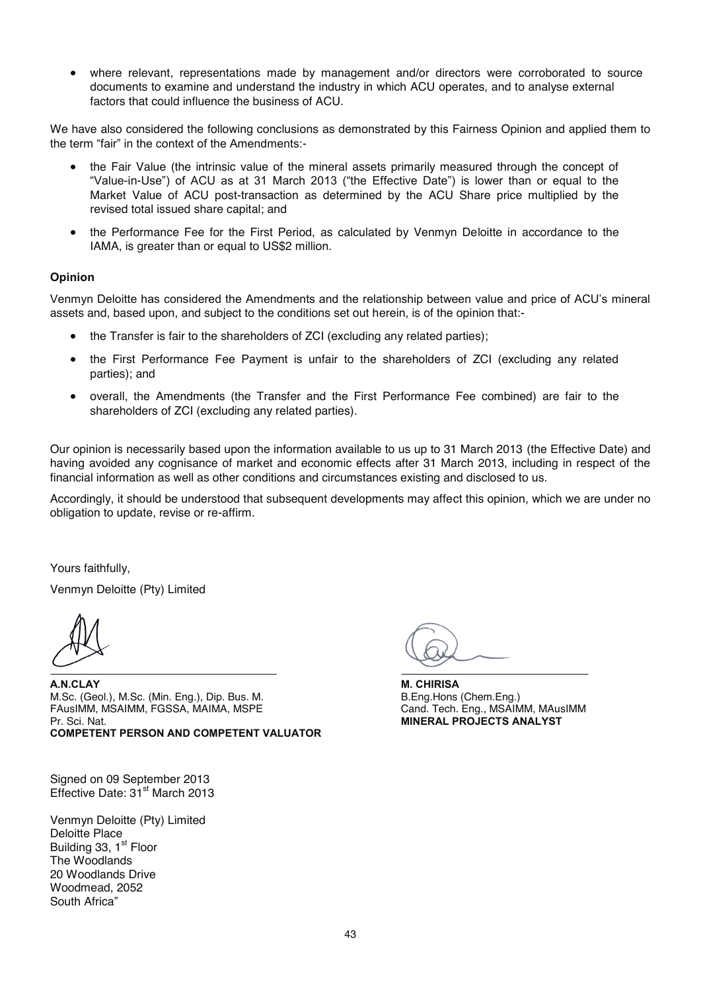• where relevant, representations made by management and/or directors were corroborated to source documents to examine and understand the industry in which ACU operates, and to analyse external factors that could influence the business of ACU.

We have also considered the following conclusions as demonstrated by this Fairness Opinion and applied them to the term "fair" in the context of the Amendments:-

- the Fair Value (the intrinsic value of the mineral assets primarily measured through the concept of "Value-in-Use") of ACU as at 31 March 2013 ("the Effective Date") is lower than or equal to the Market Value of ACU post-transaction as determined by the ACU Share price multiplied by the revised total issued share capital; and
- the Performance Fee for the First Period, as calculated by Venmyn Deloitte in accordance to the IAMA, is greater than or equal to US\$2 million.

#### **Opinion**

Venmyn Deloitte has considered the Amendments and the relationship between value and price of ACU's mineral assets and, based upon, and subject to the conditions set out herein, is of the opinion that:-

- the Transfer is fair to the shareholders of ZCI (excluding any related parties);
- the First Performance Fee Payment is unfair to the shareholders of ZCI (excluding any related parties); and
- overall, the Amendments (the Transfer and the First Performance Fee combined) are fair to the shareholders of ZCI (excluding any related parties).

Our opinion is necessarily based upon the information available to us up to 31 March 2013 (the Effective Date) and having avoided any cognisance of market and economic effects after 31 March 2013, including in respect of the financial information as well as other conditions and circumstances existing and disclosed to us.

Accordingly, it should be understood that subsequent developments may affect this opinion, which we are under no obligation to update, revise or re-affirm.

Yours faithfully,

Venmyn Deloitte (Pty) Limited

**A.N.CLAY**  M.Sc. (Geol.), M.Sc. (Min. Eng.), Dip. Bus. M. FAusIMM, MSAIMM, FGSSA, MAIMA, MSPE Pr. Sci. Nat. **COMPETENT PERSON AND COMPETENT VALUATOR**

Signed on 09 September 2013 Effective Date:  $31<sup>st</sup>$  March 2013

Venmyn Deloitte (Pty) Limited Deloitte Place Building 33, 1<sup>st</sup> Floor The Woodlands 20 Woodlands Drive Woodmead, 2052 South Africa"

**M. CHIRISA**  B.Eng.Hons (Chem.Eng.) Cand. Tech. Eng., MSAIMM, MAusIMM **MINERAL PROJECTS ANALYST**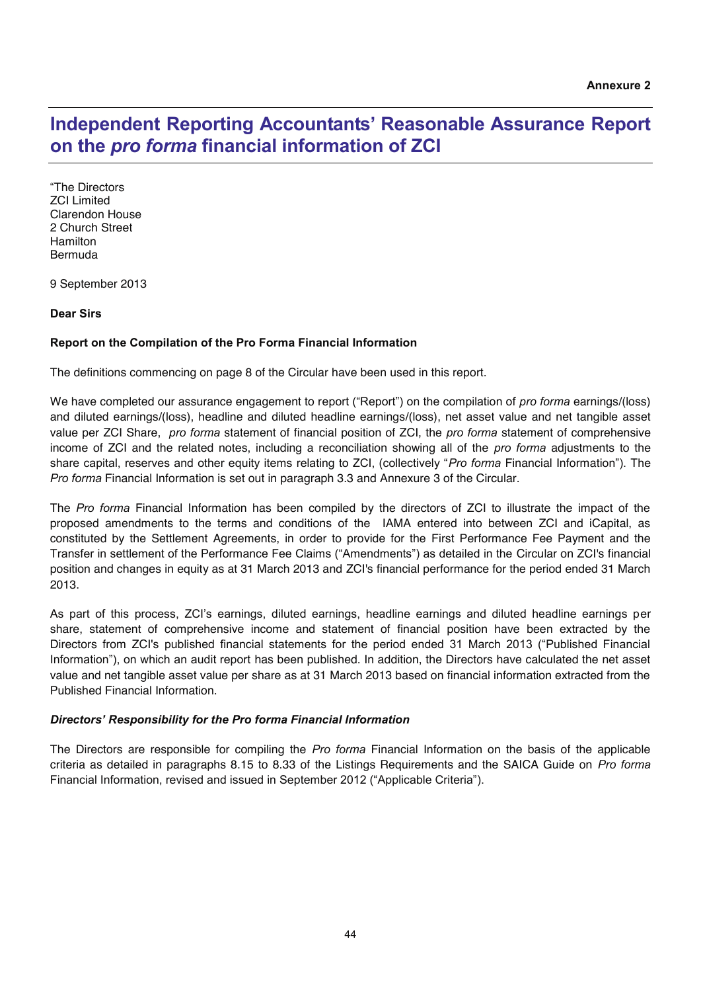## **Independent Reporting Accountants' Reasonable Assurance Report on the** *pro forma* **financial information of ZCI**

"The Directors ZCI Limited Clarendon House 2 Church Street Hamilton Bermuda

9 September 2013

#### **Dear Sirs**

#### **Report on the Compilation of the Pro Forma Financial Information**

The definitions commencing on page 8 of the Circular have been used in this report.

We have completed our assurance engagement to report ("Report") on the compilation of *pro forma* earnings/(loss) and diluted earnings/(loss), headline and diluted headline earnings/(loss), net asset value and net tangible asset value per ZCI Share, *pro forma* statement of financial position of ZCI, the *pro forma* statement of comprehensive income of ZCI and the related notes, including a reconciliation showing all of the *pro forma* adjustments to the share capital, reserves and other equity items relating to ZCI, (collectively "*Pro forma* Financial Information"). The *Pro forma* Financial Information is set out in paragraph 3.3 and Annexure 3 of the Circular.

The *Pro forma* Financial Information has been compiled by the directors of ZCI to illustrate the impact of the proposed amendments to the terms and conditions of the IAMA entered into between ZCI and iCapital, as constituted by the Settlement Agreements, in order to provide for the First Performance Fee Payment and the Transfer in settlement of the Performance Fee Claims ("Amendments") as detailed in the Circular on ZCI's financial position and changes in equity as at 31 March 2013 and ZCI's financial performance for the period ended 31 March 2013.

As part of this process, ZCI's earnings, diluted earnings, headline earnings and diluted headline earnings per share, statement of comprehensive income and statement of financial position have been extracted by the Directors from ZCI's published financial statements for the period ended 31 March 2013 ("Published Financial Information"), on which an audit report has been published. In addition, the Directors have calculated the net asset value and net tangible asset value per share as at 31 March 2013 based on financial information extracted from the Published Financial Information.

#### *Directors' Responsibility for the Pro forma Financial Information*

The Directors are responsible for compiling the *Pro forma* Financial Information on the basis of the applicable criteria as detailed in paragraphs 8.15 to 8.33 of the Listings Requirements and the SAICA Guide on *Pro forma* Financial Information, revised and issued in September 2012 ("Applicable Criteria").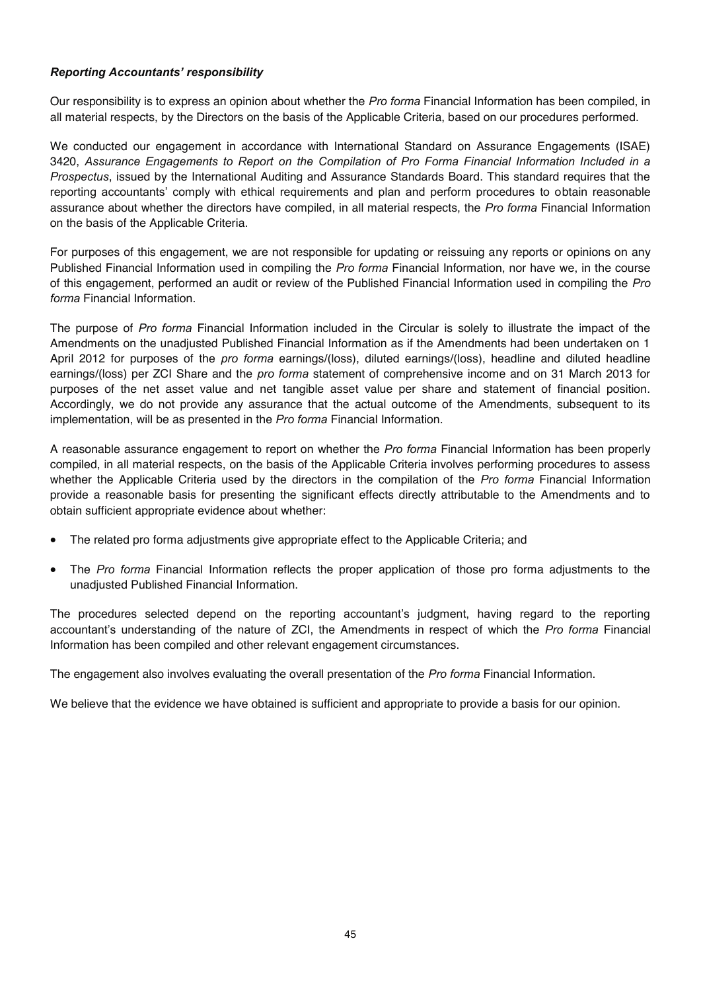#### *Reporting Accountants' responsibility*

Our responsibility is to express an opinion about whether the *Pro forma* Financial Information has been compiled, in all material respects, by the Directors on the basis of the Applicable Criteria, based on our procedures performed.

We conducted our engagement in accordance with International Standard on Assurance Engagements (ISAE) 3420, *Assurance Engagements to Report on the Compilation of Pro Forma Financial Information Included in a Prospectus*, issued by the International Auditing and Assurance Standards Board. This standard requires that the reporting accountants' comply with ethical requirements and plan and perform procedures to obtain reasonable assurance about whether the directors have compiled, in all material respects, the *Pro forma* Financial Information on the basis of the Applicable Criteria.

For purposes of this engagement, we are not responsible for updating or reissuing any reports or opinions on any Published Financial Information used in compiling the *Pro forma* Financial Information, nor have we, in the course of this engagement, performed an audit or review of the Published Financial Information used in compiling the *Pro forma* Financial Information.

The purpose of *Pro forma* Financial Information included in the Circular is solely to illustrate the impact of the Amendments on the unadjusted Published Financial Information as if the Amendments had been undertaken on 1 April 2012 for purposes of the *pro forma* earnings/(loss), diluted earnings/(loss), headline and diluted headline earnings/(loss) per ZCI Share and the *pro forma* statement of comprehensive income and on 31 March 2013 for purposes of the net asset value and net tangible asset value per share and statement of financial position. Accordingly, we do not provide any assurance that the actual outcome of the Amendments, subsequent to its implementation, will be as presented in the *Pro forma* Financial Information.

A reasonable assurance engagement to report on whether the *Pro forma* Financial Information has been properly compiled, in all material respects, on the basis of the Applicable Criteria involves performing procedures to assess whether the Applicable Criteria used by the directors in the compilation of the *Pro forma* Financial Information provide a reasonable basis for presenting the significant effects directly attributable to the Amendments and to obtain sufficient appropriate evidence about whether:

- The related pro forma adjustments give appropriate effect to the Applicable Criteria; and
- The *Pro forma* Financial Information reflects the proper application of those pro forma adjustments to the unadjusted Published Financial Information.

The procedures selected depend on the reporting accountant's judgment, having regard to the reporting accountant's understanding of the nature of ZCI, the Amendments in respect of which the *Pro forma* Financial Information has been compiled and other relevant engagement circumstances.

The engagement also involves evaluating the overall presentation of the *Pro forma* Financial Information.

We believe that the evidence we have obtained is sufficient and appropriate to provide a basis for our opinion.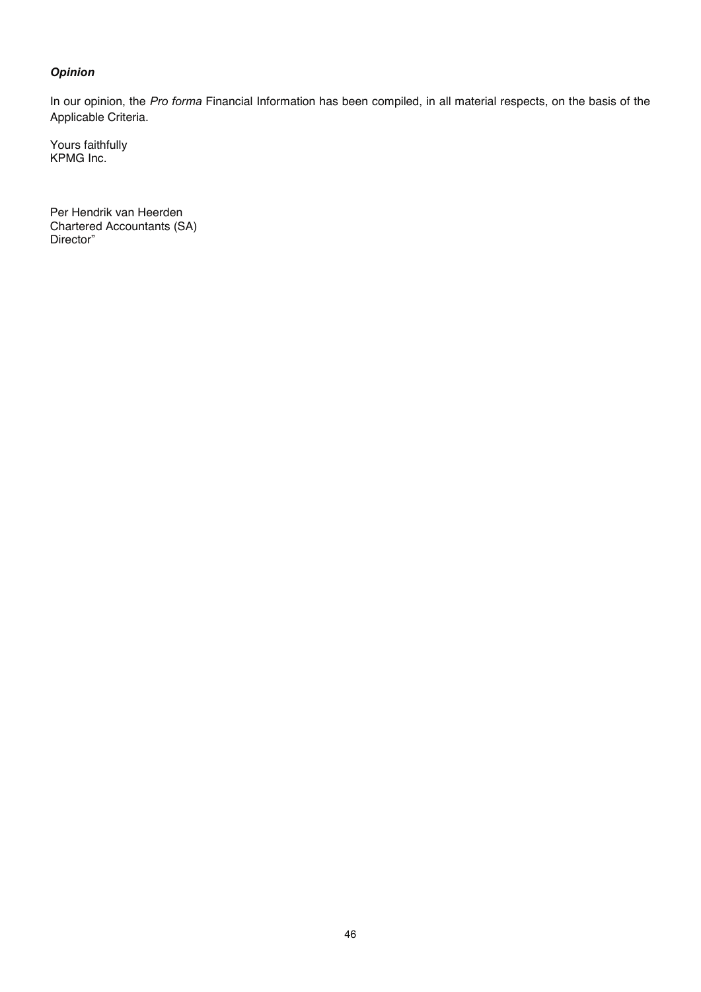### *Opinion*

In our opinion, the *Pro forma* Financial Information has been compiled, in all material respects, on the basis of the Applicable Criteria.

Yours faithfully KPMG Inc.

Per Hendrik van Heerden Chartered Accountants (SA) Director"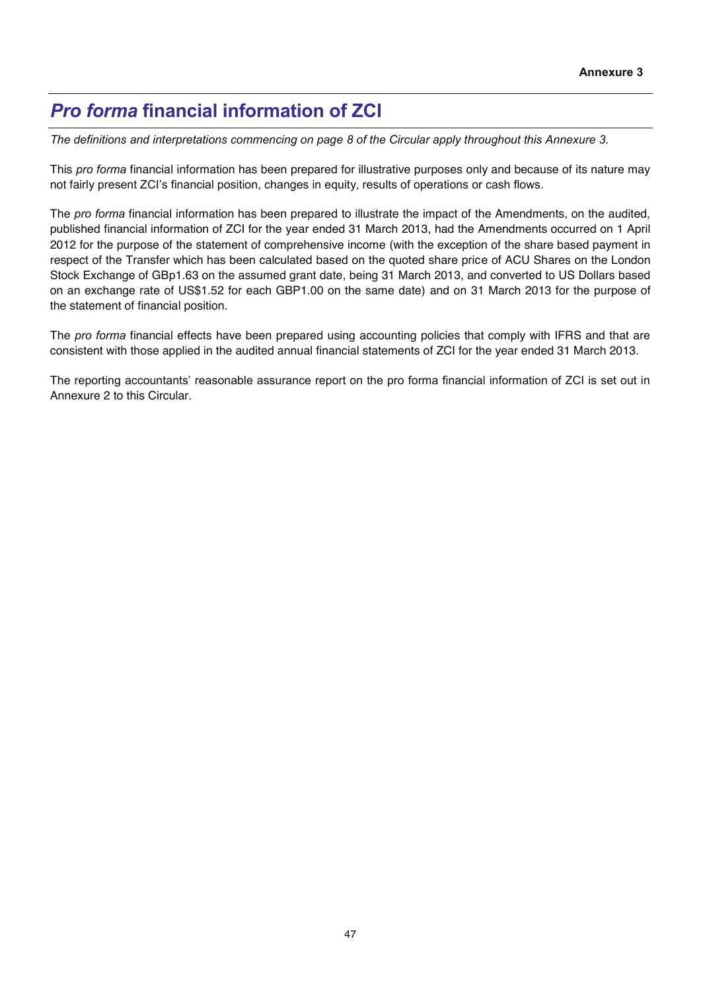## *Pro forma* **financial information of ZCI**

*The definitions and interpretations commencing on page 8 of the Circular apply throughout this Annexure 3.* 

This *pro forma* financial information has been prepared for illustrative purposes only and because of its nature may not fairly present ZCI's financial position, changes in equity, results of operations or cash flows.

The *pro forma* financial information has been prepared to illustrate the impact of the Amendments, on the audited, published financial information of ZCI for the year ended 31 March 2013, had the Amendments occurred on 1 April 2012 for the purpose of the statement of comprehensive income (with the exception of the share based payment in respect of the Transfer which has been calculated based on the quoted share price of ACU Shares on the London Stock Exchange of GBp1.63 on the assumed grant date, being 31 March 2013, and converted to US Dollars based on an exchange rate of US\$1.52 for each GBP1.00 on the same date) and on 31 March 2013 for the purpose of the statement of financial position.

The *pro forma* financial effects have been prepared using accounting policies that comply with IFRS and that are consistent with those applied in the audited annual financial statements of ZCI for the year ended 31 March 2013.

The reporting accountants' reasonable assurance report on the pro forma financial information of ZCI is set out in Annexure 2 to this Circular.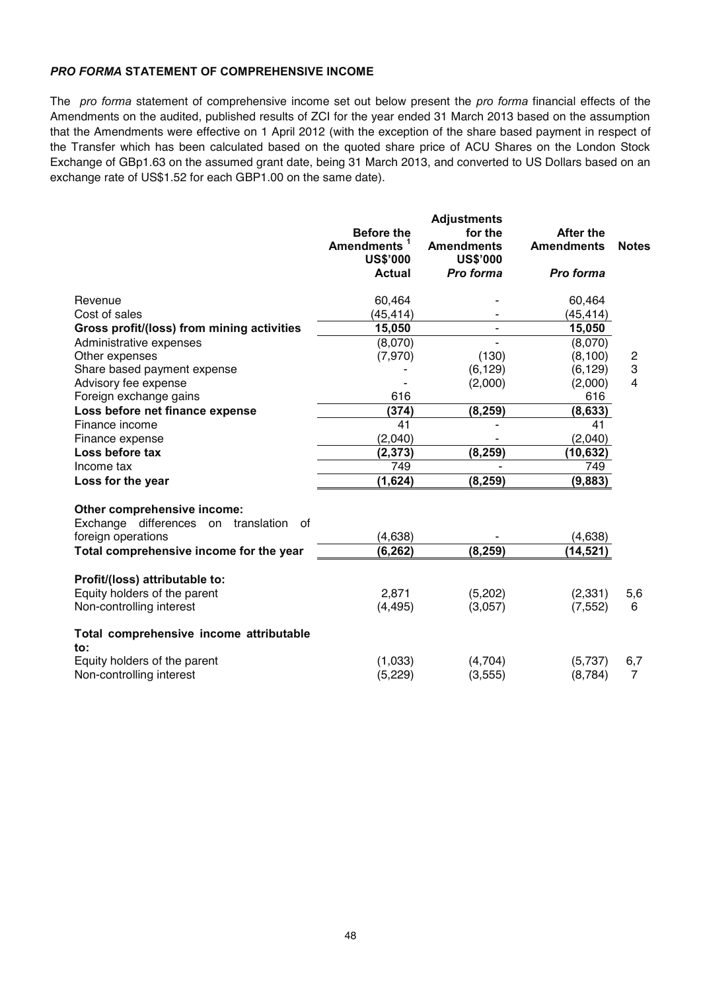### *PRO FORMA* **STATEMENT OF COMPREHENSIVE INCOME**

The *pro forma* statement of comprehensive income set out below present the *pro forma* financial effects of the Amendments on the audited, published results of ZCI for the year ended 31 March 2013 based on the assumption that the Amendments were effective on 1 April 2012 (with the exception of the share based payment in respect of the Transfer which has been calculated based on the quoted share price of ACU Shares on the London Stock Exchange of GBp1.63 on the assumed grant date, being 31 March 2013, and converted to US Dollars based on an exchange rate of US\$1.52 for each GBP1.00 on the same date).

|                                                                                                                                           | <b>Before the</b><br>Amendments <sup>1</sup><br><b>US\$'000</b><br><b>Actual</b> | <b>Adjustments</b><br>for the<br><b>Amendments</b><br><b>US\$'000</b><br>Pro forma | <b>After the</b><br><b>Amendments</b><br>Pro forma | <b>Notes</b>   |
|-------------------------------------------------------------------------------------------------------------------------------------------|----------------------------------------------------------------------------------|------------------------------------------------------------------------------------|----------------------------------------------------|----------------|
| Revenue                                                                                                                                   | 60,464                                                                           |                                                                                    | 60,464                                             |                |
| Cost of sales                                                                                                                             | (45,414)                                                                         |                                                                                    | (45,414)                                           |                |
| Gross profit/(loss) from mining activities                                                                                                | 15,050                                                                           | ٠                                                                                  | 15,050                                             |                |
| Administrative expenses                                                                                                                   | (8,070)                                                                          |                                                                                    | (8,070)                                            |                |
| Other expenses                                                                                                                            | (7,970)                                                                          | (130)                                                                              | (8, 100)                                           | $\overline{c}$ |
| Share based payment expense                                                                                                               |                                                                                  | (6, 129)                                                                           | (6, 129)                                           | 3              |
| Advisory fee expense                                                                                                                      |                                                                                  | (2,000)                                                                            | (2,000)                                            | $\overline{4}$ |
| Foreign exchange gains                                                                                                                    | 616                                                                              |                                                                                    | 616                                                |                |
| Loss before net finance expense                                                                                                           | (374)                                                                            | (8, 259)                                                                           | (8, 633)                                           |                |
| Finance income                                                                                                                            | 41                                                                               |                                                                                    | 41                                                 |                |
| Finance expense                                                                                                                           | (2,040)                                                                          |                                                                                    | (2,040)                                            |                |
| Loss before tax                                                                                                                           | (2, 373)                                                                         | (8, 259)                                                                           | (10, 632)                                          |                |
| Income tax                                                                                                                                | 749                                                                              |                                                                                    | 749                                                |                |
| Loss for the year                                                                                                                         | (1,624)                                                                          | (8, 259)                                                                           | (9,883)                                            |                |
| Other comprehensive income:<br>Exchange differences on translation<br>0f<br>foreign operations<br>Total comprehensive income for the year | (4, 638)<br>(6, 262)                                                             | (8, 259)                                                                           | (4,638)<br>(14, 521)                               |                |
| Profit/(loss) attributable to:                                                                                                            |                                                                                  |                                                                                    |                                                    |                |
| Equity holders of the parent                                                                                                              | 2,871                                                                            | (5,202)                                                                            | (2, 331)                                           | 5,6            |
| Non-controlling interest                                                                                                                  | (4, 495)                                                                         | (3,057)                                                                            | (7, 552)                                           | 6              |
| Total comprehensive income attributable<br>to:                                                                                            |                                                                                  |                                                                                    |                                                    |                |
| Equity holders of the parent                                                                                                              | (1,033)                                                                          | (4,704)                                                                            | (5,737)                                            | 6,7            |
| Non-controlling interest                                                                                                                  | (5, 229)                                                                         | (3, 555)                                                                           | (8, 784)                                           | $\overline{7}$ |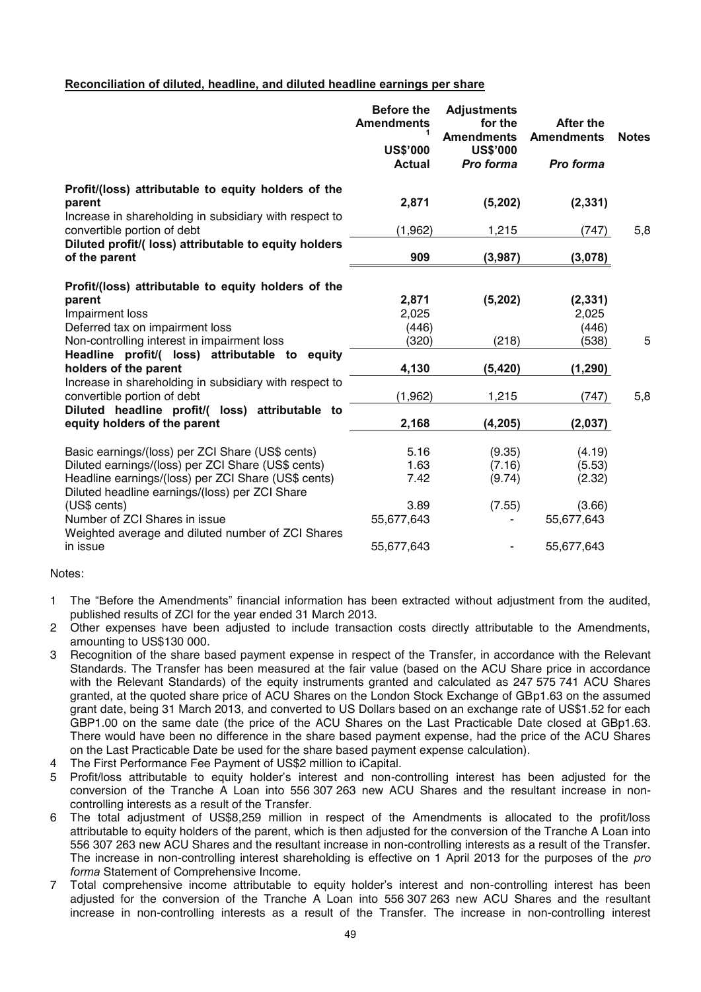#### **Reconciliation of diluted, headline, and diluted headline earnings per share**

|                                                                                                                         | <b>Before the</b><br><b>Amendments</b><br><b>US\$'000</b><br><b>Actual</b> | <b>Adjustments</b><br>for the<br><b>Amendments</b><br><b>US\$'000</b><br>Pro forma | <b>After the</b><br><b>Amendments</b><br>Pro forma | <b>Notes</b> |
|-------------------------------------------------------------------------------------------------------------------------|----------------------------------------------------------------------------|------------------------------------------------------------------------------------|----------------------------------------------------|--------------|
| Profit/(loss) attributable to equity holders of the<br>parent<br>Increase in shareholding in subsidiary with respect to | 2,871                                                                      | (5,202)                                                                            | (2, 331)                                           |              |
| convertible portion of debt                                                                                             | (1,962)                                                                    | 1,215                                                                              | (747)                                              | 5,8          |
| Diluted profit/(loss) attributable to equity holders<br>of the parent                                                   | 909                                                                        | (3,987)                                                                            | (3,078)                                            |              |
| Profit/(loss) attributable to equity holders of the                                                                     |                                                                            |                                                                                    |                                                    |              |
| parent                                                                                                                  | 2,871                                                                      | (5, 202)                                                                           | (2, 331)                                           |              |
| Impairment loss                                                                                                         | 2,025                                                                      |                                                                                    | 2,025                                              |              |
| Deferred tax on impairment loss                                                                                         | (446)                                                                      |                                                                                    | (446)                                              |              |
| Non-controlling interest in impairment loss                                                                             | (320)                                                                      | (218)                                                                              | (538)                                              | 5            |
| Headline profit/( loss) attributable to equity<br>holders of the parent                                                 | 4,130                                                                      | (5, 420)                                                                           | (1, 290)                                           |              |
| Increase in shareholding in subsidiary with respect to<br>convertible portion of debt                                   | (1,962)                                                                    | 1,215                                                                              | (747)                                              | 5,8          |
| Diluted headline profit/( loss) attributable to<br>equity holders of the parent                                         | 2,168                                                                      | (4, 205)                                                                           | (2,037)                                            |              |
| Basic earnings/(loss) per ZCI Share (US\$ cents)                                                                        | 5.16                                                                       | (9.35)                                                                             | (4.19)                                             |              |
| Diluted earnings/(loss) per ZCI Share (US\$ cents)                                                                      | 1.63                                                                       | (7.16)                                                                             | (5.53)                                             |              |
| Headline earnings/(loss) per ZCI Share (US\$ cents)<br>Diluted headline earnings/(loss) per ZCI Share                   | 7.42                                                                       | (9.74)                                                                             | (2.32)                                             |              |
| (US\$ cents)                                                                                                            | 3.89                                                                       | (7.55)                                                                             | (3.66)                                             |              |
| Number of ZCI Shares in issue<br>Weighted average and diluted number of ZCI Shares                                      | 55,677,643                                                                 |                                                                                    | 55,677,643                                         |              |
| in issue                                                                                                                | 55,677,643                                                                 | ۰                                                                                  | 55,677,643                                         |              |

#### Notes:

- 1 The "Before the Amendments" financial information has been extracted without adjustment from the audited, published results of ZCI for the year ended 31 March 2013.
- 2 Other expenses have been adjusted to include transaction costs directly attributable to the Amendments, amounting to US\$130 000.
- 3 Recognition of the share based payment expense in respect of the Transfer, in accordance with the Relevant Standards. The Transfer has been measured at the fair value (based on the ACU Share price in accordance with the Relevant Standards) of the equity instruments granted and calculated as 247 575 741 ACU Shares granted, at the quoted share price of ACU Shares on the London Stock Exchange of GBp1.63 on the assumed grant date, being 31 March 2013, and converted to US Dollars based on an exchange rate of US\$1.52 for each GBP1.00 on the same date (the price of the ACU Shares on the Last Practicable Date closed at GBp1.63. There would have been no difference in the share based payment expense, had the price of the ACU Shares on the Last Practicable Date be used for the share based payment expense calculation).
- 4 The First Performance Fee Payment of US\$2 million to iCapital.
- 5 Profit/loss attributable to equity holder's interest and non-controlling interest has been adjusted for the conversion of the Tranche A Loan into 556 307 263 new ACU Shares and the resultant increase in noncontrolling interests as a result of the Transfer.
- 6 The total adjustment of US\$8,259 million in respect of the Amendments is allocated to the profit/loss attributable to equity holders of the parent, which is then adjusted for the conversion of the Tranche A Loan into 556 307 263 new ACU Shares and the resultant increase in non-controlling interests as a result of the Transfer. The increase in non-controlling interest shareholding is effective on 1 April 2013 for the purposes of the *pro forma* Statement of Comprehensive Income.
- 7 Total comprehensive income attributable to equity holder's interest and non-controlling interest has been adjusted for the conversion of the Tranche A Loan into 556 307 263 new ACU Shares and the resultant increase in non-controlling interests as a result of the Transfer. The increase in non-controlling interest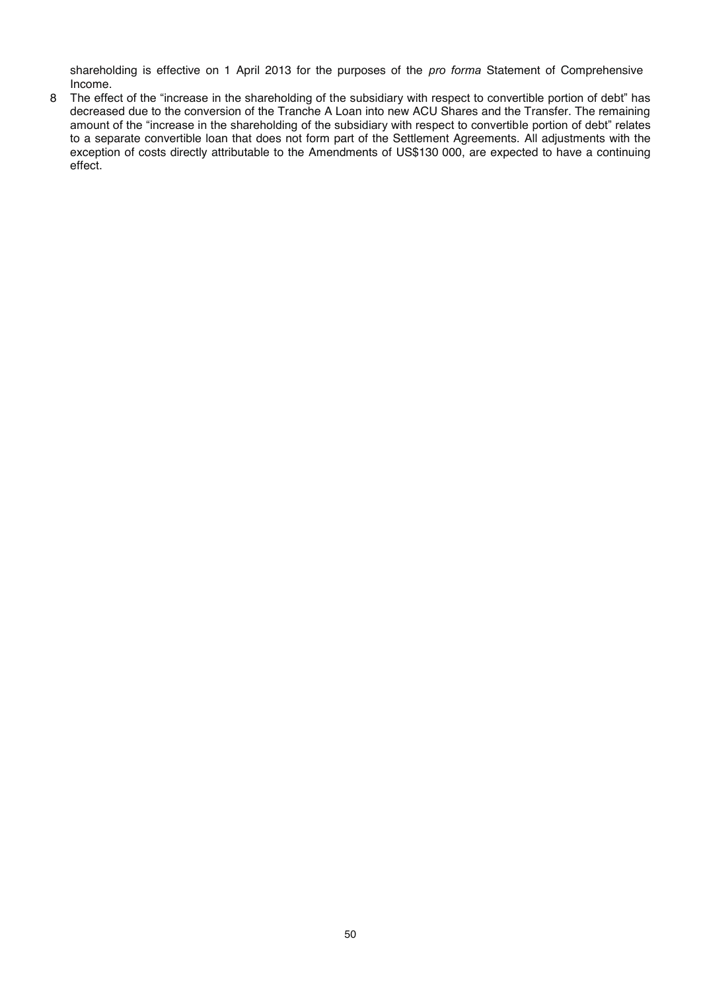shareholding is effective on 1 April 2013 for the purposes of the *pro forma* Statement of Comprehensive Income.

8 The effect of the "increase in the shareholding of the subsidiary with respect to convertible portion of debt" has decreased due to the conversion of the Tranche A Loan into new ACU Shares and the Transfer. The remaining amount of the "increase in the shareholding of the subsidiary with respect to convertible portion of debt" relates to a separate convertible loan that does not form part of the Settlement Agreements. All adjustments with the exception of costs directly attributable to the Amendments of US\$130 000, are expected to have a continuing effect.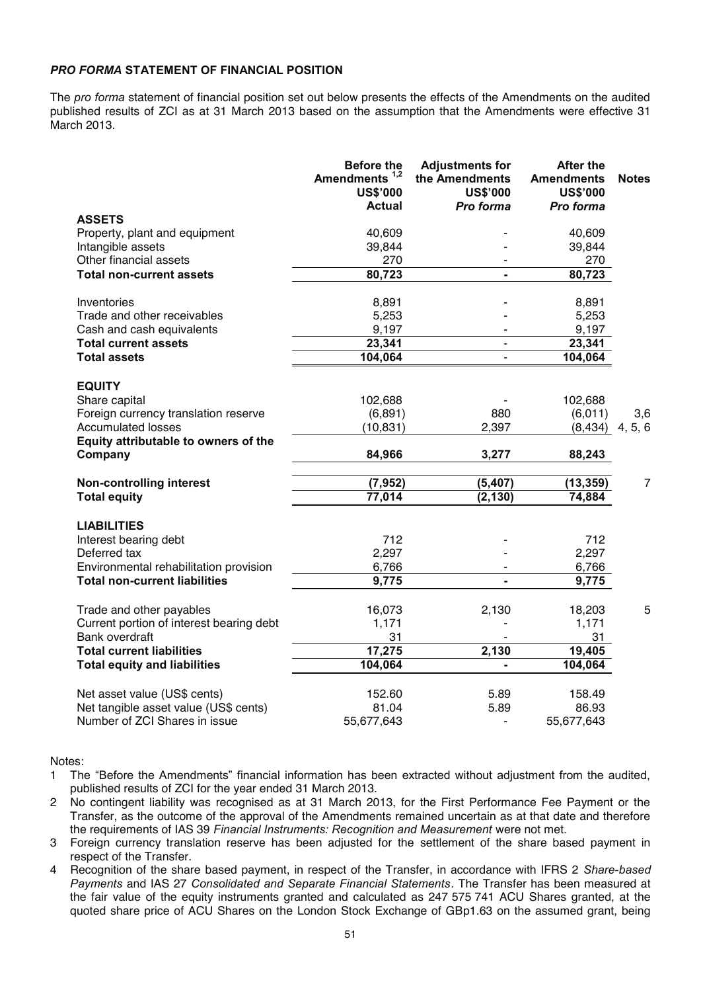#### *PRO FORMA* **STATEMENT OF FINANCIAL POSITION**

The *pro forma* statement of financial position set out below presents the effects of the Amendments on the audited published results of ZCI as at 31 March 2013 based on the assumption that the Amendments were effective 31 March 2013.

|                                                                   | <b>Before the</b><br>Amendments <sup>1,2</sup><br><b>US\$'000</b><br><b>Actual</b> | <b>Adjustments for</b><br>the Amendments<br><b>US\$'000</b><br>Pro forma | <b>After the</b><br><b>Amendments</b><br><b>US\$'000</b><br>Pro forma | <b>Notes</b>   |
|-------------------------------------------------------------------|------------------------------------------------------------------------------------|--------------------------------------------------------------------------|-----------------------------------------------------------------------|----------------|
| <b>ASSETS</b>                                                     |                                                                                    |                                                                          |                                                                       |                |
| Property, plant and equipment                                     | 40,609                                                                             |                                                                          | 40,609                                                                |                |
| Intangible assets                                                 | 39,844                                                                             |                                                                          | 39,844                                                                |                |
| Other financial assets                                            | 270                                                                                |                                                                          | 270                                                                   |                |
| <b>Total non-current assets</b>                                   | 80,723                                                                             |                                                                          | 80,723                                                                |                |
|                                                                   |                                                                                    |                                                                          |                                                                       |                |
| Inventories                                                       | 8,891                                                                              |                                                                          | 8,891                                                                 |                |
| Trade and other receivables<br>Cash and cash equivalents          | 5,253<br>9,197                                                                     |                                                                          | 5,253<br>9,197                                                        |                |
| <b>Total current assets</b>                                       | 23,341                                                                             |                                                                          | 23,341                                                                |                |
| <b>Total assets</b>                                               | 104,064                                                                            | $\blacksquare$                                                           | 104,064                                                               |                |
|                                                                   |                                                                                    |                                                                          |                                                                       |                |
| <b>EQUITY</b>                                                     |                                                                                    |                                                                          |                                                                       |                |
| Share capital                                                     | 102,688                                                                            |                                                                          | 102,688                                                               |                |
| Foreign currency translation reserve                              | (6, 891)                                                                           | 880                                                                      | (6,011)                                                               | 3,6            |
| <b>Accumulated losses</b>                                         | (10, 831)                                                                          | 2,397                                                                    | (8, 434)                                                              | 4, 5, 6        |
| Equity attributable to owners of the<br>Company                   | 84,966                                                                             | 3,277                                                                    | 88,243                                                                |                |
| <b>Non-controlling interest</b>                                   | (7, 952)                                                                           | (5, 407)                                                                 | (13, 359)                                                             | $\overline{7}$ |
| <b>Total equity</b>                                               | 77,014                                                                             | (2, 130)                                                                 | 74,884                                                                |                |
| <b>LIABILITIES</b>                                                |                                                                                    |                                                                          |                                                                       |                |
| Interest bearing debt                                             | 712                                                                                |                                                                          | 712                                                                   |                |
| Deferred tax                                                      | 2,297                                                                              |                                                                          | 2,297                                                                 |                |
| Environmental rehabilitation provision                            | 6,766                                                                              |                                                                          | 6,766                                                                 |                |
| <b>Total non-current liabilities</b>                              | 9,775                                                                              |                                                                          | 9,775                                                                 |                |
|                                                                   |                                                                                    |                                                                          |                                                                       |                |
| Trade and other payables                                          | 16,073                                                                             | 2,130                                                                    | 18,203                                                                | 5              |
| Current portion of interest bearing debt<br><b>Bank overdraft</b> | 1,171<br>31                                                                        |                                                                          | 1,171<br>31                                                           |                |
| <b>Total current liabilities</b>                                  | 17,275                                                                             | 2,130                                                                    | 19,405                                                                |                |
| <b>Total equity and liabilities</b>                               | 104,064                                                                            |                                                                          | 104,064                                                               |                |
|                                                                   |                                                                                    |                                                                          |                                                                       |                |
| Net asset value (US\$ cents)                                      | 152.60                                                                             | 5.89                                                                     | 158.49                                                                |                |
| Net tangible asset value (US\$ cents)                             | 81.04                                                                              | 5.89                                                                     | 86.93                                                                 |                |
| Number of ZCI Shares in issue                                     | 55,677,643                                                                         | ä,                                                                       | 55,677,643                                                            |                |

Notes:

- 1 The "Before the Amendments" financial information has been extracted without adjustment from the audited, published results of ZCI for the year ended 31 March 2013.
- 2 No contingent liability was recognised as at 31 March 2013, for the First Performance Fee Payment or the Transfer, as the outcome of the approval of the Amendments remained uncertain as at that date and therefore the requirements of IAS 39 *Financial Instruments: Recognition and Measurement* were not met.
- 3 Foreign currency translation reserve has been adjusted for the settlement of the share based payment in respect of the Transfer.
- 4 Recognition of the share based payment, in respect of the Transfer, in accordance with IFRS 2 *Share-based Payments* and IAS 27 *Consolidated and Separate Financial Statements*. The Transfer has been measured at the fair value of the equity instruments granted and calculated as 247 575 741 ACU Shares granted, at the quoted share price of ACU Shares on the London Stock Exchange of GBp1.63 on the assumed grant, being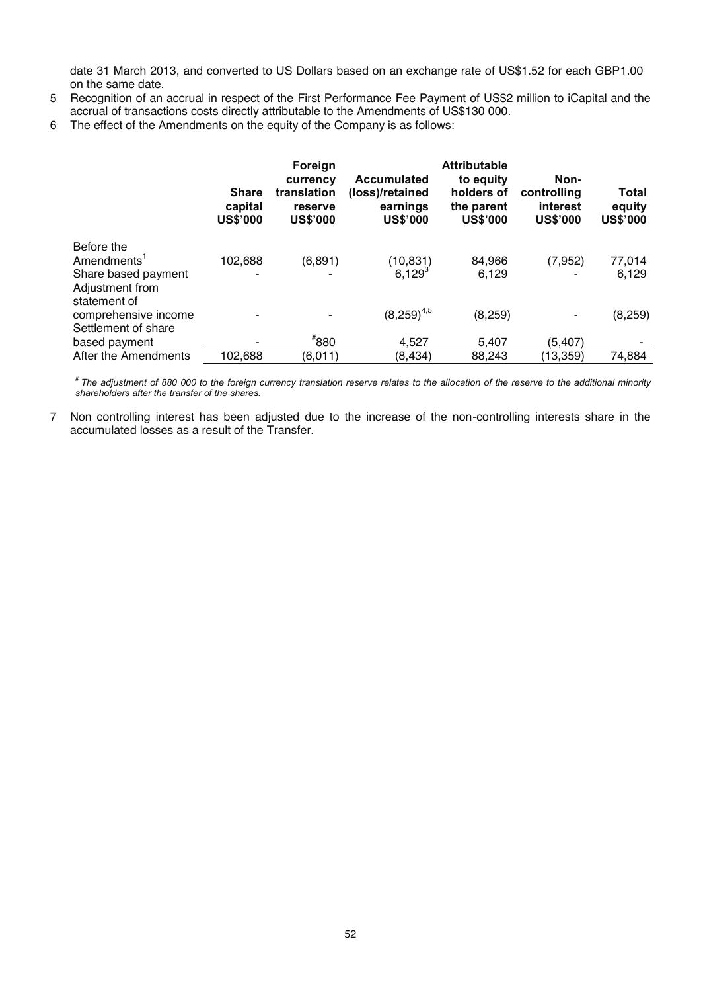date 31 March 2013, and converted to US Dollars based on an exchange rate of US\$1.52 for each GBP1.00 on the same date.

- 5 Recognition of an accrual in respect of the First Performance Fee Payment of US\$2 million to iCapital and the accrual of transactions costs directly attributable to the Amendments of US\$130 000.
- 6 The effect of the Amendments on the equity of the Company is as follows:

|                                                                                 | <b>Share</b><br>capital<br><b>US\$'000</b> | Foreign<br>currency<br>translation<br>reserve<br><b>US\$'000</b> | <b>Accumulated</b><br>(loss)/retained<br>earnings<br><b>US\$'000</b> | <b>Attributable</b><br>to equity<br>holders of<br>the parent<br><b>US\$'000</b> | Non-<br>controlling<br>interest<br><b>US\$'000</b> | Total<br>equity<br><b>US\$'000</b> |
|---------------------------------------------------------------------------------|--------------------------------------------|------------------------------------------------------------------|----------------------------------------------------------------------|---------------------------------------------------------------------------------|----------------------------------------------------|------------------------------------|
| Before the<br>Amendments <sup>1</sup><br>Share based payment<br>Adjustment from | 102,688                                    | (6, 891)                                                         | (10, 831)<br>$6.129^{3}$                                             | 84,966<br>6.129                                                                 | (7, 952)                                           | 77,014<br>6,129                    |
| statement of<br>comprehensive income<br>Settlement of share                     |                                            |                                                                  | $(8,259)^{4,5}$                                                      | (8, 259)                                                                        |                                                    | (8, 259)                           |
| based payment                                                                   |                                            | $*_{880}$                                                        | 4,527                                                                | 5,407                                                                           | (5,407)                                            |                                    |
| After the Amendments                                                            | 102,688                                    | (6,011)                                                          | (8,434)                                                              | 88,243                                                                          | (13, 359)                                          | 74,884                             |

*# The adjustment of 880 000 to the foreign currency translation reserve relates to the allocation of the reserve to the additional minority shareholders after the transfer of the shares.* 

7 Non controlling interest has been adjusted due to the increase of the non-controlling interests share in the accumulated losses as a result of the Transfer.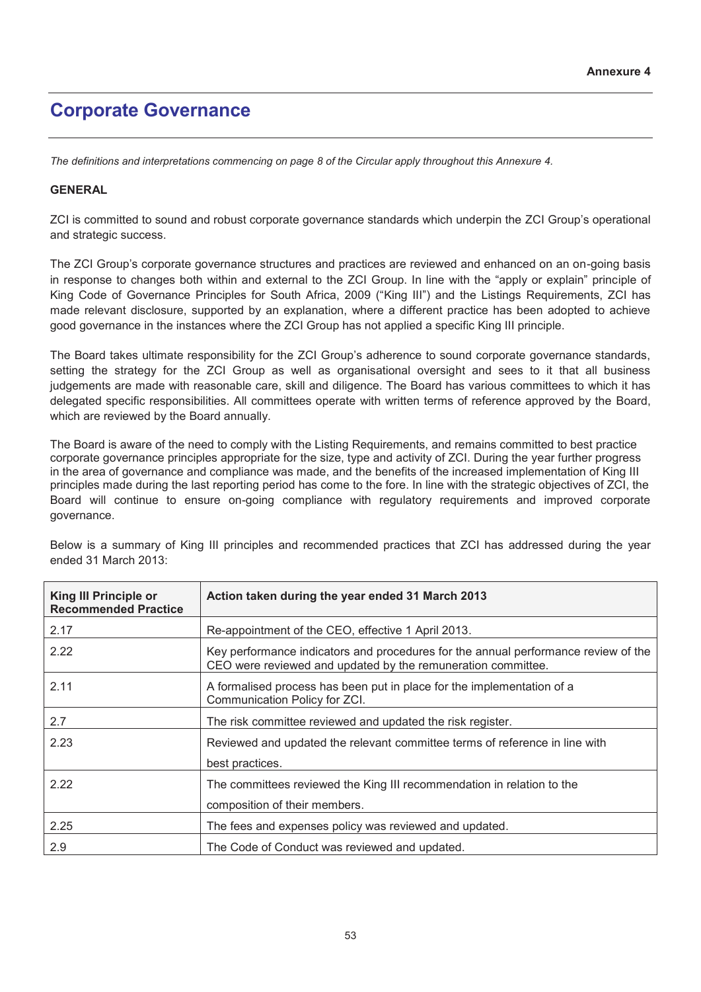## **Corporate Governance**

*The definitions and interpretations commencing on page 8 of the Circular apply throughout this Annexure 4.* 

### **GENERAL**

ZCI is committed to sound and robust corporate governance standards which underpin the ZCI Group's operational and strategic success.

The ZCI Group's corporate governance structures and practices are reviewed and enhanced on an on-going basis in response to changes both within and external to the ZCI Group. In line with the "apply or explain" principle of King Code of Governance Principles for South Africa, 2009 ("King III") and the Listings Requirements, ZCI has made relevant disclosure, supported by an explanation, where a different practice has been adopted to achieve good governance in the instances where the ZCI Group has not applied a specific King III principle.

The Board takes ultimate responsibility for the ZCI Group's adherence to sound corporate governance standards, setting the strategy for the ZCI Group as well as organisational oversight and sees to it that all business judgements are made with reasonable care, skill and diligence. The Board has various committees to which it has delegated specific responsibilities. All committees operate with written terms of reference approved by the Board, which are reviewed by the Board annually.

The Board is aware of the need to comply with the Listing Requirements, and remains committed to best practice corporate governance principles appropriate for the size, type and activity of ZCI. During the year further progress in the area of governance and compliance was made, and the benefits of the increased implementation of King III principles made during the last reporting period has come to the fore. In line with the strategic objectives of ZCI, the Board will continue to ensure on-going compliance with regulatory requirements and improved corporate governance.

Below is a summary of King III principles and recommended practices that ZCI has addressed during the year ended 31 March 2013:

| King III Principle or<br><b>Recommended Practice</b> | Action taken during the year ended 31 March 2013                                                                                                   |
|------------------------------------------------------|----------------------------------------------------------------------------------------------------------------------------------------------------|
| 2.17                                                 | Re-appointment of the CEO, effective 1 April 2013.                                                                                                 |
| 2.22                                                 | Key performance indicators and procedures for the annual performance review of the<br>CEO were reviewed and updated by the remuneration committee. |
| 2.11                                                 | A formalised process has been put in place for the implementation of a<br>Communication Policy for ZCI.                                            |
| 2.7                                                  | The risk committee reviewed and updated the risk register.                                                                                         |
| 2.23                                                 | Reviewed and updated the relevant committee terms of reference in line with<br>best practices.                                                     |
| 2.22                                                 | The committees reviewed the King III recommendation in relation to the<br>composition of their members.                                            |
| 2.25                                                 | The fees and expenses policy was reviewed and updated.                                                                                             |
| 2.9                                                  | The Code of Conduct was reviewed and updated.                                                                                                      |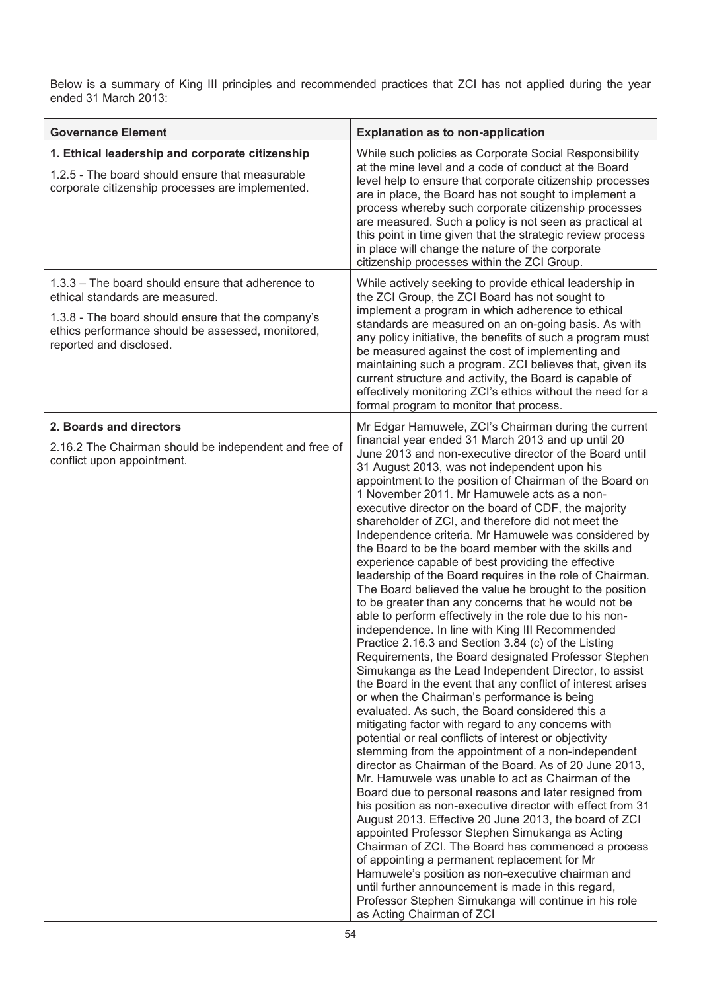Below is a summary of King III principles and recommended practices that ZCI has not applied during the year ended 31 March 2013:

| <b>Governance Element</b>                                                                                                                                                                                                  | <b>Explanation as to non-application</b>                                                                                                                                                                                                                                                                                                                                                                                                                                                                                                                                                                                                                                                                                                                                                                                                                                                                                                                                                                                                                                                                                                                                                                                                                                                                                                                                                                                                                                                                                                                                                                                                                                                                                                                                                                                                                                                                                                                                                                                                                                                  |
|----------------------------------------------------------------------------------------------------------------------------------------------------------------------------------------------------------------------------|-------------------------------------------------------------------------------------------------------------------------------------------------------------------------------------------------------------------------------------------------------------------------------------------------------------------------------------------------------------------------------------------------------------------------------------------------------------------------------------------------------------------------------------------------------------------------------------------------------------------------------------------------------------------------------------------------------------------------------------------------------------------------------------------------------------------------------------------------------------------------------------------------------------------------------------------------------------------------------------------------------------------------------------------------------------------------------------------------------------------------------------------------------------------------------------------------------------------------------------------------------------------------------------------------------------------------------------------------------------------------------------------------------------------------------------------------------------------------------------------------------------------------------------------------------------------------------------------------------------------------------------------------------------------------------------------------------------------------------------------------------------------------------------------------------------------------------------------------------------------------------------------------------------------------------------------------------------------------------------------------------------------------------------------------------------------------------------------|
| 1. Ethical leadership and corporate citizenship<br>1.2.5 - The board should ensure that measurable<br>corporate citizenship processes are implemented.                                                                     | While such policies as Corporate Social Responsibility<br>at the mine level and a code of conduct at the Board<br>level help to ensure that corporate citizenship processes<br>are in place, the Board has not sought to implement a<br>process whereby such corporate citizenship processes<br>are measured. Such a policy is not seen as practical at<br>this point in time given that the strategic review process<br>in place will change the nature of the corporate<br>citizenship processes within the ZCI Group.                                                                                                                                                                                                                                                                                                                                                                                                                                                                                                                                                                                                                                                                                                                                                                                                                                                                                                                                                                                                                                                                                                                                                                                                                                                                                                                                                                                                                                                                                                                                                                  |
| 1.3.3 - The board should ensure that adherence to<br>ethical standards are measured.<br>1.3.8 - The board should ensure that the company's<br>ethics performance should be assessed, monitored,<br>reported and disclosed. | While actively seeking to provide ethical leadership in<br>the ZCI Group, the ZCI Board has not sought to<br>implement a program in which adherence to ethical<br>standards are measured on an on-going basis. As with<br>any policy initiative, the benefits of such a program must<br>be measured against the cost of implementing and<br>maintaining such a program. ZCI believes that, given its<br>current structure and activity, the Board is capable of<br>effectively monitoring ZCI's ethics without the need for a<br>formal program to monitor that process.                                                                                                                                                                                                                                                                                                                                                                                                                                                                                                                                                                                                                                                                                                                                                                                                                                                                                                                                                                                                                                                                                                                                                                                                                                                                                                                                                                                                                                                                                                                  |
| 2. Boards and directors<br>2.16.2 The Chairman should be independent and free of<br>conflict upon appointment.                                                                                                             | Mr Edgar Hamuwele, ZCI's Chairman during the current<br>financial year ended 31 March 2013 and up until 20<br>June 2013 and non-executive director of the Board until<br>31 August 2013, was not independent upon his<br>appointment to the position of Chairman of the Board on<br>1 November 2011. Mr Hamuwele acts as a non-<br>executive director on the board of CDF, the majority<br>shareholder of ZCI, and therefore did not meet the<br>Independence criteria. Mr Hamuwele was considered by<br>the Board to be the board member with the skills and<br>experience capable of best providing the effective<br>leadership of the Board requires in the role of Chairman.<br>The Board believed the value he brought to the position<br>to be greater than any concerns that he would not be<br>able to perform effectively in the role due to his non-<br>independence. In line with King III Recommended<br>Practice 2.16.3 and Section 3.84 (c) of the Listing<br>Requirements, the Board designated Professor Stephen<br>Simukanga as the Lead Independent Director, to assist<br>the Board in the event that any conflict of interest arises<br>or when the Chairman's performance is being<br>evaluated. As such, the Board considered this a<br>mitigating factor with regard to any concerns with<br>potential or real conflicts of interest or objectivity<br>stemming from the appointment of a non-independent<br>director as Chairman of the Board. As of 20 June 2013,<br>Mr. Hamuwele was unable to act as Chairman of the<br>Board due to personal reasons and later resigned from<br>his position as non-executive director with effect from 31<br>August 2013. Effective 20 June 2013, the board of ZCI<br>appointed Professor Stephen Simukanga as Acting<br>Chairman of ZCI. The Board has commenced a process<br>of appointing a permanent replacement for Mr<br>Hamuwele's position as non-executive chairman and<br>until further announcement is made in this regard,<br>Professor Stephen Simukanga will continue in his role<br>as Acting Chairman of ZCI |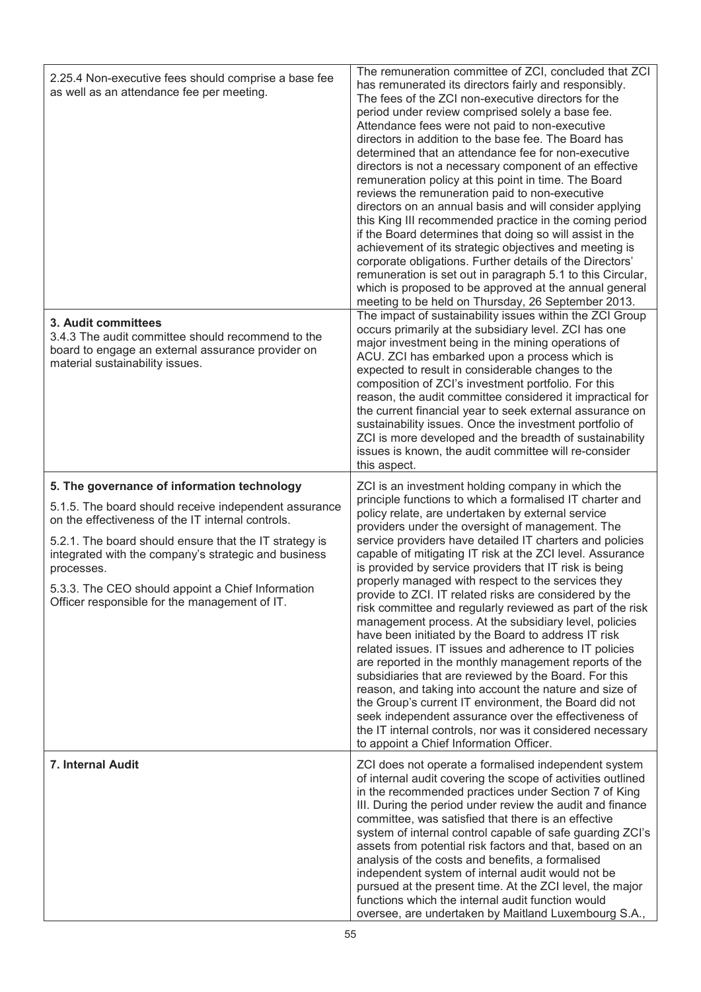| 2.25.4 Non-executive fees should comprise a base fee<br>as well as an attendance fee per meeting.<br>3. Audit committees<br>3.4.3 The audit committee should recommend to the<br>board to engage an external assurance provider on<br>material sustainability issues.                                                                                                                           | The remuneration committee of ZCI, concluded that ZCI<br>has remunerated its directors fairly and responsibly.<br>The fees of the ZCI non-executive directors for the<br>period under review comprised solely a base fee.<br>Attendance fees were not paid to non-executive<br>directors in addition to the base fee. The Board has<br>determined that an attendance fee for non-executive<br>directors is not a necessary component of an effective<br>remuneration policy at this point in time. The Board<br>reviews the remuneration paid to non-executive<br>directors on an annual basis and will consider applying<br>this King III recommended practice in the coming period<br>if the Board determines that doing so will assist in the<br>achievement of its strategic objectives and meeting is<br>corporate obligations. Further details of the Directors'<br>remuneration is set out in paragraph 5.1 to this Circular,<br>which is proposed to be approved at the annual general<br>meeting to be held on Thursday, 26 September 2013.<br>The impact of sustainability issues within the ZCI Group<br>occurs primarily at the subsidiary level. ZCI has one<br>major investment being in the mining operations of<br>ACU. ZCI has embarked upon a process which is<br>expected to result in considerable changes to the<br>composition of ZCI's investment portfolio. For this<br>reason, the audit committee considered it impractical for<br>the current financial year to seek external assurance on<br>sustainability issues. Once the investment portfolio of<br>ZCI is more developed and the breadth of sustainability<br>issues is known, the audit committee will re-consider<br>this aspect. |
|-------------------------------------------------------------------------------------------------------------------------------------------------------------------------------------------------------------------------------------------------------------------------------------------------------------------------------------------------------------------------------------------------|----------------------------------------------------------------------------------------------------------------------------------------------------------------------------------------------------------------------------------------------------------------------------------------------------------------------------------------------------------------------------------------------------------------------------------------------------------------------------------------------------------------------------------------------------------------------------------------------------------------------------------------------------------------------------------------------------------------------------------------------------------------------------------------------------------------------------------------------------------------------------------------------------------------------------------------------------------------------------------------------------------------------------------------------------------------------------------------------------------------------------------------------------------------------------------------------------------------------------------------------------------------------------------------------------------------------------------------------------------------------------------------------------------------------------------------------------------------------------------------------------------------------------------------------------------------------------------------------------------------------------------------------------------------------------------------------------------------------|
| 5. The governance of information technology<br>5.1.5. The board should receive independent assurance<br>on the effectiveness of the IT internal controls.<br>5.2.1. The board should ensure that the IT strategy is<br>integrated with the company's strategic and business<br>processes.<br>5.3.3. The CEO should appoint a Chief Information<br>Officer responsible for the management of IT. | ZCI is an investment holding company in which the<br>principle functions to which a formalised IT charter and<br>policy relate, are undertaken by external service<br>providers under the oversight of management. The<br>service providers have detailed IT charters and policies<br>capable of mitigating IT risk at the ZCI level. Assurance<br>is provided by service providers that IT risk is being<br>properly managed with respect to the services they<br>provide to ZCI. IT related risks are considered by the<br>risk committee and regularly reviewed as part of the risk<br>management process. At the subsidiary level, policies<br>have been initiated by the Board to address IT risk<br>related issues. IT issues and adherence to IT policies<br>are reported in the monthly management reports of the<br>subsidiaries that are reviewed by the Board. For this<br>reason, and taking into account the nature and size of<br>the Group's current IT environment, the Board did not<br>seek independent assurance over the effectiveness of<br>the IT internal controls, nor was it considered necessary<br>to appoint a Chief Information Officer.                                                                                                                                                                                                                                                                                                                                                                                                                                                                                                                                                |
| 7. Internal Audit                                                                                                                                                                                                                                                                                                                                                                               | ZCI does not operate a formalised independent system<br>of internal audit covering the scope of activities outlined<br>in the recommended practices under Section 7 of King<br>III. During the period under review the audit and finance<br>committee, was satisfied that there is an effective<br>system of internal control capable of safe guarding ZCI's<br>assets from potential risk factors and that, based on an<br>analysis of the costs and benefits, a formalised<br>independent system of internal audit would not be<br>pursued at the present time. At the ZCI level, the major<br>functions which the internal audit function would<br>oversee, are undertaken by Maitland Luxembourg S.A.,                                                                                                                                                                                                                                                                                                                                                                                                                                                                                                                                                                                                                                                                                                                                                                                                                                                                                                                                                                                                           |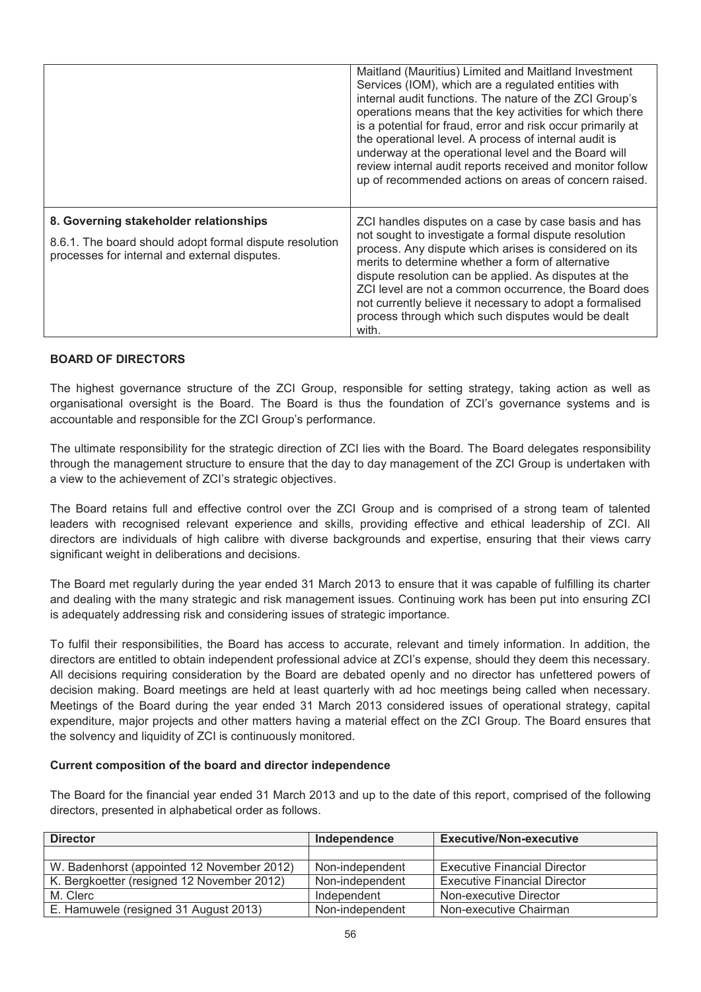|                                                                                                                                                    | Maitland (Mauritius) Limited and Maitland Investment<br>Services (IOM), which are a regulated entities with<br>internal audit functions. The nature of the ZCI Group's<br>operations means that the key activities for which there<br>is a potential for fraud, error and risk occur primarily at<br>the operational level. A process of internal audit is<br>underway at the operational level and the Board will<br>review internal audit reports received and monitor follow<br>up of recommended actions on areas of concern raised. |
|----------------------------------------------------------------------------------------------------------------------------------------------------|------------------------------------------------------------------------------------------------------------------------------------------------------------------------------------------------------------------------------------------------------------------------------------------------------------------------------------------------------------------------------------------------------------------------------------------------------------------------------------------------------------------------------------------|
| 8. Governing stakeholder relationships<br>8.6.1. The board should adopt formal dispute resolution<br>processes for internal and external disputes. | ZCI handles disputes on a case by case basis and has<br>not sought to investigate a formal dispute resolution<br>process. Any dispute which arises is considered on its<br>merits to determine whether a form of alternative<br>dispute resolution can be applied. As disputes at the<br>ZCI level are not a common occurrence, the Board does<br>not currently believe it necessary to adopt a formalised<br>process through which such disputes would be dealt<br>with.                                                                |

#### **BOARD OF DIRECTORS**

The highest governance structure of the ZCI Group, responsible for setting strategy, taking action as well as organisational oversight is the Board. The Board is thus the foundation of ZCI's governance systems and is accountable and responsible for the ZCI Group's performance.

The ultimate responsibility for the strategic direction of ZCI lies with the Board. The Board delegates responsibility through the management structure to ensure that the day to day management of the ZCI Group is undertaken with a view to the achievement of ZCI's strategic objectives.

The Board retains full and effective control over the ZCI Group and is comprised of a strong team of talented leaders with recognised relevant experience and skills, providing effective and ethical leadership of ZCI. All directors are individuals of high calibre with diverse backgrounds and expertise, ensuring that their views carry significant weight in deliberations and decisions.

The Board met regularly during the year ended 31 March 2013 to ensure that it was capable of fulfilling its charter and dealing with the many strategic and risk management issues. Continuing work has been put into ensuring ZCI is adequately addressing risk and considering issues of strategic importance.

To fulfil their responsibilities, the Board has access to accurate, relevant and timely information. In addition, the directors are entitled to obtain independent professional advice at ZCI's expense, should they deem this necessary. All decisions requiring consideration by the Board are debated openly and no director has unfettered powers of decision making. Board meetings are held at least quarterly with ad hoc meetings being called when necessary. Meetings of the Board during the year ended 31 March 2013 considered issues of operational strategy, capital expenditure, major projects and other matters having a material effect on the ZCI Group. The Board ensures that the solvency and liquidity of ZCI is continuously monitored.

#### **Current composition of the board and director independence**

The Board for the financial year ended 31 March 2013 and up to the date of this report, comprised of the following directors, presented in alphabetical order as follows.

| <b>Director</b>                            | Independence    | <b>Executive/Non-executive</b>      |
|--------------------------------------------|-----------------|-------------------------------------|
|                                            |                 |                                     |
| W. Badenhorst (appointed 12 November 2012) | Non-independent | <b>Executive Financial Director</b> |
| K. Bergkoetter (resigned 12 November 2012) | Non-independent | <b>Executive Financial Director</b> |
| M. Clerc                                   | Independent     | Non-executive Director              |
| E. Hamuwele (resigned 31 August 2013)      | Non-independent | Non-executive Chairman              |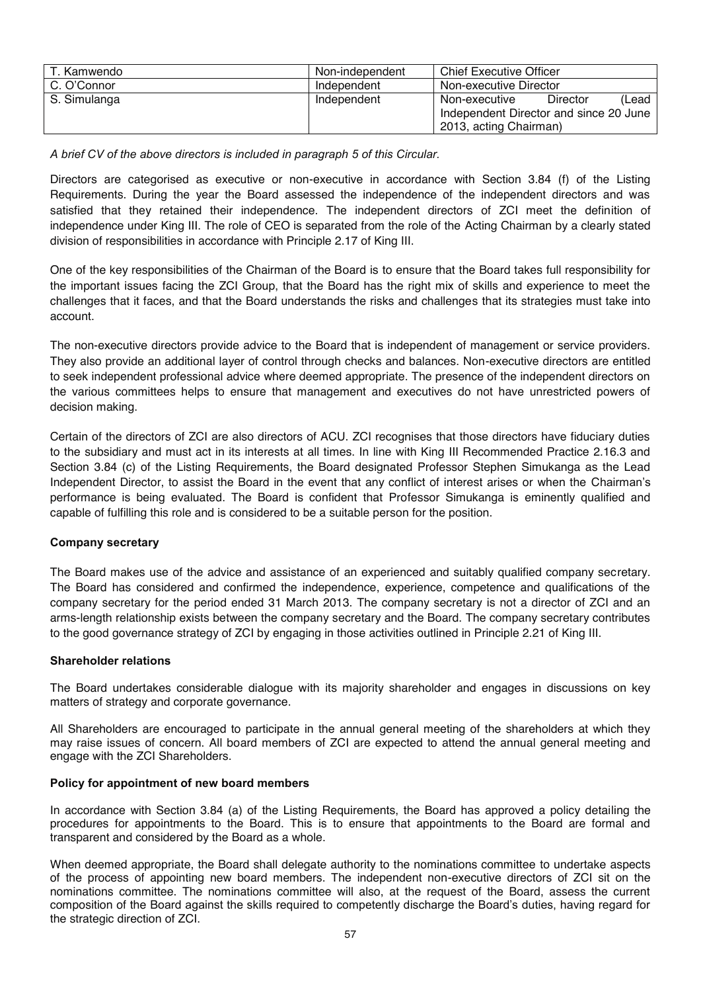| T. Kamwendo  | Non-independent | <b>Chief Executive Officer</b>         |
|--------------|-----------------|----------------------------------------|
| C. O'Connor  | Independent     | Non-executive Director                 |
| S. Simulanga | Independent     | Director<br>(Lead<br>Non-executive     |
|              |                 | Independent Director and since 20 June |
|              |                 | 2013, acting Chairman)                 |

*A brief CV of the above directors is included in paragraph 5 of this Circular.*

Directors are categorised as executive or non-executive in accordance with Section 3.84 (f) of the Listing Requirements. During the year the Board assessed the independence of the independent directors and was satisfied that they retained their independence. The independent directors of ZCI meet the definition of independence under King III. The role of CEO is separated from the role of the Acting Chairman by a clearly stated division of responsibilities in accordance with Principle 2.17 of King III.

One of the key responsibilities of the Chairman of the Board is to ensure that the Board takes full responsibility for the important issues facing the ZCI Group, that the Board has the right mix of skills and experience to meet the challenges that it faces, and that the Board understands the risks and challenges that its strategies must take into account.

The non-executive directors provide advice to the Board that is independent of management or service providers. They also provide an additional layer of control through checks and balances. Non-executive directors are entitled to seek independent professional advice where deemed appropriate. The presence of the independent directors on the various committees helps to ensure that management and executives do not have unrestricted powers of decision making.

Certain of the directors of ZCI are also directors of ACU. ZCI recognises that those directors have fiduciary duties to the subsidiary and must act in its interests at all times. In line with King III Recommended Practice 2.16.3 and Section 3.84 (c) of the Listing Requirements, the Board designated Professor Stephen Simukanga as the Lead Independent Director, to assist the Board in the event that any conflict of interest arises or when the Chairman's performance is being evaluated. The Board is confident that Professor Simukanga is eminently qualified and capable of fulfilling this role and is considered to be a suitable person for the position.

#### **Company secretary**

The Board makes use of the advice and assistance of an experienced and suitably qualified company secretary. The Board has considered and confirmed the independence, experience, competence and qualifications of the company secretary for the period ended 31 March 2013. The company secretary is not a director of ZCI and an arms-length relationship exists between the company secretary and the Board. The company secretary contributes to the good governance strategy of ZCI by engaging in those activities outlined in Principle 2.21 of King III.

#### **Shareholder relations**

The Board undertakes considerable dialogue with its majority shareholder and engages in discussions on key matters of strategy and corporate governance.

All Shareholders are encouraged to participate in the annual general meeting of the shareholders at which they may raise issues of concern. All board members of ZCI are expected to attend the annual general meeting and engage with the ZCI Shareholders.

#### **Policy for appointment of new board members**

In accordance with Section 3.84 (a) of the Listing Requirements, the Board has approved a policy detailing the procedures for appointments to the Board. This is to ensure that appointments to the Board are formal and transparent and considered by the Board as a whole.

When deemed appropriate, the Board shall delegate authority to the nominations committee to undertake aspects of the process of appointing new board members. The independent non-executive directors of ZCI sit on the nominations committee. The nominations committee will also, at the request of the Board, assess the current composition of the Board against the skills required to competently discharge the Board's duties, having regard for the strategic direction of ZCI.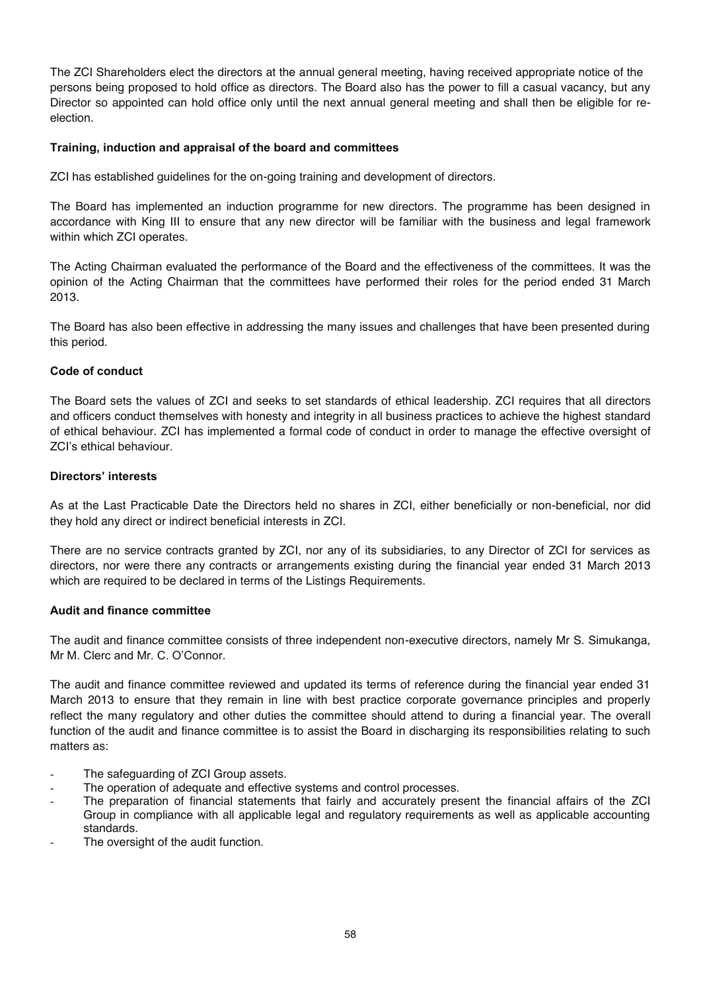The ZCI Shareholders elect the directors at the annual general meeting, having received appropriate notice of the persons being proposed to hold office as directors. The Board also has the power to fill a casual vacancy, but any Director so appointed can hold office only until the next annual general meeting and shall then be eligible for reelection.

#### **Training, induction and appraisal of the board and committees**

ZCI has established guidelines for the on-going training and development of directors.

The Board has implemented an induction programme for new directors. The programme has been designed in accordance with King III to ensure that any new director will be familiar with the business and legal framework within which ZCI operates.

The Acting Chairman evaluated the performance of the Board and the effectiveness of the committees. It was the opinion of the Acting Chairman that the committees have performed their roles for the period ended 31 March 2013.

The Board has also been effective in addressing the many issues and challenges that have been presented during this period.

#### **Code of conduct**

The Board sets the values of ZCI and seeks to set standards of ethical leadership. ZCI requires that all directors and officers conduct themselves with honesty and integrity in all business practices to achieve the highest standard of ethical behaviour. ZCI has implemented a formal code of conduct in order to manage the effective oversight of ZCI's ethical behaviour.

#### **Directors' interests**

As at the Last Practicable Date the Directors held no shares in ZCI, either beneficially or non-beneficial, nor did they hold any direct or indirect beneficial interests in ZCI.

There are no service contracts granted by ZCI, nor any of its subsidiaries, to any Director of ZCI for services as directors, nor were there any contracts or arrangements existing during the financial year ended 31 March 2013 which are required to be declared in terms of the Listings Requirements.

#### **Audit and finance committee**

The audit and finance committee consists of three independent non-executive directors, namely Mr S. Simukanga, Mr M. Clerc and Mr. C. O'Connor.

The audit and finance committee reviewed and updated its terms of reference during the financial year ended 31 March 2013 to ensure that they remain in line with best practice corporate governance principles and properly reflect the many regulatory and other duties the committee should attend to during a financial year. The overall function of the audit and finance committee is to assist the Board in discharging its responsibilities relating to such matters as:

- The safeguarding of ZCI Group assets.
- The operation of adequate and effective systems and control processes.
- The preparation of financial statements that fairly and accurately present the financial affairs of the ZCI Group in compliance with all applicable legal and regulatory requirements as well as applicable accounting standards.
- The oversight of the audit function.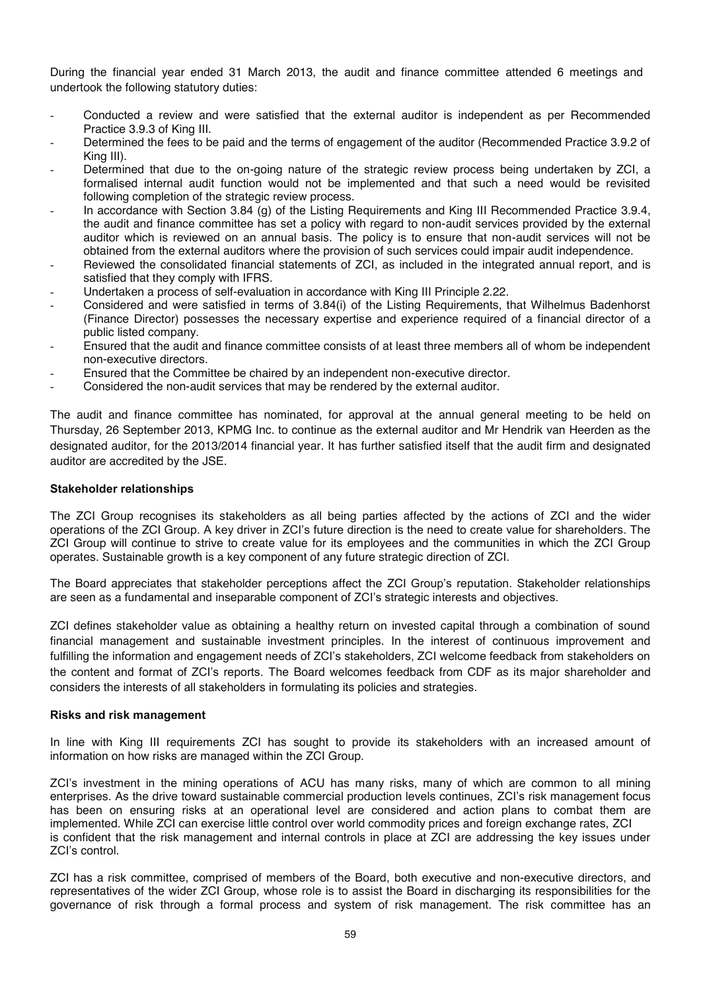During the financial year ended 31 March 2013, the audit and finance committee attended 6 meetings and undertook the following statutory duties:

- Conducted a review and were satisfied that the external auditor is independent as per Recommended Practice 3.9.3 of King III.
- Determined the fees to be paid and the terms of engagement of the auditor (Recommended Practice 3.9.2 of King III).
- Determined that due to the on-going nature of the strategic review process being undertaken by ZCI, a formalised internal audit function would not be implemented and that such a need would be revisited following completion of the strategic review process.
- In accordance with Section 3.84 (g) of the Listing Requirements and King III Recommended Practice 3.9.4, the audit and finance committee has set a policy with regard to non-audit services provided by the external auditor which is reviewed on an annual basis. The policy is to ensure that non-audit services will not be obtained from the external auditors where the provision of such services could impair audit independence.
- Reviewed the consolidated financial statements of ZCI, as included in the integrated annual report, and is satisfied that they comply with IFRS.
- Undertaken a process of self-evaluation in accordance with King III Principle 2.22.
- Considered and were satisfied in terms of 3.84(i) of the Listing Requirements, that Wilhelmus Badenhorst (Finance Director) possesses the necessary expertise and experience required of a financial director of a public listed company.
- Ensured that the audit and finance committee consists of at least three members all of whom be independent non-executive directors.
- Ensured that the Committee be chaired by an independent non-executive director.
- Considered the non-audit services that may be rendered by the external auditor.

The audit and finance committee has nominated, for approval at the annual general meeting to be held on Thursday, 26 September 2013, KPMG Inc. to continue as the external auditor and Mr Hendrik van Heerden as the designated auditor, for the 2013/2014 financial year. It has further satisfied itself that the audit firm and designated auditor are accredited by the JSE.

#### **Stakeholder relationships**

The ZCI Group recognises its stakeholders as all being parties affected by the actions of ZCI and the wider operations of the ZCI Group. A key driver in ZCI's future direction is the need to create value for shareholders. The ZCI Group will continue to strive to create value for its employees and the communities in which the ZCI Group operates. Sustainable growth is a key component of any future strategic direction of ZCI.

The Board appreciates that stakeholder perceptions affect the ZCI Group's reputation. Stakeholder relationships are seen as a fundamental and inseparable component of ZCI's strategic interests and objectives.

ZCI defines stakeholder value as obtaining a healthy return on invested capital through a combination of sound financial management and sustainable investment principles. In the interest of continuous improvement and fulfilling the information and engagement needs of ZCI's stakeholders, ZCI welcome feedback from stakeholders on the content and format of ZCI's reports. The Board welcomes feedback from CDF as its major shareholder and considers the interests of all stakeholders in formulating its policies and strategies.

#### **Risks and risk management**

In line with King III requirements ZCI has sought to provide its stakeholders with an increased amount of information on how risks are managed within the ZCI Group.

ZCI's investment in the mining operations of ACU has many risks, many of which are common to all mining enterprises. As the drive toward sustainable commercial production levels continues, ZCI's risk management focus has been on ensuring risks at an operational level are considered and action plans to combat them are implemented. While ZCI can exercise little control over world commodity prices and foreign exchange rates, ZCI is confident that the risk management and internal controls in place at ZCI are addressing the key issues under ZCI's control.

ZCI has a risk committee, comprised of members of the Board, both executive and non-executive directors, and representatives of the wider ZCI Group, whose role is to assist the Board in discharging its responsibilities for the governance of risk through a formal process and system of risk management. The risk committee has an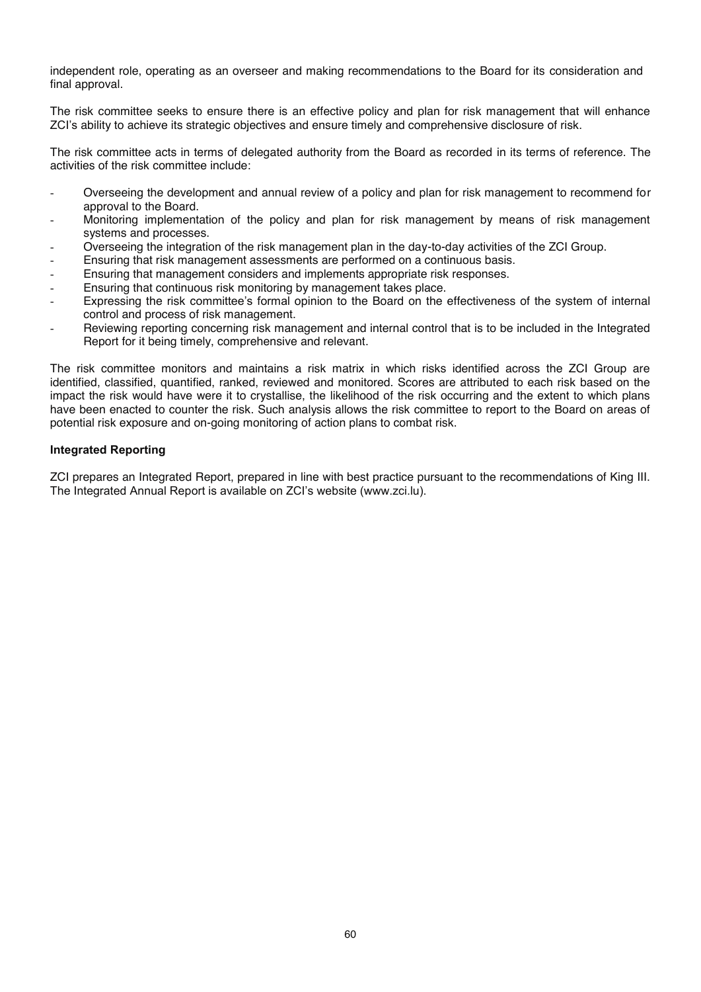independent role, operating as an overseer and making recommendations to the Board for its consideration and final approval.

The risk committee seeks to ensure there is an effective policy and plan for risk management that will enhance ZCI's ability to achieve its strategic objectives and ensure timely and comprehensive disclosure of risk.

The risk committee acts in terms of delegated authority from the Board as recorded in its terms of reference. The activities of the risk committee include:

- Overseeing the development and annual review of a policy and plan for risk management to recommend for approval to the Board.
- Monitoring implementation of the policy and plan for risk management by means of risk management systems and processes.
- Overseeing the integration of the risk management plan in the day-to-day activities of the ZCI Group.
- Ensuring that risk management assessments are performed on a continuous basis.
- Ensuring that management considers and implements appropriate risk responses.
- Ensuring that continuous risk monitoring by management takes place.
- Expressing the risk committee's formal opinion to the Board on the effectiveness of the system of internal control and process of risk management.
- Reviewing reporting concerning risk management and internal control that is to be included in the Integrated Report for it being timely, comprehensive and relevant.

The risk committee monitors and maintains a risk matrix in which risks identified across the ZCI Group are identified, classified, quantified, ranked, reviewed and monitored. Scores are attributed to each risk based on the impact the risk would have were it to crystallise, the likelihood of the risk occurring and the extent to which plans have been enacted to counter the risk. Such analysis allows the risk committee to report to the Board on areas of potential risk exposure and on-going monitoring of action plans to combat risk.

#### **Integrated Reporting**

ZCI prepares an Integrated Report, prepared in line with best practice pursuant to the recommendations of King III. The Integrated Annual Report is available on ZCI's website (www.zci.lu).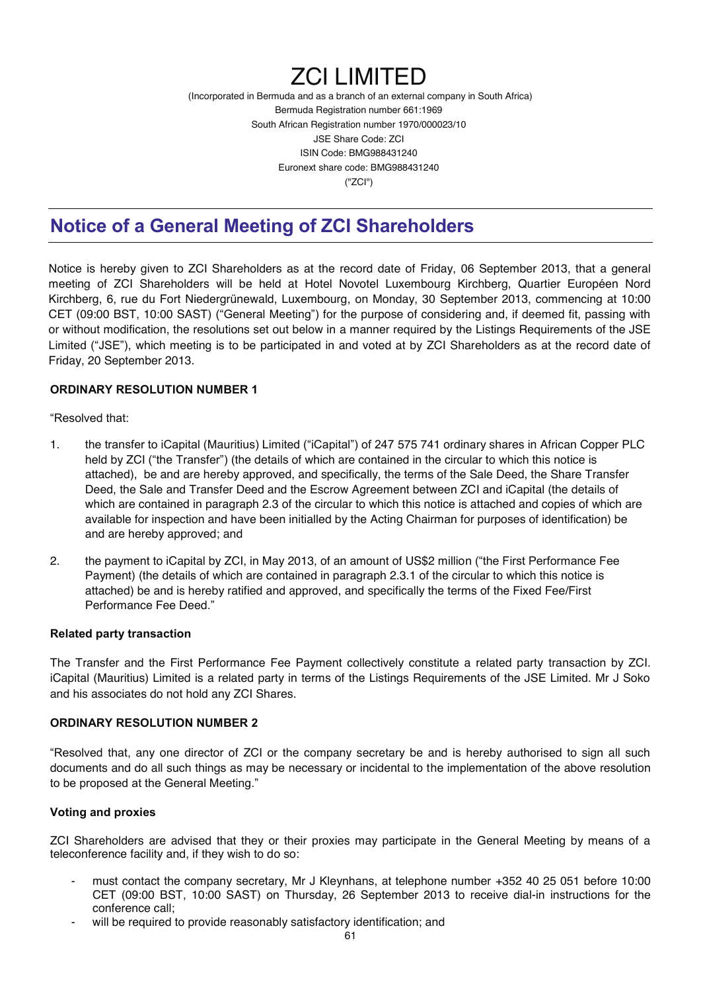# ZCI LIMITED

(Incorporated in Bermuda and as a branch of an external company in South Africa) Bermuda Registration number 661:1969 South African Registration number 1970/000023/10 JSE Share Code: ZCI ISIN Code: BMG988431240 Euronext share code: BMG988431240 ("ZCI")

## **Notice of a General Meeting of ZCI Shareholders**

Notice is hereby given to ZCI Shareholders as at the record date of Friday, 06 September 2013, that a general meeting of ZCI Shareholders will be held at Hotel Novotel Luxembourg Kirchberg, Quartier Européen Nord Kirchberg, 6, rue du Fort Niedergrünewald, Luxembourg, on Monday, 30 September 2013, commencing at 10:00 CET (09:00 BST, 10:00 SAST) ("General Meeting") for the purpose of considering and, if deemed fit, passing with or without modification, the resolutions set out below in a manner required by the Listings Requirements of the JSE Limited ("JSE"), which meeting is to be participated in and voted at by ZCI Shareholders as at the record date of Friday, 20 September 2013.

#### **ORDINARY RESOLUTION NUMBER 1**

"Resolved that:

- 1. the transfer to iCapital (Mauritius) Limited ("iCapital") of 247 575 741 ordinary shares in African Copper PLC held by ZCI ("the Transfer") (the details of which are contained in the circular to which this notice is attached), be and are hereby approved, and specifically, the terms of the Sale Deed, the Share Transfer Deed, the Sale and Transfer Deed and the Escrow Agreement between ZCI and iCapital (the details of which are contained in paragraph 2.3 of the circular to which this notice is attached and copies of which are available for inspection and have been initialled by the Acting Chairman for purposes of identification) be and are hereby approved; and
- 2. the payment to iCapital by ZCI, in May 2013, of an amount of US\$2 million ("the First Performance Fee Payment) (the details of which are contained in paragraph 2.3.1 of the circular to which this notice is attached) be and is hereby ratified and approved, and specifically the terms of the Fixed Fee/First Performance Fee Deed."

#### **Related party transaction**

The Transfer and the First Performance Fee Payment collectively constitute a related party transaction by ZCI. iCapital (Mauritius) Limited is a related party in terms of the Listings Requirements of the JSE Limited. Mr J Soko and his associates do not hold any ZCI Shares.

#### **ORDINARY RESOLUTION NUMBER 2**

"Resolved that, any one director of ZCI or the company secretary be and is hereby authorised to sign all such documents and do all such things as may be necessary or incidental to the implementation of the above resolution to be proposed at the General Meeting."

#### **Voting and proxies**

ZCI Shareholders are advised that they or their proxies may participate in the General Meeting by means of a teleconference facility and, if they wish to do so:

- must contact the company secretary, Mr J Kleynhans, at telephone number +352 40 25 051 before 10:00 CET (09:00 BST, 10:00 SAST) on Thursday, 26 September 2013 to receive dial-in instructions for the conference call;
- will be required to provide reasonably satisfactory identification; and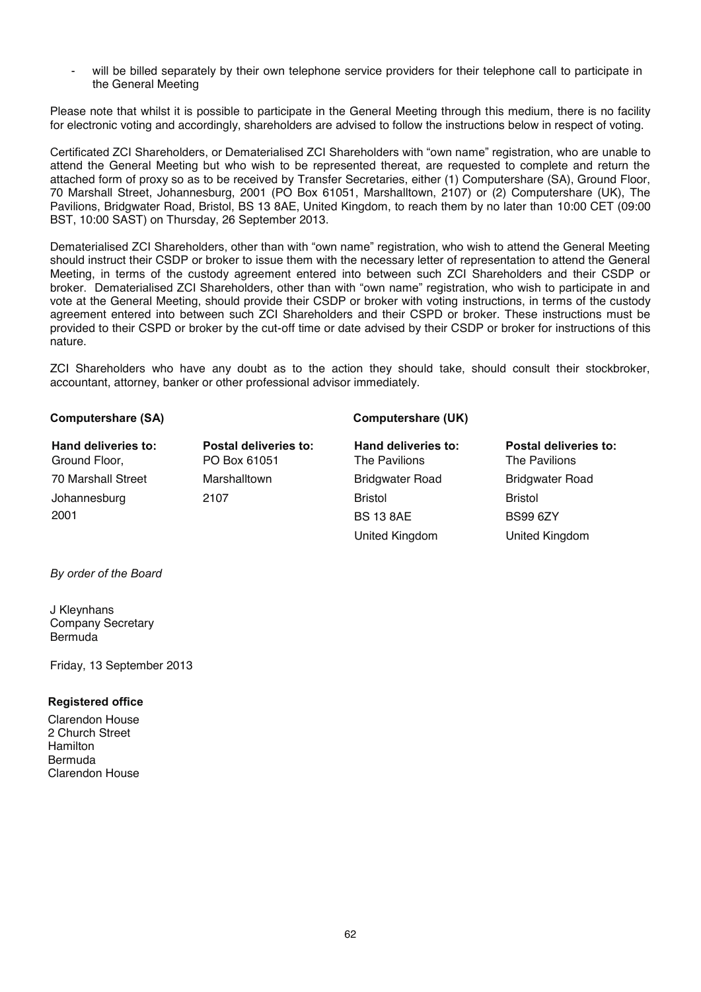will be billed separately by their own telephone service providers for their telephone call to participate in the General Meeting

Please note that whilst it is possible to participate in the General Meeting through this medium, there is no facility for electronic voting and accordingly, shareholders are advised to follow the instructions below in respect of voting.

Certificated ZCI Shareholders, or Dematerialised ZCI Shareholders with "own name" registration, who are unable to attend the General Meeting but who wish to be represented thereat, are requested to complete and return the attached form of proxy so as to be received by Transfer Secretaries, either (1) Computershare (SA), Ground Floor, 70 Marshall Street, Johannesburg, 2001 (PO Box 61051, Marshalltown, 2107) or (2) Computershare (UK), The Pavilions, Bridgwater Road, Bristol, BS 13 8AE, United Kingdom, to reach them by no later than 10:00 CET (09:00 BST, 10:00 SAST) on Thursday, 26 September 2013.

Dematerialised ZCI Shareholders, other than with "own name" registration, who wish to attend the General Meeting should instruct their CSDP or broker to issue them with the necessary letter of representation to attend the General Meeting, in terms of the custody agreement entered into between such ZCI Shareholders and their CSDP or broker. Dematerialised ZCI Shareholders, other than with "own name" registration, who wish to participate in and vote at the General Meeting, should provide their CSDP or broker with voting instructions, in terms of the custody agreement entered into between such ZCI Shareholders and their CSPD or broker. These instructions must be provided to their CSPD or broker by the cut-off time or date advised by their CSDP or broker for instructions of this nature.

ZCI Shareholders who have any doubt as to the action they should take, should consult their stockbroker, accountant, attorney, banker or other professional advisor immediately.

#### Computershare (SA) Computershare (UK)

| Hand deliveries to: | Postal deliveries to: | Hand deliveries to:    | Postal deliveries to:  |
|---------------------|-----------------------|------------------------|------------------------|
| Ground Floor,       | PO Box 61051          | The Pavilions          | The Pavilions          |
| 70 Marshall Street  | Marshalltown          | <b>Bridgwater Road</b> | <b>Bridgwater Road</b> |
| Johannesburg        | 2107                  | <b>Bristol</b>         | <b>Bristol</b>         |
| 2001                |                       | <b>BS 13 8AE</b>       | <b>BS99 6ZY</b>        |
|                     |                       | United Kingdom         | United Kingdom         |

*By order of the Board* 

J Kleynhans Company Secretary Bermuda

Friday, 13 September 2013

#### **Registered office**

Clarendon House 2 Church Street Hamilton Bermuda Clarendon House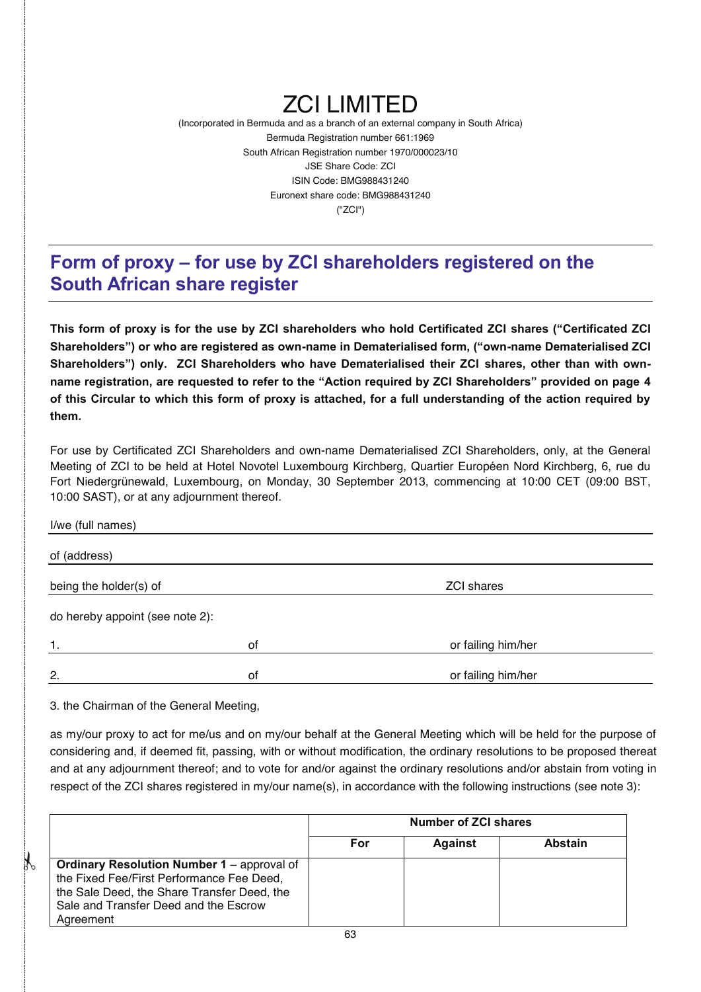# ZCI LIMITED

(Incorporated in Bermuda and as a branch of an external company in South Africa) Bermuda Registration number 661:1969 South African Registration number 1970/000023/10 JSE Share Code: ZCI ISIN Code: BMG988431240 Euronext share code: BMG988431240 ("ZCI")

## **Form of proxy – for use by ZCI shareholders registered on the South African share register**

**This form of proxy is for the use by ZCI shareholders who hold Certificated ZCI shares ("Certificated ZCI Shareholders") or who are registered as own-name in Dematerialised form, ("own-name Dematerialised ZCI Shareholders") only. ZCI Shareholders who have Dematerialised their ZCI shares, other than with ownname registration, are requested to refer to the "Action required by ZCI Shareholders" provided on page 4 of this Circular to which this form of proxy is attached, for a full understanding of the action required by them.** 

For use by Certificated ZCI Shareholders and own-name Dematerialised ZCI Shareholders, only, at the General Meeting of ZCI to be held at Hotel Novotel Luxembourg Kirchberg, Quartier Européen Nord Kirchberg, 6, rue du Fort Niedergrünewald, Luxembourg, on Monday, 30 September 2013, commencing at 10:00 CET (09:00 BST, 10:00 SAST), or at any adjournment thereof.

| 2.                              | of | or failing him/her |  |
|---------------------------------|----|--------------------|--|
| 1.                              | of | or failing him/her |  |
| do hereby appoint (see note 2): |    |                    |  |
| being the holder(s) of          |    | <b>ZCI shares</b>  |  |
| of (address)                    |    |                    |  |
| I/we (full names)               |    |                    |  |

3. the Chairman of the General Meeting,

 $\mathcal{X}$ 

as my/our proxy to act for me/us and on my/our behalf at the General Meeting which will be held for the purpose of considering and, if deemed fit, passing, with or without modification, the ordinary resolutions to be proposed thereat and at any adjournment thereof; and to vote for and/or against the ordinary resolutions and/or abstain from voting in respect of the ZCI shares registered in my/our name(s), in accordance with the following instructions (see note 3):

|                                                                                                                                                                                                     | <b>Number of ZCI shares</b> |                |                |
|-----------------------------------------------------------------------------------------------------------------------------------------------------------------------------------------------------|-----------------------------|----------------|----------------|
|                                                                                                                                                                                                     | For                         | <b>Against</b> | <b>Abstain</b> |
| <b>Ordinary Resolution Number 1 – approval of</b><br>the Fixed Fee/First Performance Fee Deed,<br>the Sale Deed, the Share Transfer Deed, the<br>Sale and Transfer Deed and the Escrow<br>Agreement |                             |                |                |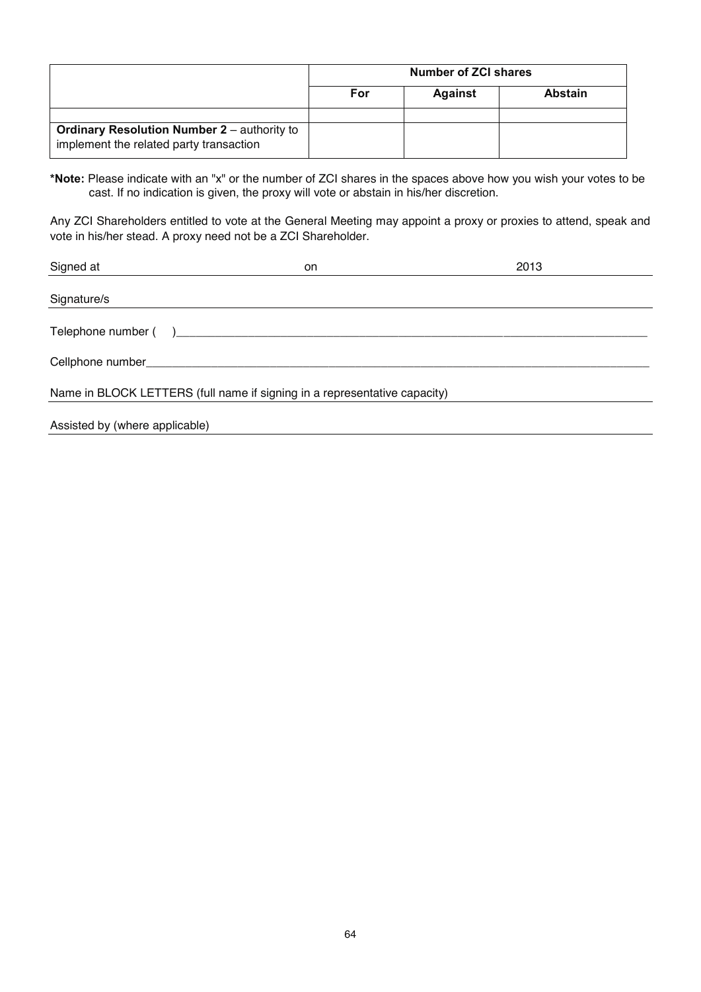|                                                                                               | Number of ZCI shares |                |                |
|-----------------------------------------------------------------------------------------------|----------------------|----------------|----------------|
|                                                                                               | For                  | <b>Against</b> | <b>Abstain</b> |
|                                                                                               |                      |                |                |
| <b>Ordinary Resolution Number 2 - authority to</b><br>implement the related party transaction |                      |                |                |

**\*Note:** Please indicate with an "x" or the number of ZCI shares in the spaces above how you wish your votes to be cast. If no indication is given, the proxy will vote or abstain in his/her discretion.

Any ZCI Shareholders entitled to vote at the General Meeting may appoint a proxy or proxies to attend, speak and vote in his/her stead. A proxy need not be a ZCI Shareholder.

| Signed at                      | on                                                                        | 2013 |
|--------------------------------|---------------------------------------------------------------------------|------|
|                                |                                                                           |      |
| Signature/s                    |                                                                           |      |
|                                |                                                                           |      |
|                                |                                                                           |      |
|                                | Name in BLOCK LETTERS (full name if signing in a representative capacity) |      |
| Assisted by (where applicable) |                                                                           |      |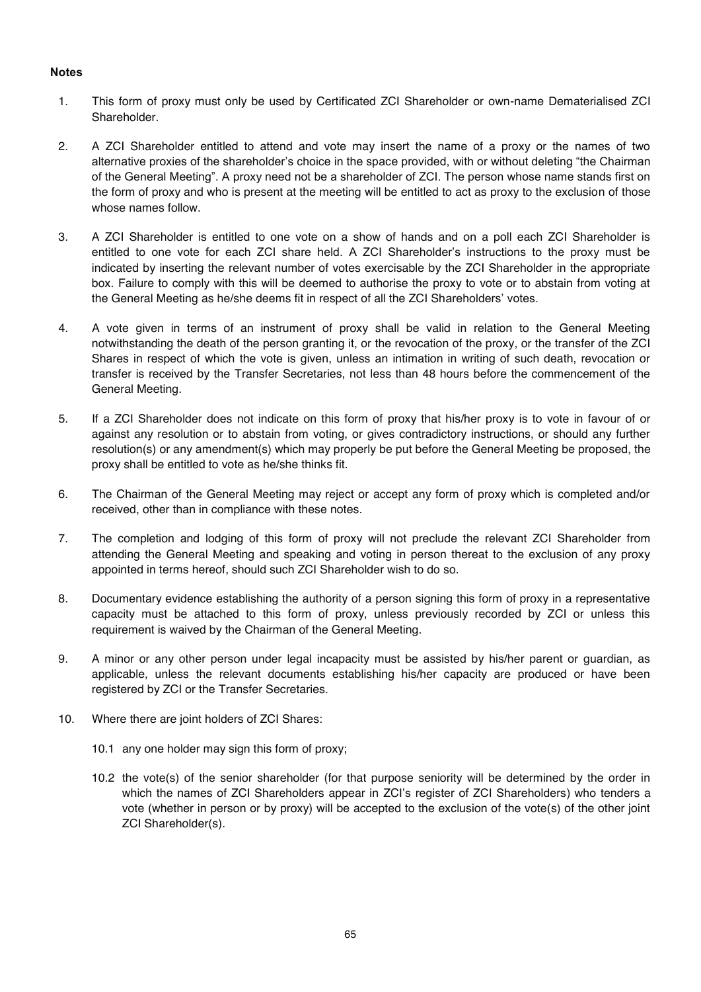#### **Notes**

- 1. This form of proxy must only be used by Certificated ZCI Shareholder or own-name Dematerialised ZCI Shareholder.
- 2. A ZCI Shareholder entitled to attend and vote may insert the name of a proxy or the names of two alternative proxies of the shareholder's choice in the space provided, with or without deleting "the Chairman of the General Meeting". A proxy need not be a shareholder of ZCI. The person whose name stands first on the form of proxy and who is present at the meeting will be entitled to act as proxy to the exclusion of those whose names follow.
- 3. A ZCI Shareholder is entitled to one vote on a show of hands and on a poll each ZCI Shareholder is entitled to one vote for each ZCI share held. A ZCI Shareholder's instructions to the proxy must be indicated by inserting the relevant number of votes exercisable by the ZCI Shareholder in the appropriate box. Failure to comply with this will be deemed to authorise the proxy to vote or to abstain from voting at the General Meeting as he/she deems fit in respect of all the ZCI Shareholders' votes.
- 4. A vote given in terms of an instrument of proxy shall be valid in relation to the General Meeting notwithstanding the death of the person granting it, or the revocation of the proxy, or the transfer of the ZCI Shares in respect of which the vote is given, unless an intimation in writing of such death, revocation or transfer is received by the Transfer Secretaries, not less than 48 hours before the commencement of the General Meeting.
- 5. If a ZCI Shareholder does not indicate on this form of proxy that his/her proxy is to vote in favour of or against any resolution or to abstain from voting, or gives contradictory instructions, or should any further resolution(s) or any amendment(s) which may properly be put before the General Meeting be proposed, the proxy shall be entitled to vote as he/she thinks fit.
- 6. The Chairman of the General Meeting may reject or accept any form of proxy which is completed and/or received, other than in compliance with these notes.
- 7. The completion and lodging of this form of proxy will not preclude the relevant ZCI Shareholder from attending the General Meeting and speaking and voting in person thereat to the exclusion of any proxy appointed in terms hereof, should such ZCI Shareholder wish to do so.
- 8. Documentary evidence establishing the authority of a person signing this form of proxy in a representative capacity must be attached to this form of proxy, unless previously recorded by ZCI or unless this requirement is waived by the Chairman of the General Meeting.
- 9. A minor or any other person under legal incapacity must be assisted by his/her parent or guardian, as applicable, unless the relevant documents establishing his/her capacity are produced or have been registered by ZCI or the Transfer Secretaries.
- 10. Where there are joint holders of ZCI Shares:
	- 10.1 any one holder may sign this form of proxy;
	- 10.2 the vote(s) of the senior shareholder (for that purpose seniority will be determined by the order in which the names of ZCI Shareholders appear in ZCI's register of ZCI Shareholders) who tenders a vote (whether in person or by proxy) will be accepted to the exclusion of the vote(s) of the other joint ZCI Shareholder(s).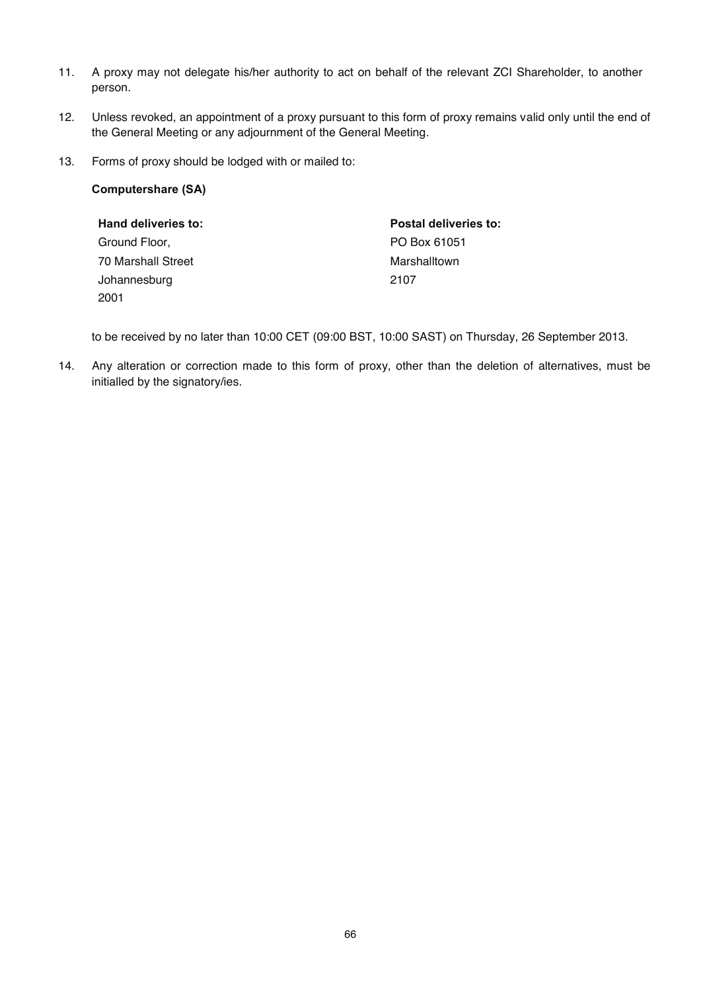- 11. A proxy may not delegate his/her authority to act on behalf of the relevant ZCI Shareholder, to another person.
- 12. Unless revoked, an appointment of a proxy pursuant to this form of proxy remains valid only until the end of the General Meeting or any adjournment of the General Meeting.
- 13. Forms of proxy should be lodged with or mailed to:

#### **Computershare (SA)**

| Hand deliveries to: | Postal deliveries to: |
|---------------------|-----------------------|
| Ground Floor,       | PO Box 61051          |
| 70 Marshall Street  | Marshalltown          |
| Johannesburg        | 2107                  |
| 2001                |                       |

to be received by no later than 10:00 CET (09:00 BST, 10:00 SAST) on Thursday, 26 September 2013.

14. Any alteration or correction made to this form of proxy, other than the deletion of alternatives, must be initialled by the signatory/ies.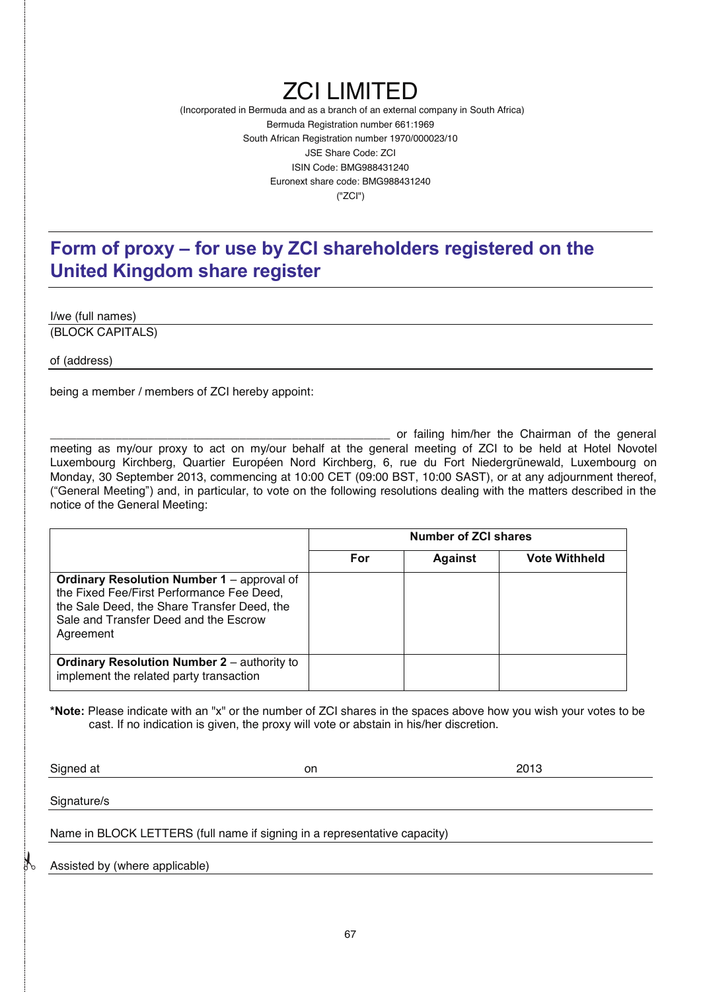# ZCI LIMITED

(Incorporated in Bermuda and as a branch of an external company in South Africa) Bermuda Registration number 661:1969 South African Registration number 1970/000023/10 JSE Share Code: ZCI ISIN Code: BMG988431240 Euronext share code: BMG988431240 ("ZCI")

## **Form of proxy – for use by ZCI shareholders registered on the United Kingdom share register**

I/we (full names) (BLOCK CAPITALS)

of (address)

being a member / members of ZCI hereby appoint:

or failing him/her the Chairman of the general meeting as my/our proxy to act on my/our behalf at the general meeting of ZCI to be held at Hotel Novotel Luxembourg Kirchberg, Quartier Européen Nord Kirchberg, 6, rue du Fort Niedergrünewald, Luxembourg on Monday, 30 September 2013, commencing at 10:00 CET (09:00 BST, 10:00 SAST), or at any adjournment thereof, ("General Meeting") and, in particular, to vote on the following resolutions dealing with the matters described in the notice of the General Meeting:

|                                                                                                                                                                                                     | <b>Number of ZCI shares</b> |                |                      |
|-----------------------------------------------------------------------------------------------------------------------------------------------------------------------------------------------------|-----------------------------|----------------|----------------------|
|                                                                                                                                                                                                     | For                         | <b>Against</b> | <b>Vote Withheld</b> |
| <b>Ordinary Resolution Number 1</b> – approval of<br>the Fixed Fee/First Performance Fee Deed,<br>the Sale Deed, the Share Transfer Deed, the<br>Sale and Transfer Deed and the Escrow<br>Agreement |                             |                |                      |
| <b>Ordinary Resolution Number 2</b> – authority to<br>implement the related party transaction                                                                                                       |                             |                |                      |

**\*Note:** Please indicate with an "x" or the number of ZCI shares in the spaces above how you wish your votes to be cast. If no indication is given, the proxy will vote or abstain in his/her discretion.

Signed at on 2013

Signature/s

Name in BLOCK LETTERS (full name if signing in a representative capacity)

Assisted by (where applicable)